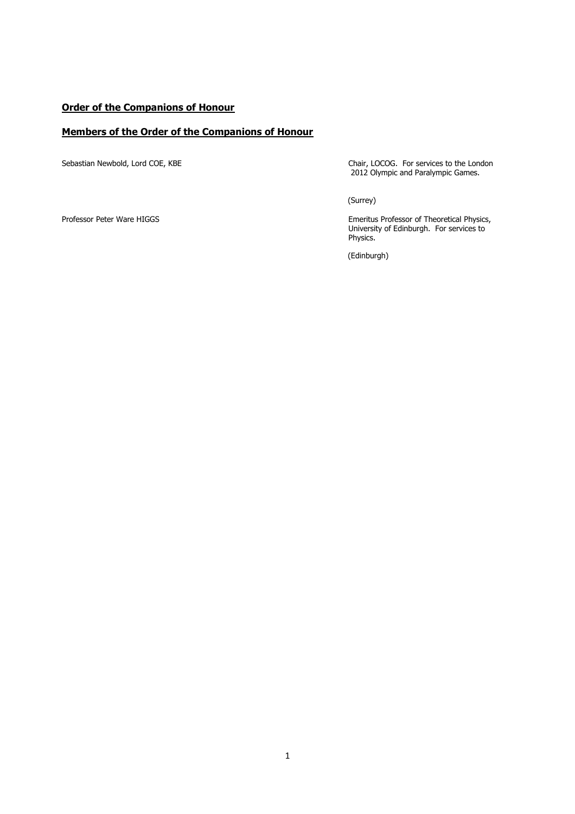#### **Order of the Companions of Honour**

#### **Members of the Order of the Companions of Honour**

Sebastian Newbold, Lord COE, KBE Chair, LOCOG. For services to the London 2012 Olympic and Paralympic Games.

(Surrey)

Professor Peter Ware HIGGS Emeritus Professor of Theoretical Physics, University of Edinburgh. For services to Physics.

(Edinburgh)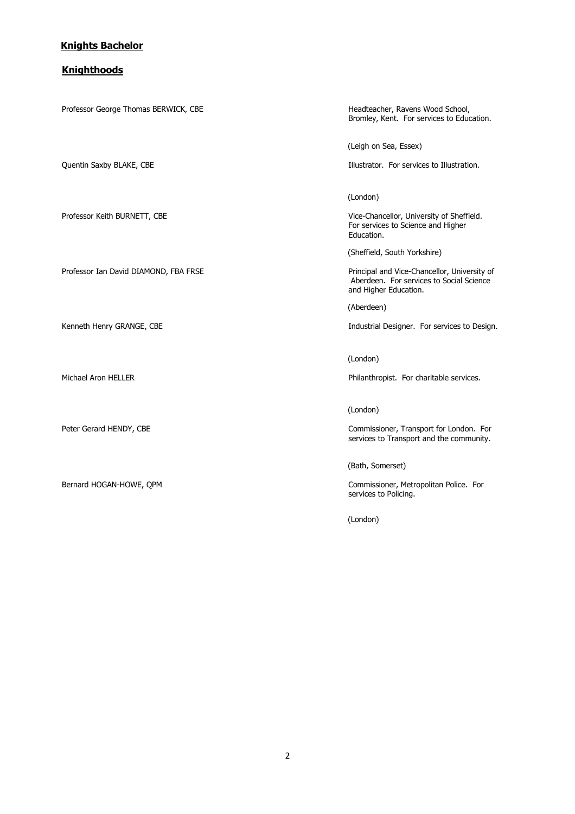#### **Knights Bachelor**

#### **Knighthoods**

Professor George Thomas BERWICK, CBE **Headteacher, Ravens Wood School**, Bromley, Kent. For services to Education. (Leigh on Sea, Essex) Quentin Saxby BLAKE, CBE **intervalst and the intervalst of the Illustrator.** For services to Illustration. (London) Professor Keith BURNETT, CBE The Vice-Chancellor, University of Sheffield. For services to Science and Higher Education. (Sheffield, South Yorkshire) Professor Ian David DIAMOND, FBA FRSE Professor Ian David DIAMOND, FBA FRSE Principal and Vice-Chancellor, University of Aberdeen. For services to Social Science and Higher Education. (Aberdeen) Kenneth Henry GRANGE, CBE **industrial Designer.** For services to Design. (London) Michael Aron HELLER Philanthropist. For charitable services. (London) Peter Gerard HENDY, CBE **Commissioner, Transport for London.** For services to Transport and the community. (Bath, Somerset) Bernard HOGAN-HOWE, QPM Commissioner, Metropolitan Police. For services to Policing.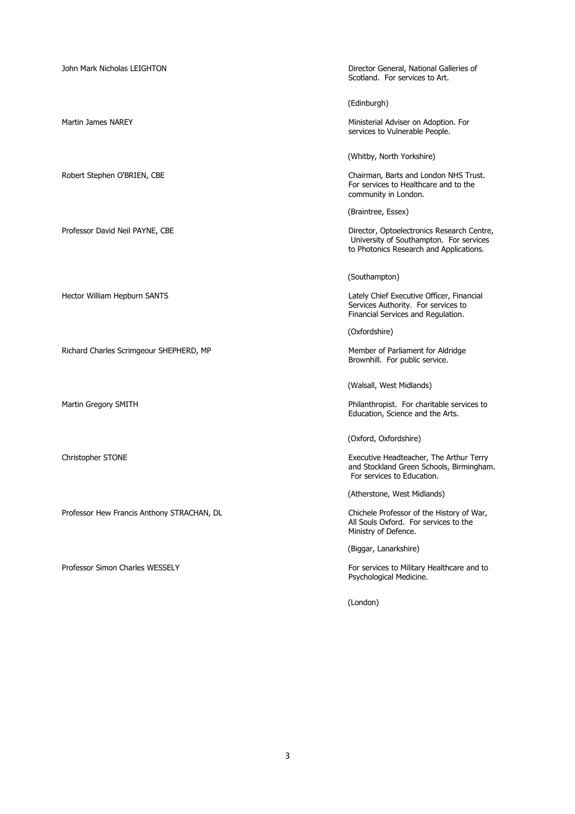John Mark Nicholas LEIGHTON **Director General, National Galleries of** Scotland. For services to Art. (Edinburgh) Martin James NAREY Ministerial Adviser on Adoption. For services to Vulnerable People. (Whitby, North Yorkshire) Robert Stephen O'BRIEN, CBE Chairman, Barts and London NHS Trust. For services to Healthcare and to the community in London. (Braintree, Essex) Professor David Neil PAYNE, CBE Director, Optoelectronics Research Centre, University of Southampton. For services to Photonics Research and Applications. (Southampton) Hector William Hepburn SANTS Lately Chief Executive Officer, Financial Services Authority. For services to Financial Services and Regulation. (Oxfordshire) Richard Charles Scrimgeour SHEPHERD, MP Member of Parliament for Aldridge Brownhill. For public service. (Walsall, West Midlands) Martin Gregory SMITH **Philanthropist.** For charitable services to Education, Science and the Arts. (Oxford, Oxfordshire) Christopher STONE Executive Headteacher, The Arthur Terry and Stockland Green Schools, Birmingham. For services to Education. (Atherstone, West Midlands) Professor Hew Francis Anthony STRACHAN, DL Chichele Professor of the History of War, All Souls Oxford. For services to the Ministry of Defence. (Biggar, Lanarkshire) Professor Simon Charles WESSELY For services to Military Healthcare and to Psychological Medicine. (London)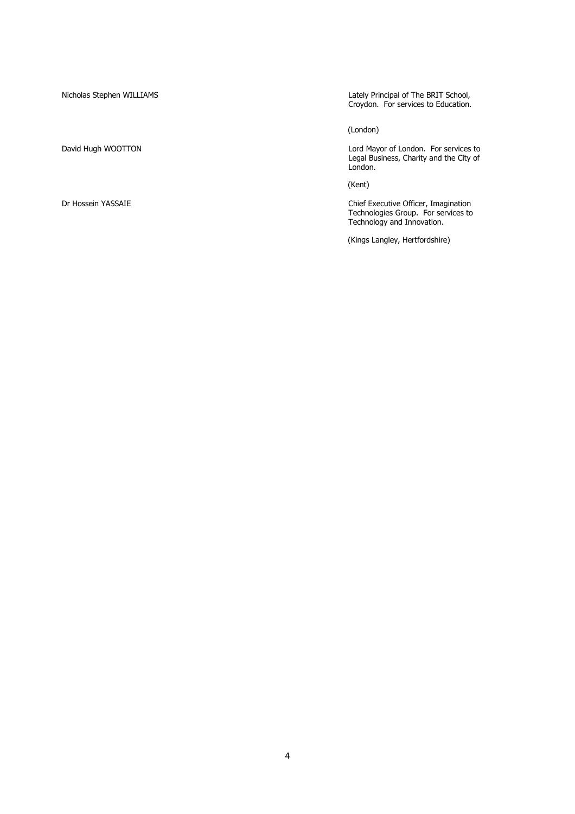Nicholas Stephen WILLIAMS Lately Principal of The BRIT School, Croydon. For services to Education.

(London)

David Hugh WOOTTON Lord Mayor of London. For services to Legal Business, Charity and the City of London.

(Kent)

Dr Hossein YASSAIE Chief Executive Officer, Imagination Technologies Group. For services to Technology and Innovation.

(Kings Langley, Hertfordshire)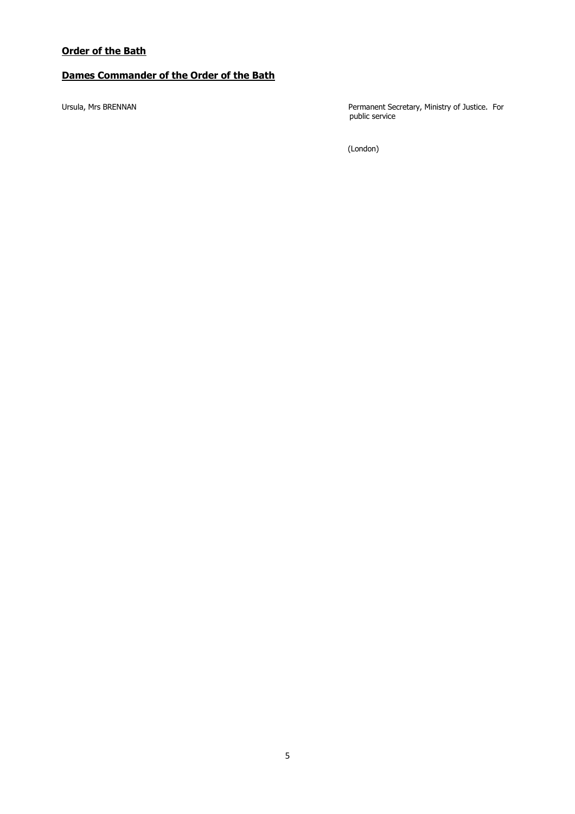# **Dames Commander of the Order of the Bath**

Ursula, Mrs BRENNAN **Permanent Secretary, Ministry of Justice.** For public service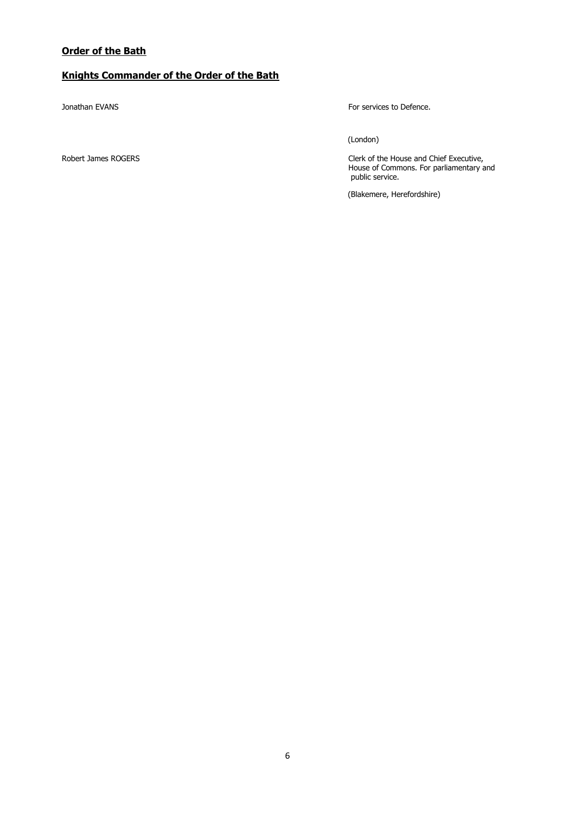## **Order of the Bath**

# **Knights Commander of the Order of the Bath**

Jonathan EVANS **For services** to Defence.

(London)

Robert James ROGERS Clerk of the House and Chief Executive, House of Commons. For parliamentary and public service.

(Blakemere, Herefordshire)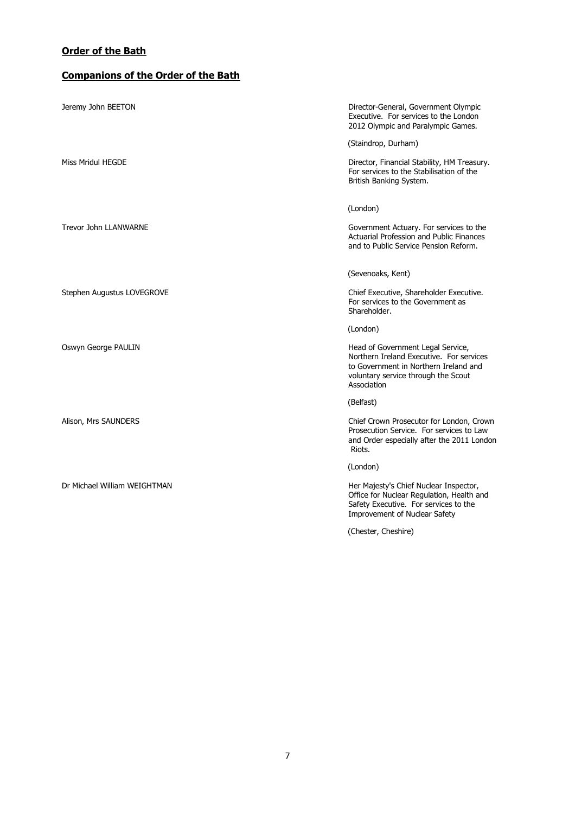## **Order of the Bath**

# **Companions of the Order of the Bath**

| Jeremy John BEETON           | Director-General, Government Olympic<br>Executive. For services to the London<br>2012 Olympic and Paralympic Games.                                                          |
|------------------------------|------------------------------------------------------------------------------------------------------------------------------------------------------------------------------|
|                              | (Staindrop, Durham)                                                                                                                                                          |
| Miss Mridul HEGDE            | Director, Financial Stability, HM Treasury.<br>For services to the Stabilisation of the<br>British Banking System.                                                           |
|                              | (London)                                                                                                                                                                     |
| <b>Trevor John LLANWARNE</b> | Government Actuary. For services to the<br><b>Actuarial Profession and Public Finances</b><br>and to Public Service Pension Reform.                                          |
|                              | (Sevenoaks, Kent)                                                                                                                                                            |
| Stephen Augustus LOVEGROVE   | Chief Executive, Shareholder Executive.<br>For services to the Government as<br>Shareholder.                                                                                 |
|                              | (London)                                                                                                                                                                     |
| Oswyn George PAULIN          | Head of Government Legal Service,<br>Northern Ireland Executive. For services<br>to Government in Northern Ireland and<br>voluntary service through the Scout<br>Association |
|                              | (Belfast)                                                                                                                                                                    |
| Alison, Mrs SAUNDERS         | Chief Crown Prosecutor for London, Crown<br>Prosecution Service. For services to Law<br>and Order especially after the 2011 London<br>Riots.                                 |
|                              | (London)                                                                                                                                                                     |
| Dr Michael William WEIGHTMAN | Her Majesty's Chief Nuclear Inspector,<br>Office for Nuclear Regulation, Health and<br>Safety Executive. For services to the<br><b>Improvement of Nuclear Safety</b>         |
|                              | (Chester, Cheshire)                                                                                                                                                          |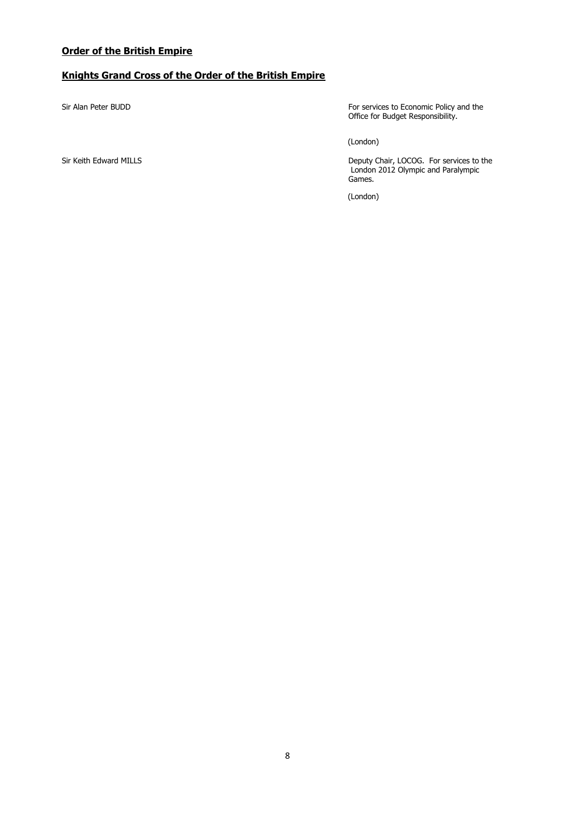## **Knights Grand Cross of the Order of the British Empire**

Sir Alan Peter BUDD **For services to Economic Policy and the** Office for Budget Responsibility.

(London)

Sir Keith Edward MILLS Deputy Chair, LOCOG. For services to the London 2012 Olympic and Paralympic Games.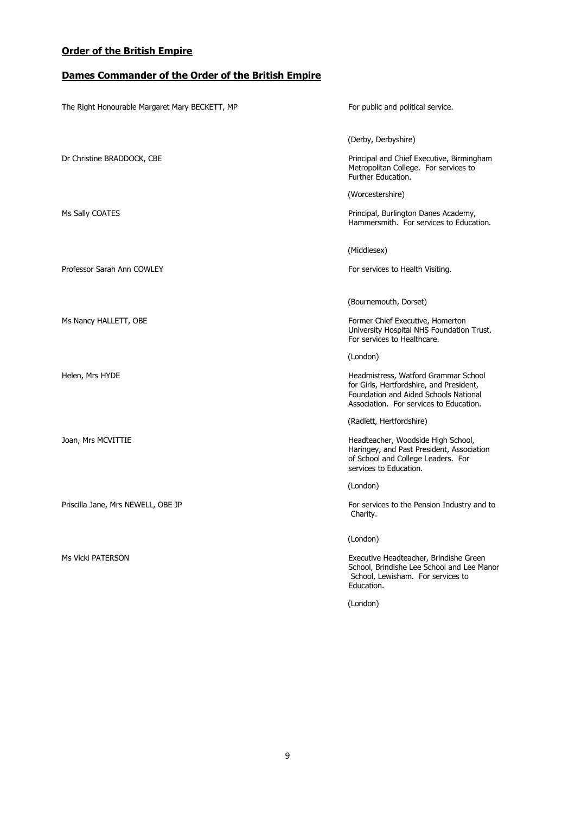# **Dames Commander of the Order of the British Empire**

| The Right Honourable Margaret Mary BECKETT, MP | For public and political service.                                                                                                                                    |
|------------------------------------------------|----------------------------------------------------------------------------------------------------------------------------------------------------------------------|
|                                                | (Derby, Derbyshire)                                                                                                                                                  |
| Dr Christine BRADDOCK, CBE                     | Principal and Chief Executive, Birmingham<br>Metropolitan College. For services to<br>Further Education.                                                             |
|                                                | (Worcestershire)                                                                                                                                                     |
| Ms Sally COATES                                | Principal, Burlington Danes Academy,<br>Hammersmith. For services to Education.                                                                                      |
|                                                | (Middlesex)                                                                                                                                                          |
| Professor Sarah Ann COWLEY                     | For services to Health Visiting.                                                                                                                                     |
|                                                | (Bournemouth, Dorset)                                                                                                                                                |
| Ms Nancy HALLETT, OBE                          | Former Chief Executive, Homerton<br>University Hospital NHS Foundation Trust.<br>For services to Healthcare.                                                         |
|                                                | (London)                                                                                                                                                             |
| Helen, Mrs HYDE                                | Headmistress, Watford Grammar School<br>for Girls, Hertfordshire, and President,<br>Foundation and Aided Schools National<br>Association. For services to Education. |
|                                                | (Radlett, Hertfordshire)                                                                                                                                             |
| Joan, Mrs MCVITTIE                             | Headteacher, Woodside High School,<br>Haringey, and Past President, Association<br>of School and College Leaders. For<br>services to Education.                      |
|                                                | (London)                                                                                                                                                             |
| Priscilla Jane, Mrs NEWELL, OBE JP             | For services to the Pension Industry and to<br>Charity.                                                                                                              |
|                                                | (London)                                                                                                                                                             |
| Ms Vicki PATERSON                              | Executive Headteacher, Brindishe Green<br>School, Brindishe Lee School and Lee Manor<br>School, Lewisham. For services to<br>Education.                              |
|                                                | (London)                                                                                                                                                             |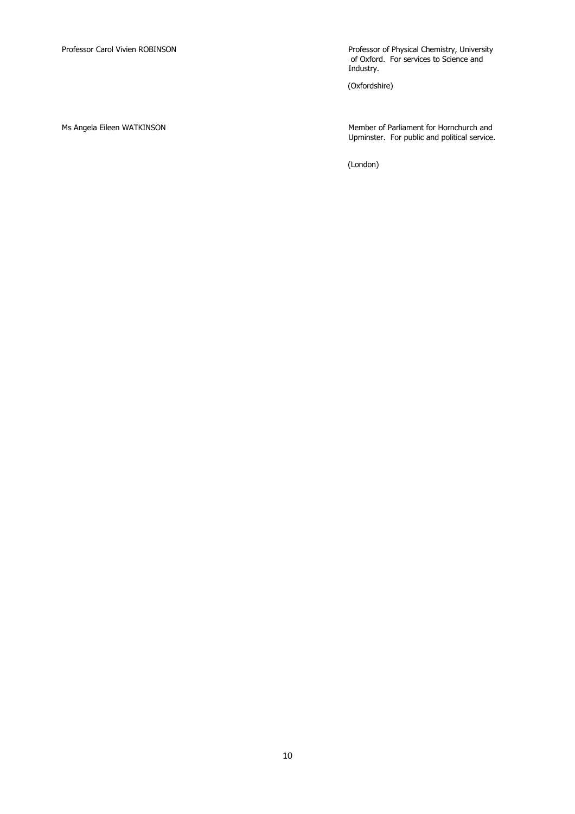Professor Carol Vivien ROBINSON Professor of Physical Chemistry, University of Oxford. For services to Science and Industry.

(Oxfordshire)

Ms Angela Eileen WATKINSON Member of Parliament for Hornchurch and Upminster. For public and political service.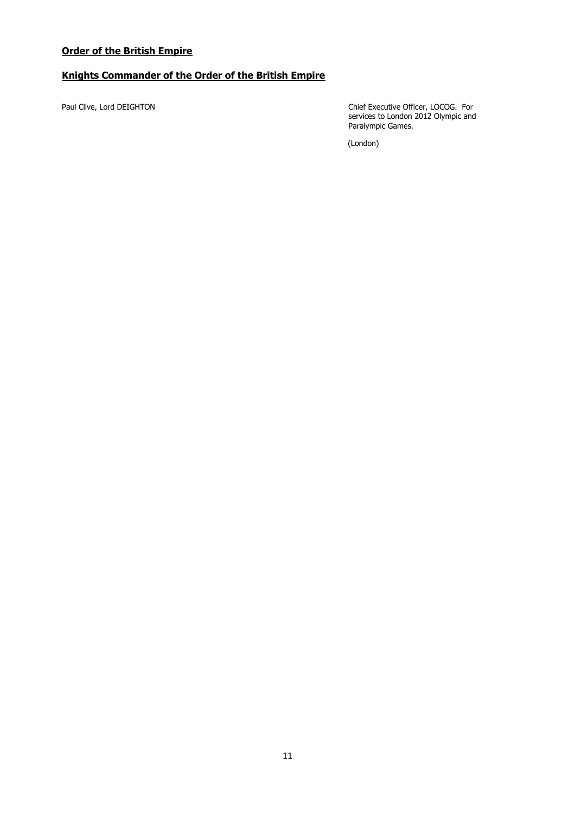# **Knights Commander of the Order of the British Empire**

Paul Clive, Lord DEIGHTON Chief Executive Officer, LOCOG. For services to London 2012 Olympic and Paralympic Games.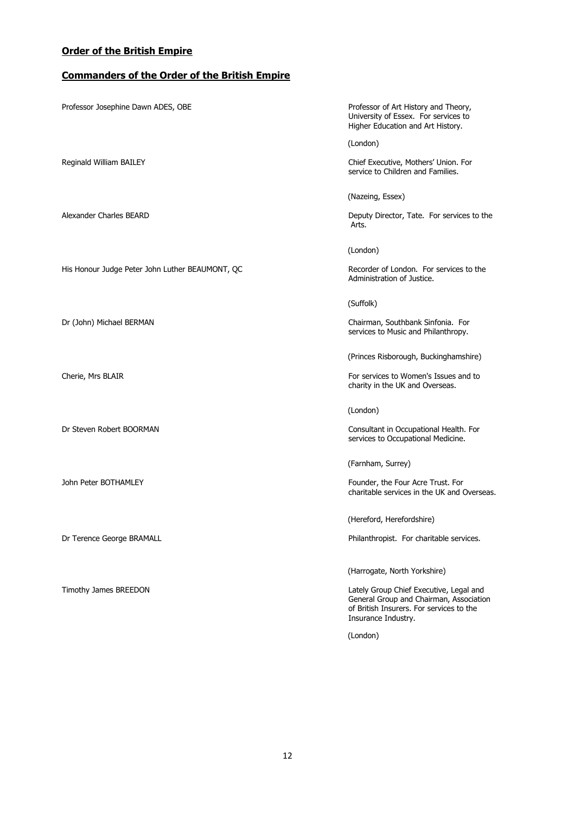# **Commanders of the Order of the British Empire**

| Professor Josephine Dawn ADES, OBE              | Professor of Art History and Theory,<br>University of Essex. For services to<br>Higher Education and Art History.                                     |
|-------------------------------------------------|-------------------------------------------------------------------------------------------------------------------------------------------------------|
|                                                 | (London)                                                                                                                                              |
| Reginald William BAILEY                         | Chief Executive, Mothers' Union. For<br>service to Children and Families.                                                                             |
|                                                 | (Nazeing, Essex)                                                                                                                                      |
| Alexander Charles BEARD                         | Deputy Director, Tate. For services to the<br>Arts.                                                                                                   |
|                                                 | (London)                                                                                                                                              |
| His Honour Judge Peter John Luther BEAUMONT, QC | Recorder of London. For services to the<br>Administration of Justice.                                                                                 |
|                                                 | (Suffolk)                                                                                                                                             |
| Dr (John) Michael BERMAN                        | Chairman, Southbank Sinfonia. For<br>services to Music and Philanthropy.                                                                              |
|                                                 | (Princes Risborough, Buckinghamshire)                                                                                                                 |
| Cherie, Mrs BLAIR                               | For services to Women's Issues and to<br>charity in the UK and Overseas.                                                                              |
|                                                 | (London)                                                                                                                                              |
| Dr Steven Robert BOORMAN                        | Consultant in Occupational Health. For<br>services to Occupational Medicine.                                                                          |
|                                                 | (Farnham, Surrey)                                                                                                                                     |
| John Peter BOTHAMLEY                            | Founder, the Four Acre Trust. For<br>charitable services in the UK and Overseas.                                                                      |
|                                                 | (Hereford, Herefordshire)                                                                                                                             |
| Dr Terence George BRAMALL                       | Philanthropist. For charitable services.                                                                                                              |
|                                                 | (Harrogate, North Yorkshire)                                                                                                                          |
| Timothy James BREEDON                           | Lately Group Chief Executive, Legal and<br>General Group and Chairman, Association<br>of British Insurers. For services to the<br>Insurance Industry. |
|                                                 | (London)                                                                                                                                              |
|                                                 |                                                                                                                                                       |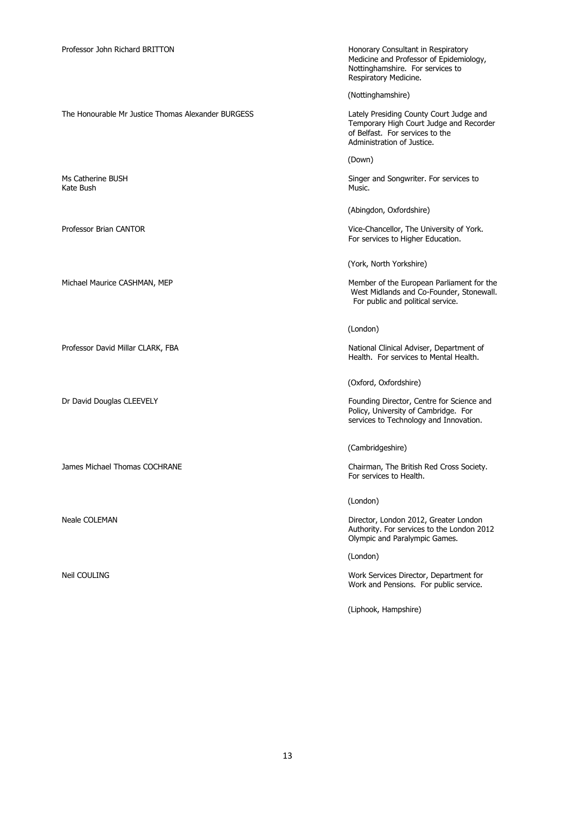The Honourable Mr Justice Thomas Alexander BURGESS

Kate Bush Music. And the state of the state of the state of the state of the state of the state of the state o

Medicine and Professor of Epidemiology, Nottinghamshire. For services to Respiratory Medicine.

(Nottinghamshire)

Lately Presiding County Court Judge and<br>Temporary High Court Judge and Recorder of Belfast. For services to the Administration of Justice.

(Down)

Ms Catherine BUSH Singer and Songwriter. For services to Singer and Songwriter. For services to Nusic.

(Abingdon, Oxfordshire)

Professor Brian CANTOR Vice-Chancellor, The University of York. For services to Higher Education.

(York, North Yorkshire)

Michael Maurice CASHMAN, MEP Member of the European Parliament for the West Midlands and Co-Founder, Stonewall. For public and political service.

(London)

Professor David Millar CLARK, FBA National Clinical Adviser, Department of Health. For services to Mental Health.

(Oxford, Oxfordshire)

Dr David Douglas CLEEVELY **Founding Director, Centre for Science and** Policy, University of Cambridge. For services to Technology and Innovation.

(Cambridgeshire)

James Michael Thomas COCHRANE Chairman, The British Red Cross Society. For services to Health.

(London)

Neale COLEMAN **Director, London 2012, Greater London** Authority. For services to the London 2012 Olympic and Paralympic Games.

(London)

Neil COULING Work Services Director, Department for Work and Pensions. For public service.

(Liphook, Hampshire)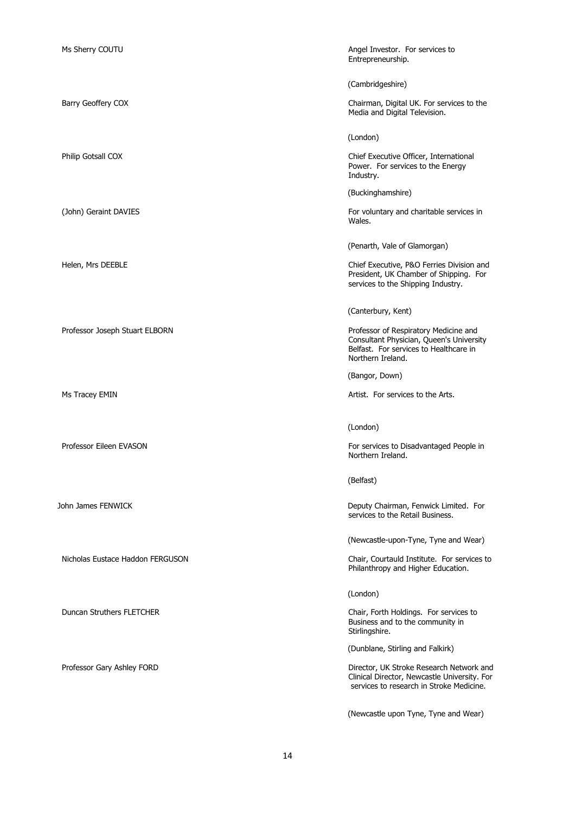| Ms Sherry COUTU                  | Angel Investor. For services to<br>Entrepreneurship.                                                                                             |
|----------------------------------|--------------------------------------------------------------------------------------------------------------------------------------------------|
|                                  | (Cambridgeshire)                                                                                                                                 |
| Barry Geoffery COX               | Chairman, Digital UK. For services to the<br>Media and Digital Television.                                                                       |
|                                  | (London)                                                                                                                                         |
| Philip Gotsall COX               | Chief Executive Officer, International<br>Power. For services to the Energy<br>Industry.                                                         |
|                                  | (Buckinghamshire)                                                                                                                                |
| (John) Geraint DAVIES            | For voluntary and charitable services in<br>Wales.                                                                                               |
|                                  | (Penarth, Vale of Glamorgan)                                                                                                                     |
| Helen, Mrs DEEBLE                | Chief Executive, P&O Ferries Division and<br>President, UK Chamber of Shipping. For<br>services to the Shipping Industry.                        |
|                                  | (Canterbury, Kent)                                                                                                                               |
| Professor Joseph Stuart ELBORN   | Professor of Respiratory Medicine and<br>Consultant Physician, Queen's University<br>Belfast. For services to Healthcare in<br>Northern Ireland. |
|                                  | (Bangor, Down)                                                                                                                                   |
| Ms Tracey EMIN                   | Artist. For services to the Arts.                                                                                                                |
|                                  | (London)                                                                                                                                         |
| Professor Eileen EVASON          | For services to Disadvantaged People in<br>Northern Ireland.                                                                                     |
|                                  | (Belfast)                                                                                                                                        |
| John James FENWICK               | Deputy Chairman, Fenwick Limited. For<br>services to the Retail Business.                                                                        |
|                                  | (Newcastle-upon-Tyne, Tyne and Wear)                                                                                                             |
| Nicholas Eustace Haddon FERGUSON | Chair, Courtauld Institute. For services to<br>Philanthropy and Higher Education.                                                                |
|                                  | (London)                                                                                                                                         |
| Duncan Struthers FLETCHER        | Chair, Forth Holdings. For services to<br>Business and to the community in<br>Stirlingshire.                                                     |
|                                  | (Dunblane, Stirling and Falkirk)                                                                                                                 |
| Professor Gary Ashley FORD       | Director, UK Stroke Research Network and<br>Clinical Director, Newcastle University. For<br>services to research in Stroke Medicine.             |
|                                  | (Newcastle upon Tyne, Tyne and Wear)                                                                                                             |

14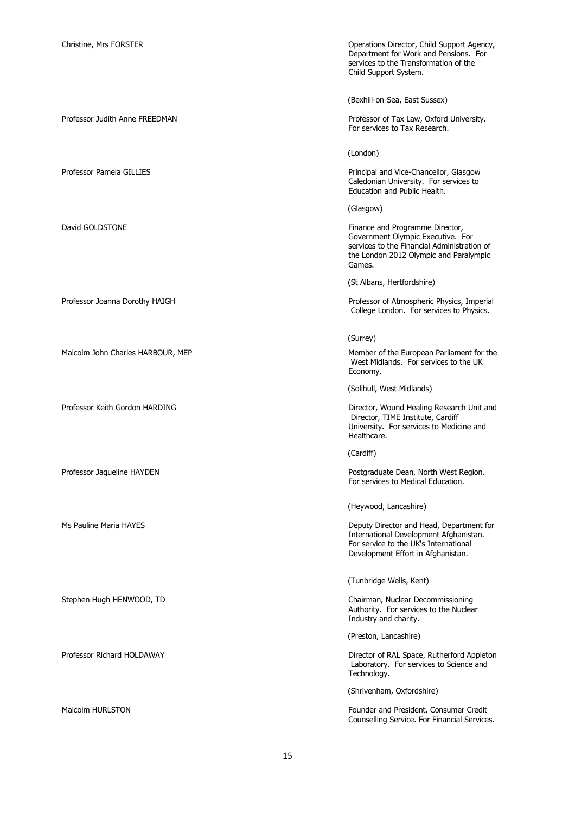Professor Judith Anne FREEDMAN **Professor Judith Anne FREEDMAN** Professor of Tax Law, Oxford University.

Malcolm John Charles HARBOUR, MEP Member of the European Parliament for the

Christine, Mrs FORSTER Operations Director, Child Support Agency, Department for Work and Pensions. For services to the Transformation of the Child Support System.

(Bexhill-on-Sea, East Sussex)

For services to Tax Research.

(London)

Professor Pamela GILLIES **Principal and Vice-Chancellor, Glasgow** Principal and Vice-Chancellor, Glasgow Caledonian University. For services to Education and Public Health.

(Glasgow)

David GOLDSTONE **Finance and Programme Director**, Government Olympic Executive. For services to the Financial Administration of the London 2012 Olympic and Paralympic Games.

(St Albans, Hertfordshire)

Professor Joanna Dorothy HAIGH **Professor Joanna Dorothy HAIGH** Professor of Atmospheric Physics, Imperial College London. For services to Physics.

(Surrey)

West Midlands. For services to the UK Economy.

(Solihull, West Midlands)

Professor Keith Gordon HARDING **Director, Wound Healing Research Unit and** Director, TIME Institute, Cardiff University. For services to Medicine and Healthcare.

(Cardiff)

Professor Jaqueline HAYDEN **Professor Jaqueline HAYDEN** Postgraduate Dean, North West Region. For services to Medical Education.

(Heywood, Lancashire)

Ms Pauline Maria HAYES Deputy Director and Head, Department for International Development Afghanistan. For service to the UK's International Development Effort in Afghanistan.

(Tunbridge Wells, Kent)

Stephen Hugh HENWOOD, TD **Chairman, Nuclear Decommissioning** Authority. For services to the Nuclear Industry and charity.

(Preston, Lancashire)

Professor Richard HOLDAWAY **Director of RAL Space, Rutherford Appleton** Laboratory. For services to Science and Technology.

(Shrivenham, Oxfordshire)

Malcolm HURLSTON Founder and President, Consumer Credit Counselling Service. For Financial Services.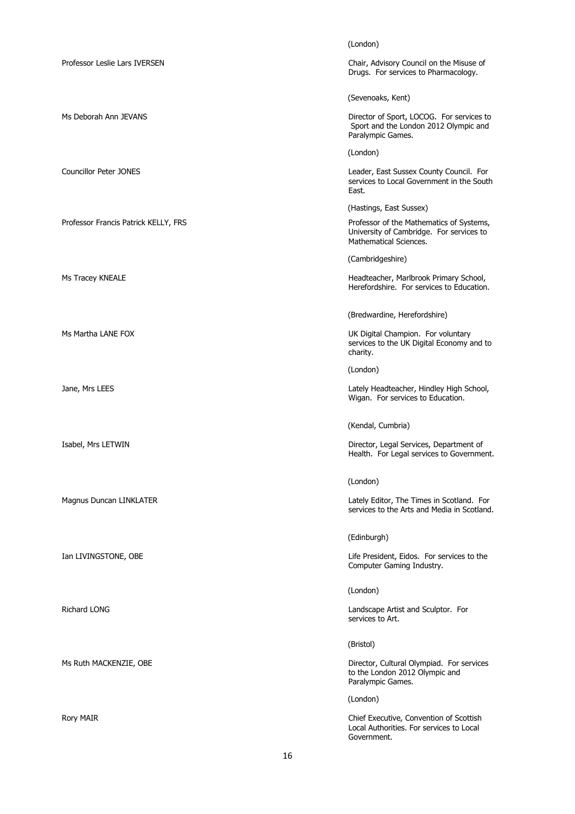|                                      | (London)                                                                                                       |
|--------------------------------------|----------------------------------------------------------------------------------------------------------------|
| Professor Leslie Lars IVERSEN        | Chair, Advisory Council on the Misuse of<br>Drugs. For services to Pharmacology.                               |
|                                      | (Sevenoaks, Kent)                                                                                              |
| Ms Deborah Ann JEVANS                | Director of Sport, LOCOG. For services to<br>Sport and the London 2012 Olympic and<br>Paralympic Games.        |
|                                      | (London)                                                                                                       |
| <b>Councillor Peter JONES</b>        | Leader, East Sussex County Council. For<br>services to Local Government in the South<br>East.                  |
|                                      | (Hastings, East Sussex)                                                                                        |
| Professor Francis Patrick KELLY, FRS | Professor of the Mathematics of Systems,<br>University of Cambridge. For services to<br>Mathematical Sciences. |
|                                      | (Cambridgeshire)                                                                                               |
| Ms Tracey KNEALE                     | Headteacher, Marlbrook Primary School,<br>Herefordshire. For services to Education.                            |
|                                      | (Bredwardine, Herefordshire)                                                                                   |
| Ms Martha LANE FOX                   | UK Digital Champion. For voluntary<br>services to the UK Digital Economy and to<br>charity.                    |
|                                      | (London)                                                                                                       |
| Jane, Mrs LEES                       | Lately Headteacher, Hindley High School,<br>Wigan. For services to Education.                                  |
|                                      | (Kendal, Cumbria)                                                                                              |
| Isabel, Mrs LETWIN                   | Director, Legal Services, Department of<br>Health. For Legal services to Government.                           |
|                                      | (London)                                                                                                       |
| Magnus Duncan LINKLATER              | Lately Editor, The Times in Scotland. For<br>services to the Arts and Media in Scotland.                       |
|                                      | (Edinburgh)                                                                                                    |
| Ian LIVINGSTONE, OBE                 | Life President, Eidos. For services to the<br>Computer Gaming Industry.                                        |
|                                      | (London)                                                                                                       |
| Richard LONG                         | Landscape Artist and Sculptor. For<br>services to Art.                                                         |
|                                      | (Bristol)                                                                                                      |
| Ms Ruth MACKENZIE, OBE               | Director, Cultural Olympiad. For services<br>to the London 2012 Olympic and<br>Paralympic Games.               |
|                                      | (London)                                                                                                       |
| Rory MAIR                            | Chief Executive, Convention of Scottish<br>Local Authorities. For services to Local<br>Government.             |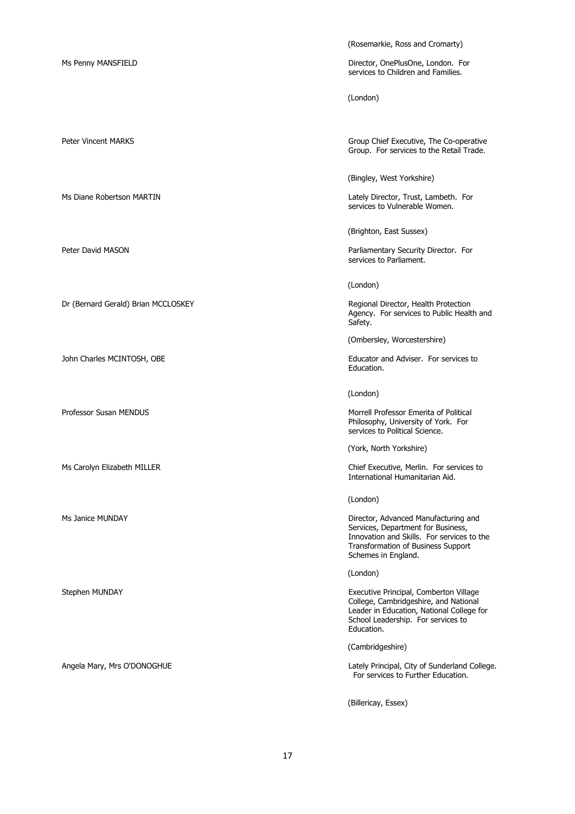Dr (Bernard Gerald) Brian MCCLOSKEY Regional Director, Health Protection

John Charles MCINTOSH, OBE **Educator and Adviser.** For services to

(Rosemarkie, Ross and Cromarty)

Ms Penny MANSFIELD **Manufacture Controller Controller Controller Controller Controller Controller Controller Controller Controller Controller Controller Controller Controller Controller Controller Controller Controller Con** services to Children and Families.

(London)

Peter Vincent MARKS **Group Chief Executive, The Co-operative** Group. For services to the Retail Trade.

(Bingley, West Yorkshire)

Ms Diane Robertson MARTIN Lately Director, Trust, Lambeth. For services to Vulnerable Women.

(Brighton, East Sussex)

Peter David MASON **Parliamentary Security Director.** For services to Parliament.

(London)

Agency. For services to Public Health and Safety.

(Ombersley, Worcestershire)

Education.

(London)

Professor Susan MENDUS **Morrell Professor Emerita of Political** Philosophy, University of York. For services to Political Science.

(York, North Yorkshire)

Ms Carolyn Elizabeth MILLER **Chief Executive, Merlin.** For services to International Humanitarian Aid.

(London)

Ms Janice MUNDAY Director, Advanced Manufacturing and Services, Department for Business, Innovation and Skills. For services to the Transformation of Business Support Schemes in England.

(London)

Stephen MUNDAY Executive Principal, Comberton Village College, Cambridgeshire, and National Leader in Education, National College for School Leadership. For services to Education.

(Cambridgeshire)

Angela Mary, Mrs O'DONOGHUE **Lately Principal, City of Sunderland College.** For services to Further Education.

(Billericay, Essex)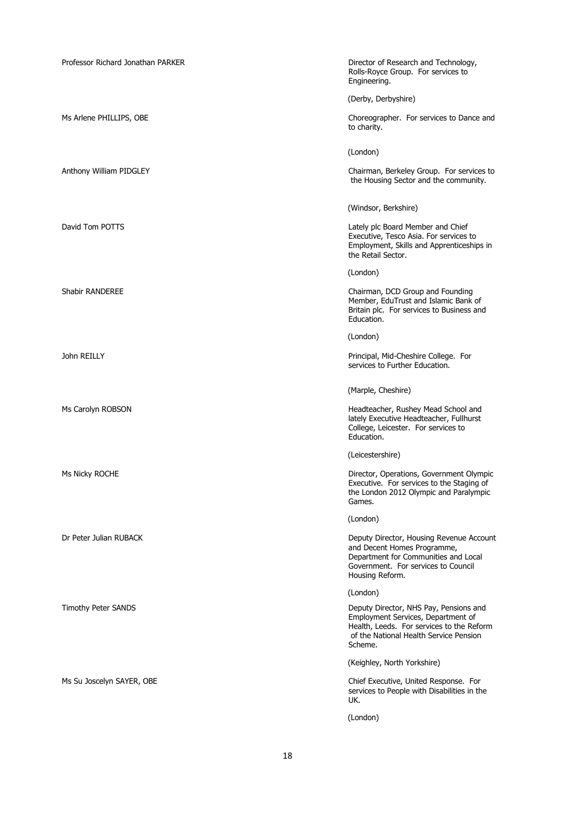| Professor Richard Jonathan PARKER | Director of Research and Technology,<br>Rolls-Royce Group. For services to<br>Engineering.                                                                                     |
|-----------------------------------|--------------------------------------------------------------------------------------------------------------------------------------------------------------------------------|
|                                   | (Derby, Derbyshire)                                                                                                                                                            |
| Ms Arlene PHILLIPS, OBE           | Choreographer. For services to Dance and<br>to charity.                                                                                                                        |
|                                   | (London)                                                                                                                                                                       |
| Anthony William PIDGLEY           | Chairman, Berkeley Group. For services to<br>the Housing Sector and the community.                                                                                             |
|                                   | (Windsor, Berkshire)                                                                                                                                                           |
| David Tom POTTS                   | Lately plc Board Member and Chief<br>Executive, Tesco Asia. For services to<br>Employment, Skills and Apprenticeships in<br>the Retail Sector.                                 |
|                                   | (London)                                                                                                                                                                       |
| Shabir RANDEREE                   | Chairman, DCD Group and Founding<br>Member, EduTrust and Islamic Bank of<br>Britain plc. For services to Business and<br>Education.                                            |
|                                   | (London)                                                                                                                                                                       |
| John REILLY                       | Principal, Mid-Cheshire College. For<br>services to Further Education.                                                                                                         |
|                                   | (Marple, Cheshire)                                                                                                                                                             |
| Ms Carolyn ROBSON                 | Headteacher, Rushey Mead School and<br>lately Executive Headteacher, Fullhurst<br>College, Leicester. For services to<br>Education.                                            |
|                                   | (Leicestershire)                                                                                                                                                               |
| Ms Nicky ROCHE                    | Director, Operations, Government Olympic<br>Executive. For services to the Staging of<br>the London 2012 Olympic and Paralympic<br>Games.                                      |
|                                   | (London)                                                                                                                                                                       |
| Dr Peter Julian RUBACK            | Deputy Director, Housing Revenue Account<br>and Decent Homes Programme,<br>Department for Communities and Local<br>Government. For services to Council<br>Housing Reform.      |
|                                   | (London)                                                                                                                                                                       |
| Timothy Peter SANDS               | Deputy Director, NHS Pay, Pensions and<br>Employment Services, Department of<br>Health, Leeds. For services to the Reform<br>of the National Health Service Pension<br>Scheme. |
|                                   | (Keighley, North Yorkshire)                                                                                                                                                    |
| Ms Su Joscelyn SAYER, OBE         | Chief Executive, United Response. For<br>services to People with Disabilities in the<br>UK.                                                                                    |
|                                   | (London)                                                                                                                                                                       |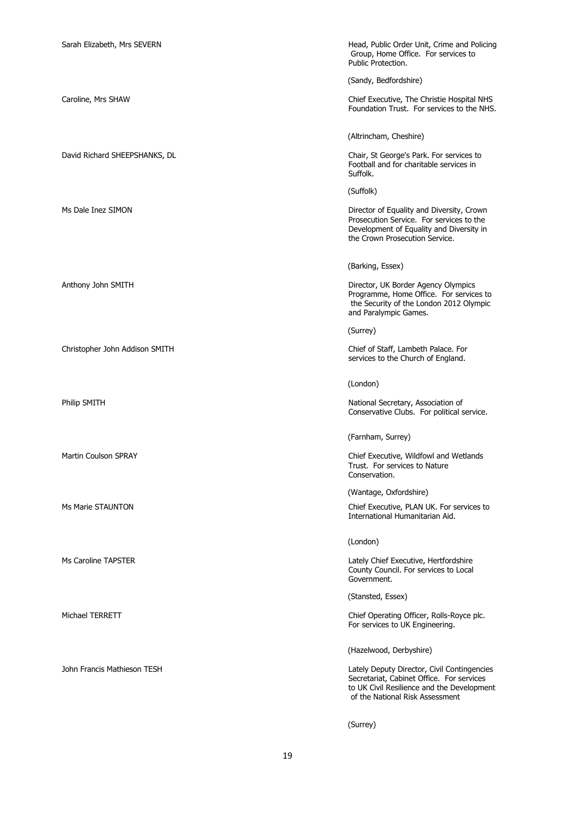| Sarah Elizabeth, Mrs SEVERN    | Head, Public Order Unit, Crime and Policing<br>Group, Home Office. For services to<br>Public Protection.                                                                  |
|--------------------------------|---------------------------------------------------------------------------------------------------------------------------------------------------------------------------|
|                                | (Sandy, Bedfordshire)                                                                                                                                                     |
| Caroline, Mrs SHAW             | Chief Executive, The Christie Hospital NHS<br>Foundation Trust. For services to the NHS.                                                                                  |
|                                | (Altrincham, Cheshire)                                                                                                                                                    |
| David Richard SHEEPSHANKS, DL  | Chair, St George's Park. For services to<br>Football and for charitable services in<br>Suffolk.                                                                           |
|                                | (Suffolk)                                                                                                                                                                 |
| Ms Dale Inez SIMON             | Director of Equality and Diversity, Crown<br>Prosecution Service. For services to the<br>Development of Equality and Diversity in<br>the Crown Prosecution Service.       |
|                                | (Barking, Essex)                                                                                                                                                          |
| Anthony John SMITH             | Director, UK Border Agency Olympics<br>Programme, Home Office. For services to<br>the Security of the London 2012 Olympic<br>and Paralympic Games.                        |
|                                | (Surrey)                                                                                                                                                                  |
| Christopher John Addison SMITH | Chief of Staff, Lambeth Palace. For<br>services to the Church of England.                                                                                                 |
|                                | (London)                                                                                                                                                                  |
| Philip SMITH                   | National Secretary, Association of<br>Conservative Clubs. For political service.                                                                                          |
|                                | (Farnham, Surrey)                                                                                                                                                         |
| <b>Martin Coulson SPRAY</b>    | Chief Executive, Wildfowl and Wetlands<br>Trust. For services to Nature<br>Conservation.                                                                                  |
|                                | (Wantage, Oxfordshire)                                                                                                                                                    |
| Ms Marie STAUNTON              | Chief Executive, PLAN UK. For services to<br>International Humanitarian Aid.                                                                                              |
|                                | (London)                                                                                                                                                                  |
| Ms Caroline TAPSTER            | Lately Chief Executive, Hertfordshire<br>County Council. For services to Local<br>Government.                                                                             |
|                                | (Stansted, Essex)                                                                                                                                                         |
| Michael TERRETT                | Chief Operating Officer, Rolls-Royce plc.<br>For services to UK Engineering.                                                                                              |
|                                | (Hazelwood, Derbyshire)                                                                                                                                                   |
| John Francis Mathieson TESH    | Lately Deputy Director, Civil Contingencies<br>Secretariat, Cabinet Office. For services<br>to UK Civil Resilience and the Development<br>of the National Risk Assessment |
|                                | (Surrey)                                                                                                                                                                  |

19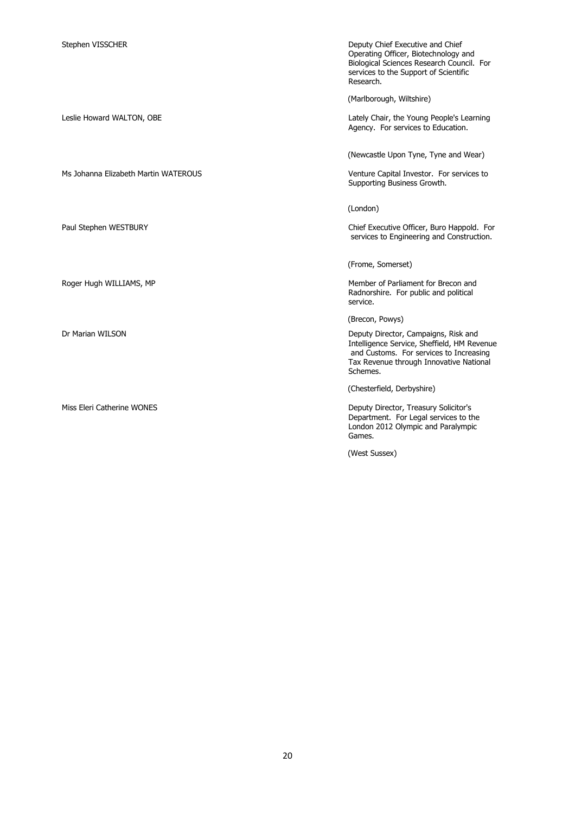Ms Johanna Elizabeth Martin WATEROUS Venture Capital Investor. For services to

Stephen VISSCHER **Deputy Chief Executive and Chief** Operating Officer, Biotechnology and Biological Sciences Research Council. For services to the Support of Scientific Research.

(Marlborough, Wiltshire)

Leslie Howard WALTON, OBE Lately Chair, the Young People's Learning Agency. For services to Education.

(Newcastle Upon Tyne, Tyne and Wear)

Supporting Business Growth.

(London)

Paul Stephen WESTBURY **Chief Executive Officer, Buro Happold.** For services to Engineering and Construction.

(Frome, Somerset)

Roger Hugh WILLIAMS, MP **Member of Parliament for Brecon and** Radnorshire. For public and political service.

(Brecon, Powys)

Dr Marian WILSON Deputy Director, Campaigns, Risk and Intelligence Service, Sheffield, HM Revenue and Customs. For services to Increasing Tax Revenue through Innovative National Schemes.

(Chesterfield, Derbyshire)

Miss Eleri Catherine WONES **Deputy Director, Treasury Solicitor's** Department. For Legal services to the London 2012 Olympic and Paralympic Games.

(West Sussex)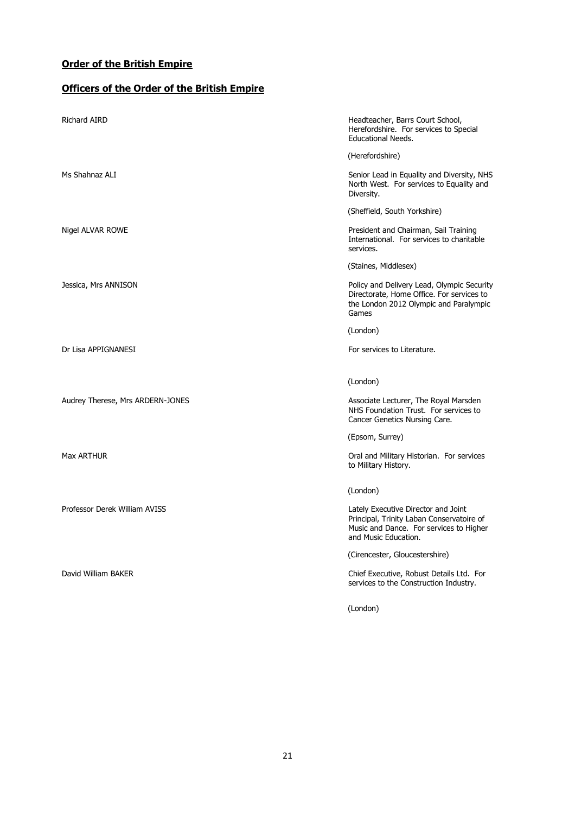#### **Officers of the Order of the British Empire**

| <b>Richard AIRD</b>              | Headteacher, Barrs Court School,<br>Herefordshire. For services to Special<br><b>Educational Needs.</b>                                             |
|----------------------------------|-----------------------------------------------------------------------------------------------------------------------------------------------------|
|                                  | (Herefordshire)                                                                                                                                     |
| Ms Shahnaz ALI                   | Senior Lead in Equality and Diversity, NHS<br>North West. For services to Equality and<br>Diversity.                                                |
|                                  | (Sheffield, South Yorkshire)                                                                                                                        |
| Nigel ALVAR ROWE                 | President and Chairman, Sail Training<br>International. For services to charitable<br>services.                                                     |
|                                  | (Staines, Middlesex)                                                                                                                                |
| Jessica, Mrs ANNISON             | Policy and Delivery Lead, Olympic Security<br>Directorate, Home Office. For services to<br>the London 2012 Olympic and Paralympic<br>Games          |
|                                  | (London)                                                                                                                                            |
| Dr Lisa APPIGNANESI              | For services to Literature.                                                                                                                         |
|                                  |                                                                                                                                                     |
|                                  | (London)                                                                                                                                            |
| Audrey Therese, Mrs ARDERN-JONES | Associate Lecturer, The Royal Marsden<br>NHS Foundation Trust. For services to<br>Cancer Genetics Nursing Care.                                     |
|                                  | (Epsom, Surrey)                                                                                                                                     |
| Max ARTHUR                       | Oral and Military Historian. For services<br>to Military History.                                                                                   |
|                                  | (London)                                                                                                                                            |
| Professor Derek William AVISS    | Lately Executive Director and Joint<br>Principal, Trinity Laban Conservatoire of<br>Music and Dance. For services to Higher<br>and Music Education. |
|                                  | (Cirencester, Gloucestershire)                                                                                                                      |
|                                  |                                                                                                                                                     |
| David William BAKER              | Chief Executive, Robust Details Ltd. For<br>services to the Construction Industry.                                                                  |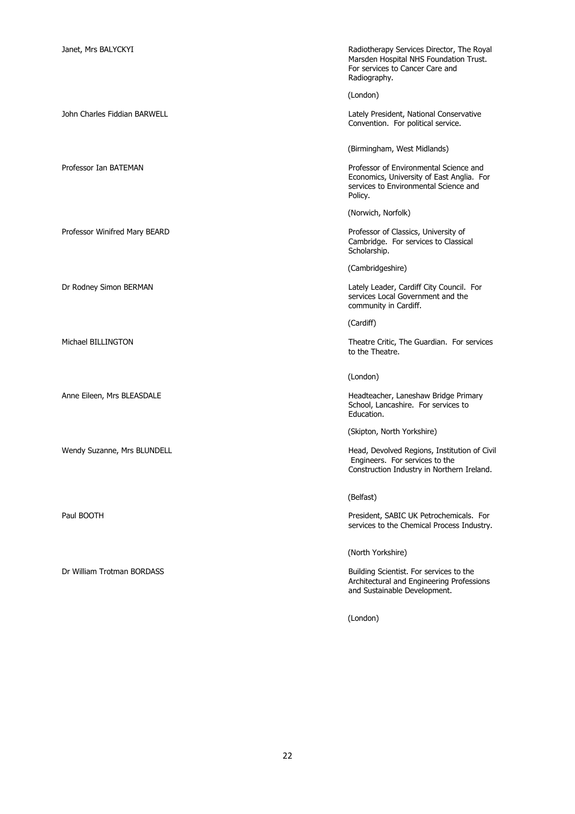Professor Winifred Mary BEARD **Professor of Classics, University of Classics**, University of

Janet, Mrs BALYCKYI **Radiotherapy Services Director, The Royal** Marsden Hospital NHS Foundation Trust. For services to Cancer Care and Radiography.

(London)

John Charles Fiddian BARWELL **Lately President, National Conservative** Convention. For political service.

(Birmingham, West Midlands)

Professor Ian BATEMAN **Professor Ian BATEMAN** Professor of Environmental Science and Economics, University of East Anglia. For services to Environmental Science and Policy.

(Norwich, Norfolk)

Cambridge. For services to Classical Scholarship.

(Cambridgeshire)

Dr Rodney Simon BERMAN Lately Leader, Cardiff City Council. For services Local Government and the community in Cardiff.

(Cardiff)

Michael BILLINGTON Theatre Critic, The Guardian. For services to the Theatre.

(London)

Anne Eileen, Mrs BLEASDALE **Headteacher, Laneshaw Bridge Primary** School, Lancashire. For services to Education.

(Skipton, North Yorkshire)

Wendy Suzanne, Mrs BLUNDELL **Matter and Suzanne, Mrs BLUNDELL** Head, Devolved Regions, Institution of Civil Engineers. For services to the Construction Industry in Northern Ireland.

(Belfast)

Paul BOOTH Paul BOOTH PRESIDENT PRESIDENT PRESIDENT PRESIDENT PRESIDENT PRESIDENT PRESIDENT PRESIDENT PRESIDENT services to the Chemical Process Industry.

(North Yorkshire)

Dr William Trotman BORDASS Building Scientist. For services to the Architectural and Engineering Professions and Sustainable Development.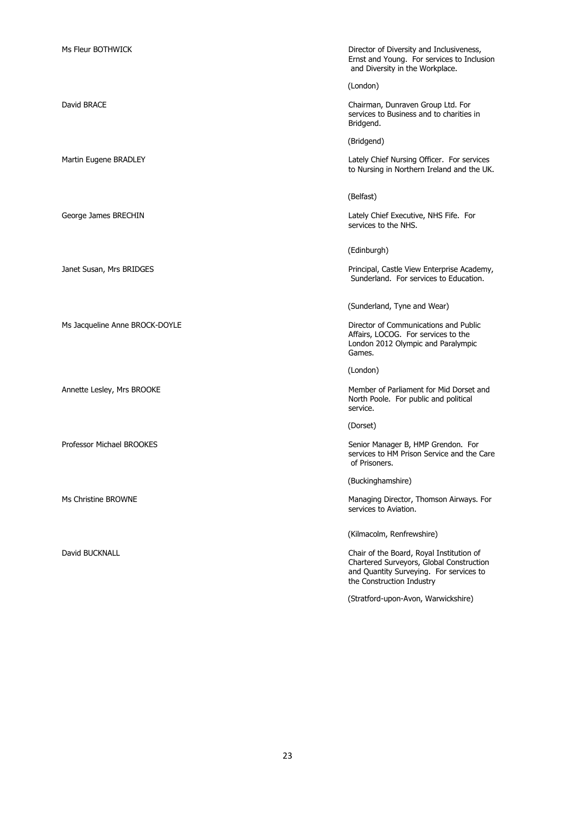Ms Fleur BOTHWICK **No. 2008** Control of Director of Diversity and Inclusiveness, Ernst and Young. For services to Inclusion and Diversity in the Workplace. (London) David BRACE Chairman, Dunraven Group Ltd. For services to Business and to charities in Bridgend. (Bridgend) Martin Eugene BRADLEY **Lately Chief Nursing Officer.** For services to Nursing in Northern Ireland and the UK. (Belfast) George James BRECHIN **Contained BRECHIN** Lately Chief Executive, NHS Fife. For services to the NHS. (Edinburgh) Janet Susan, Mrs BRIDGES Principal, Castle View Enterprise Academy, Sunderland. For services to Education. (Sunderland, Tyne and Wear) Ms Jacqueline Anne BROCK-DOYLE **Director of Communications and Public** Director of Communications and Public Affairs, LOCOG. For services to the London 2012 Olympic and Paralympic Games. (London) Annette Lesley, Mrs BROOKE **Member of Parliament for Mid Dorset and** North Poole. For public and political service. (Dorset) Professor Michael BROOKES **Senior Manager B, HMP Grendon.** For services to HM Prison Service and the Care of Prisoners. (Buckinghamshire) Ms Christine BROWNE Managing Director, Thomson Airways. For services to Aviation. (Kilmacolm, Renfrewshire) David BUCKNALL **Chair of the Board, Royal Institution of** Chair of the Board, Royal Institution of Chartered Surveyors, Global Construction and Quantity Surveying. For services to the Construction Industry (Stratford-upon-Avon, Warwickshire)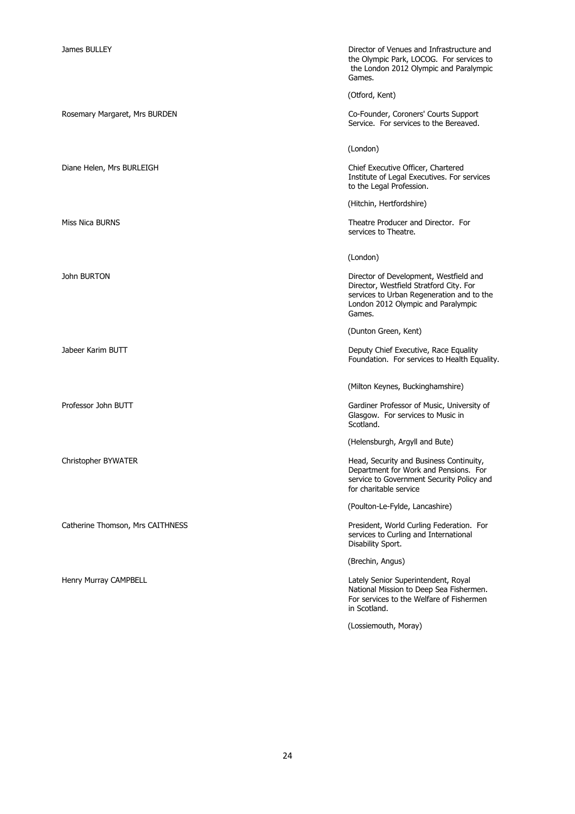Rosemary Margaret, Mrs BURDEN Co-Founder, Coroners' Courts Support

Catherine Thomson, Mrs CAITHNESS **President, World Curling Federation.** For

James BULLEY **Director of Venues and Infrastructure and Infrastructure and Infrastructure and Infrastructure and** the Olympic Park, LOCOG. For services to the London 2012 Olympic and Paralympic Games.

(Otford, Kent)

Service. For services to the Bereaved.

(London)

Diane Helen, Mrs BURLEIGH Chief Executive Officer, Chartered Institute of Legal Executives. For services to the Legal Profession.

(Hitchin, Hertfordshire)

Miss Nica BURNS Theatre Producer and Director. For services to Theatre.

(London)

John BURTON Director of Development, Westfield and Director, Westfield Stratford City. For services to Urban Regeneration and to the London 2012 Olympic and Paralympic Games.

(Dunton Green, Kent)

Jabeer Karim BUTT **Deputy Chief Executive, Race Equality** Foundation. For services to Health Equality.

(Milton Keynes, Buckinghamshire)

Professor John BUTT **Gardiner Professor of Music, University of** Gardiner Professor of Music, University of Glasgow. For services to Music in Scotland.

(Helensburgh, Argyll and Bute)

Christopher BYWATER **Head, Security and Business Continuity**, Department for Work and Pensions. For service to Government Security Policy and for charitable service

(Poulton-Le-Fylde, Lancashire)

services to Curling and International Disability Sport.

(Brechin, Angus)

Henry Murray CAMPBELL **Campacies Campacies and Campacies Campacies** Campacies Campacies Campacies Campacies Campacies Campacies Campacies Campacies Campacies Campacies Campacies Campacies Campacies Campacies Campacies Camp National Mission to Deep Sea Fishermen. For services to the Welfare of Fishermen in Scotland.

(Lossiemouth, Moray)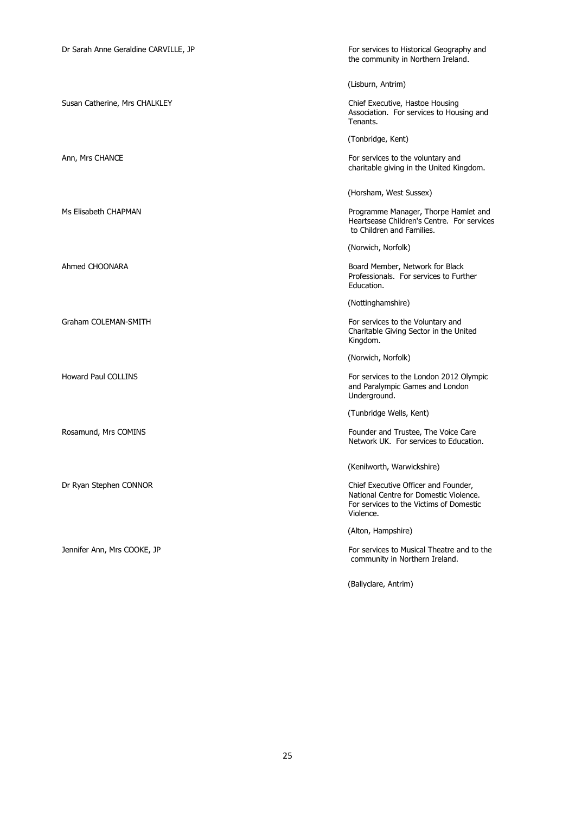| Dr Sarah Anne Geraldine CARVILLE, JP | For services to Historical Geography and<br>the community in Northern Ireland.                                                         |
|--------------------------------------|----------------------------------------------------------------------------------------------------------------------------------------|
|                                      | (Lisburn, Antrim)                                                                                                                      |
| Susan Catherine, Mrs CHALKLEY        | Chief Executive, Hastoe Housing<br>Association. For services to Housing and<br>Tenants.                                                |
|                                      | (Tonbridge, Kent)                                                                                                                      |
| Ann, Mrs CHANCE                      | For services to the voluntary and<br>charitable giving in the United Kingdom.                                                          |
|                                      | (Horsham, West Sussex)                                                                                                                 |
| Ms Elisabeth CHAPMAN                 | Programme Manager, Thorpe Hamlet and<br>Heartsease Children's Centre. For services<br>to Children and Families.                        |
|                                      | (Norwich, Norfolk)                                                                                                                     |
| Ahmed CHOONARA                       | Board Member, Network for Black<br>Professionals. For services to Further<br>Education.                                                |
|                                      | (Nottinghamshire)                                                                                                                      |
| Graham COLEMAN-SMITH                 | For services to the Voluntary and<br>Charitable Giving Sector in the United<br>Kingdom.                                                |
|                                      | (Norwich, Norfolk)                                                                                                                     |
| Howard Paul COLLINS                  | For services to the London 2012 Olympic<br>and Paralympic Games and London<br>Underground.                                             |
|                                      | (Tunbridge Wells, Kent)                                                                                                                |
| Rosamund, Mrs COMINS                 | Founder and Trustee, The Voice Care<br>Network UK. For services to Education.                                                          |
|                                      | (Kenilworth, Warwickshire)                                                                                                             |
| Dr Ryan Stephen CONNOR               | Chief Executive Officer and Founder,<br>National Centre for Domestic Violence.<br>For services to the Victims of Domestic<br>Violence. |
|                                      | (Alton, Hampshire)                                                                                                                     |
| Jennifer Ann, Mrs COOKE, JP          | For services to Musical Theatre and to the<br>community in Northern Ireland.                                                           |
|                                      | (Ballyclare, Antrim)                                                                                                                   |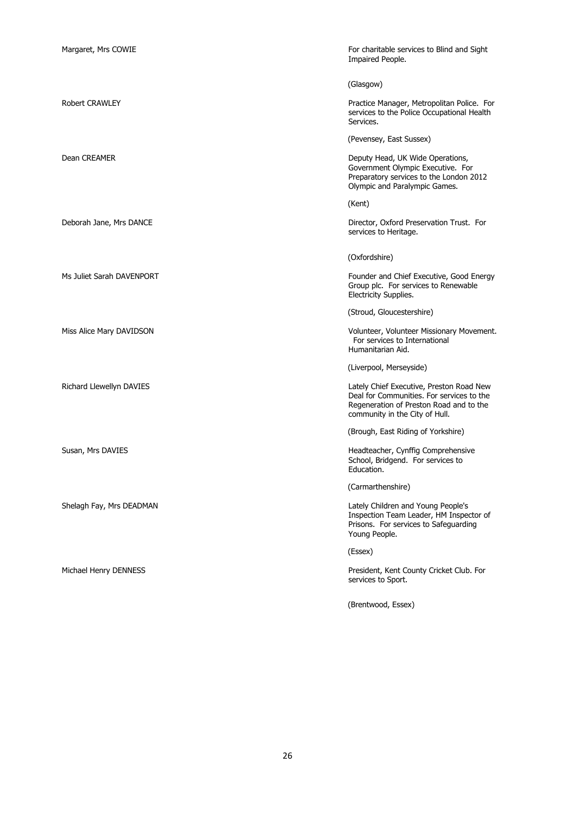| Margaret, Mrs COWIE       | For charitable services to Blind and Sight<br>Impaired People.                                                                                                     |
|---------------------------|--------------------------------------------------------------------------------------------------------------------------------------------------------------------|
|                           | (Glasgow)                                                                                                                                                          |
| <b>Robert CRAWLEY</b>     | Practice Manager, Metropolitan Police. For<br>services to the Police Occupational Health<br>Services.                                                              |
|                           | (Pevensey, East Sussex)                                                                                                                                            |
| Dean CREAMER              | Deputy Head, UK Wide Operations,<br>Government Olympic Executive. For<br>Preparatory services to the London 2012<br>Olympic and Paralympic Games.                  |
|                           | (Kent)                                                                                                                                                             |
| Deborah Jane, Mrs DANCE   | Director, Oxford Preservation Trust. For<br>services to Heritage.                                                                                                  |
|                           | (Oxfordshire)                                                                                                                                                      |
| Ms Juliet Sarah DAVENPORT | Founder and Chief Executive, Good Energy<br>Group plc. For services to Renewable<br>Electricity Supplies.                                                          |
|                           | (Stroud, Gloucestershire)                                                                                                                                          |
| Miss Alice Mary DAVIDSON  | Volunteer, Volunteer Missionary Movement.<br>For services to International<br>Humanitarian Aid.                                                                    |
|                           | (Liverpool, Merseyside)                                                                                                                                            |
| Richard Llewellyn DAVIES  | Lately Chief Executive, Preston Road New<br>Deal for Communities. For services to the<br>Regeneration of Preston Road and to the<br>community in the City of Hull. |
|                           | (Brough, East Riding of Yorkshire)                                                                                                                                 |
| Susan, Mrs DAVIES         | Headteacher, Cynffig Comprehensive<br>School, Bridgend. For services to<br>Education.                                                                              |
|                           | (Carmarthenshire)                                                                                                                                                  |
| Shelagh Fay, Mrs DEADMAN  | Lately Children and Young People's<br>Inspection Team Leader, HM Inspector of<br>Prisons. For services to Safeguarding<br>Young People.                            |
|                           | (Essex)                                                                                                                                                            |
| Michael Henry DENNESS     | President, Kent County Cricket Club. For<br>services to Sport.                                                                                                     |
|                           | (Brentwood, Essex)                                                                                                                                                 |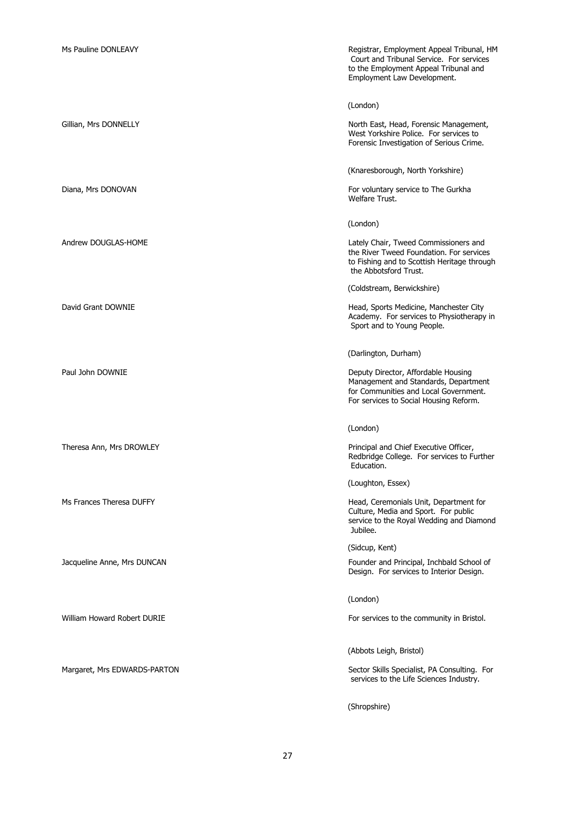| Ms Pauline DONLEAVY          | Registrar, Employment Appeal Tribunal, HM<br>Court and Tribunal Service. For services<br>to the Employment Appeal Tribunal and<br>Employment Law Development.  |
|------------------------------|----------------------------------------------------------------------------------------------------------------------------------------------------------------|
|                              | (London)                                                                                                                                                       |
| Gillian, Mrs DONNELLY        | North East, Head, Forensic Management,<br>West Yorkshire Police. For services to<br>Forensic Investigation of Serious Crime.                                   |
|                              | (Knaresborough, North Yorkshire)                                                                                                                               |
| Diana, Mrs DONOVAN           | For voluntary service to The Gurkha<br>Welfare Trust.                                                                                                          |
|                              | (London)                                                                                                                                                       |
| Andrew DOUGLAS-HOME          | Lately Chair, Tweed Commissioners and<br>the River Tweed Foundation. For services<br>to Fishing and to Scottish Heritage through<br>the Abbotsford Trust.      |
|                              | (Coldstream, Berwickshire)                                                                                                                                     |
| David Grant DOWNIE           | Head, Sports Medicine, Manchester City<br>Academy. For services to Physiotherapy in<br>Sport and to Young People.                                              |
|                              | (Darlington, Durham)                                                                                                                                           |
| Paul John DOWNIE             | Deputy Director, Affordable Housing<br>Management and Standards, Department<br>for Communities and Local Government.<br>For services to Social Housing Reform. |
|                              | (London)                                                                                                                                                       |
| Theresa Ann, Mrs DROWLEY     | Principal and Chief Executive Officer,<br>Redbridge College. For services to Further<br>Education.                                                             |
|                              | (Loughton, Essex)                                                                                                                                              |
| Ms Frances Theresa DUFFY     | Head, Ceremonials Unit, Department for<br>Culture, Media and Sport. For public<br>service to the Royal Wedding and Diamond<br>Jubilee.                         |
|                              | (Sidcup, Kent)                                                                                                                                                 |
| Jacqueline Anne, Mrs DUNCAN  | Founder and Principal, Inchbald School of<br>Design. For services to Interior Design.                                                                          |
|                              | (London)                                                                                                                                                       |
| William Howard Robert DURIE  | For services to the community in Bristol.                                                                                                                      |
|                              | (Abbots Leigh, Bristol)                                                                                                                                        |
| Margaret, Mrs EDWARDS-PARTON | Sector Skills Specialist, PA Consulting. For<br>services to the Life Sciences Industry.                                                                        |
|                              | (Shropshire)                                                                                                                                                   |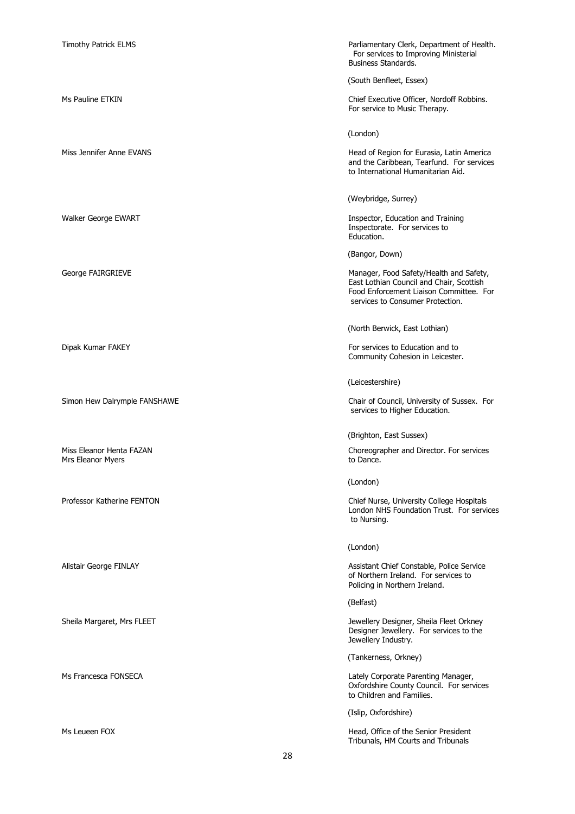| Timothy Patrick ELMS                          | Parliamentary Clerk, Department of Health.<br>For services to Improving Ministerial<br>Business Standards.                                                         |
|-----------------------------------------------|--------------------------------------------------------------------------------------------------------------------------------------------------------------------|
|                                               | (South Benfleet, Essex)                                                                                                                                            |
| Ms Pauline ETKIN                              | Chief Executive Officer, Nordoff Robbins.<br>For service to Music Therapy.                                                                                         |
|                                               | (London)                                                                                                                                                           |
| Miss Jennifer Anne EVANS                      | Head of Region for Eurasia, Latin America<br>and the Caribbean, Tearfund. For services<br>to International Humanitarian Aid.                                       |
|                                               | (Weybridge, Surrey)                                                                                                                                                |
| Walker George EWART                           | Inspector, Education and Training<br>Inspectorate. For services to<br>Education.                                                                                   |
|                                               | (Bangor, Down)                                                                                                                                                     |
| George FAIRGRIEVE                             | Manager, Food Safety/Health and Safety,<br>East Lothian Council and Chair, Scottish<br>Food Enforcement Liaison Committee. For<br>services to Consumer Protection. |
|                                               | (North Berwick, East Lothian)                                                                                                                                      |
| Dipak Kumar FAKEY                             | For services to Education and to<br>Community Cohesion in Leicester.                                                                                               |
|                                               | (Leicestershire)                                                                                                                                                   |
| Simon Hew Dalrymple FANSHAWE                  | Chair of Council, University of Sussex. For<br>services to Higher Education.                                                                                       |
|                                               | (Brighton, East Sussex)                                                                                                                                            |
| Miss Eleanor Henta FAZAN<br>Mrs Eleanor Myers | Choreographer and Director. For services<br>to Dance.                                                                                                              |
|                                               | (London)                                                                                                                                                           |
| Professor Katherine FENTON                    | Chief Nurse, University College Hospitals<br>London NHS Foundation Trust. For services<br>to Nursing.                                                              |
|                                               | (London)                                                                                                                                                           |
| Alistair George FINLAY                        | Assistant Chief Constable, Police Service<br>of Northern Ireland. For services to<br>Policing in Northern Ireland.                                                 |
|                                               | (Belfast)                                                                                                                                                          |
| Sheila Margaret, Mrs FLEET                    | Jewellery Designer, Sheila Fleet Orkney<br>Designer Jewellery. For services to the<br>Jewellery Industry.                                                          |
|                                               | (Tankerness, Orkney)                                                                                                                                               |
| Ms Francesca FONSECA                          | Lately Corporate Parenting Manager,<br>Oxfordshire County Council. For services<br>to Children and Families.                                                       |
|                                               | (Islip, Oxfordshire)                                                                                                                                               |
| Ms Leueen FOX                                 | Head, Office of the Senior President<br>Tribunals, HM Courts and Tribunals                                                                                         |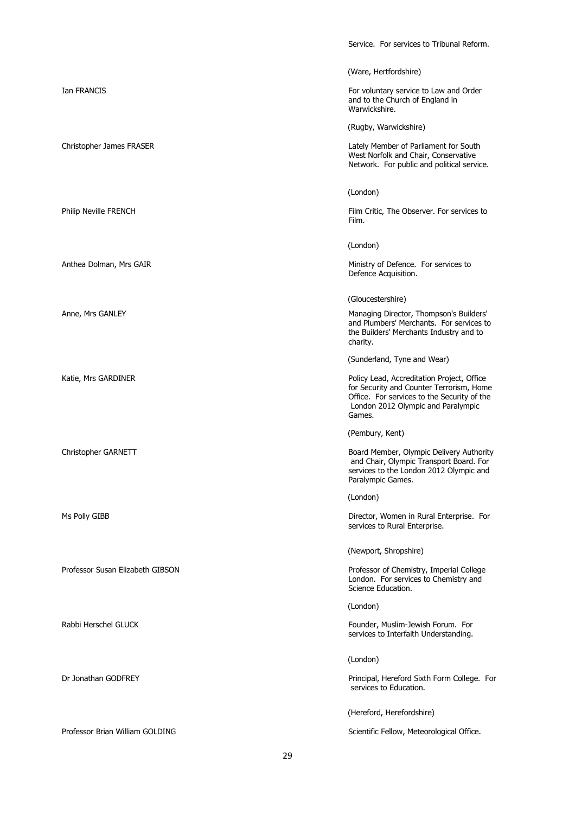|                                  | Service. For services to Tribunal Reform.                                                                                                                                             |
|----------------------------------|---------------------------------------------------------------------------------------------------------------------------------------------------------------------------------------|
|                                  | (Ware, Hertfordshire)                                                                                                                                                                 |
| Ian FRANCIS                      | For voluntary service to Law and Order<br>and to the Church of England in<br>Warwickshire.                                                                                            |
|                                  | (Rugby, Warwickshire)                                                                                                                                                                 |
| Christopher James FRASER         | Lately Member of Parliament for South<br>West Norfolk and Chair, Conservative<br>Network. For public and political service.                                                           |
|                                  | (London)                                                                                                                                                                              |
| Philip Neville FRENCH            | Film Critic, The Observer. For services to<br>Film.                                                                                                                                   |
|                                  | (London)                                                                                                                                                                              |
| Anthea Dolman, Mrs GAIR          | Ministry of Defence. For services to<br>Defence Acquisition.                                                                                                                          |
|                                  | (Gloucestershire)                                                                                                                                                                     |
| Anne, Mrs GANLEY                 | Managing Director, Thompson's Builders'<br>and Plumbers' Merchants. For services to<br>the Builders' Merchants Industry and to<br>charity.                                            |
|                                  | (Sunderland, Tyne and Wear)                                                                                                                                                           |
| Katie, Mrs GARDINER              | Policy Lead, Accreditation Project, Office<br>for Security and Counter Terrorism, Home<br>Office. For services to the Security of the<br>London 2012 Olympic and Paralympic<br>Games. |
|                                  | (Pembury, Kent)                                                                                                                                                                       |
| Christopher GARNETT              | Board Member, Olympic Delivery Authority<br>and Chair, Olympic Transport Board. For<br>services to the London 2012 Olympic and<br>Paralympic Games.                                   |
|                                  | (London)                                                                                                                                                                              |
| Ms Polly GIBB                    | Director, Women in Rural Enterprise. For<br>services to Rural Enterprise.                                                                                                             |
|                                  | (Newport, Shropshire)                                                                                                                                                                 |
| Professor Susan Elizabeth GIBSON | Professor of Chemistry, Imperial College<br>London. For services to Chemistry and<br>Science Education.                                                                               |
|                                  | (London)                                                                                                                                                                              |
| Rabbi Herschel GLUCK             | Founder, Muslim-Jewish Forum. For<br>services to Interfaith Understanding.                                                                                                            |
|                                  | (London)                                                                                                                                                                              |
| Dr Jonathan GODFREY              | Principal, Hereford Sixth Form College. For<br>services to Education.                                                                                                                 |
|                                  | (Hereford, Herefordshire)                                                                                                                                                             |
| Professor Brian William GOLDING  | Scientific Fellow, Meteorological Office.                                                                                                                                             |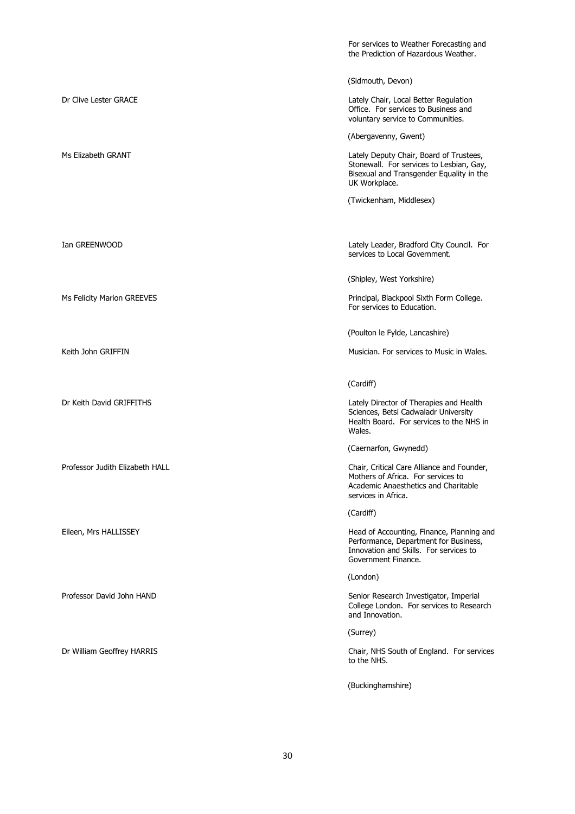|                                 | For services to Weather Forecasting and<br>the Prediction of Hazardous Weather.                                                                     |
|---------------------------------|-----------------------------------------------------------------------------------------------------------------------------------------------------|
|                                 | (Sidmouth, Devon)                                                                                                                                   |
| Dr Clive Lester GRACE           | Lately Chair, Local Better Regulation<br>Office. For services to Business and<br>voluntary service to Communities.                                  |
|                                 | (Abergavenny, Gwent)                                                                                                                                |
| Ms Elizabeth GRANT              | Lately Deputy Chair, Board of Trustees,<br>Stonewall. For services to Lesbian, Gay,<br>Bisexual and Transgender Equality in the<br>UK Workplace.    |
|                                 | (Twickenham, Middlesex)                                                                                                                             |
|                                 |                                                                                                                                                     |
| Ian GREENWOOD                   | Lately Leader, Bradford City Council. For<br>services to Local Government.                                                                          |
|                                 | (Shipley, West Yorkshire)                                                                                                                           |
| Ms Felicity Marion GREEVES      | Principal, Blackpool Sixth Form College.<br>For services to Education.                                                                              |
|                                 | (Poulton le Fylde, Lancashire)                                                                                                                      |
| Keith John GRIFFIN              | Musician. For services to Music in Wales.                                                                                                           |
|                                 |                                                                                                                                                     |
|                                 | (Cardiff)                                                                                                                                           |
| Dr Keith David GRIFFITHS        | Lately Director of Therapies and Health<br>Sciences, Betsi Cadwaladr University<br>Health Board. For services to the NHS in<br>Wales.               |
|                                 | (Caernarfon, Gwynedd)                                                                                                                               |
| Professor Judith Elizabeth HALL | Chair, Critical Care Alliance and Founder,<br>Mothers of Africa. For services to<br>Academic Anaesthetics and Charitable<br>services in Africa.     |
|                                 | (Cardiff)                                                                                                                                           |
| Eileen, Mrs HALLISSEY           | Head of Accounting, Finance, Planning and<br>Performance, Department for Business,<br>Innovation and Skills. For services to<br>Government Finance. |
|                                 | (London)                                                                                                                                            |
|                                 |                                                                                                                                                     |
| Professor David John HAND       | Senior Research Investigator, Imperial<br>College London. For services to Research<br>and Innovation.                                               |
|                                 | (Surrey)                                                                                                                                            |
| Dr William Geoffrey HARRIS      | Chair, NHS South of England. For services<br>to the NHS.                                                                                            |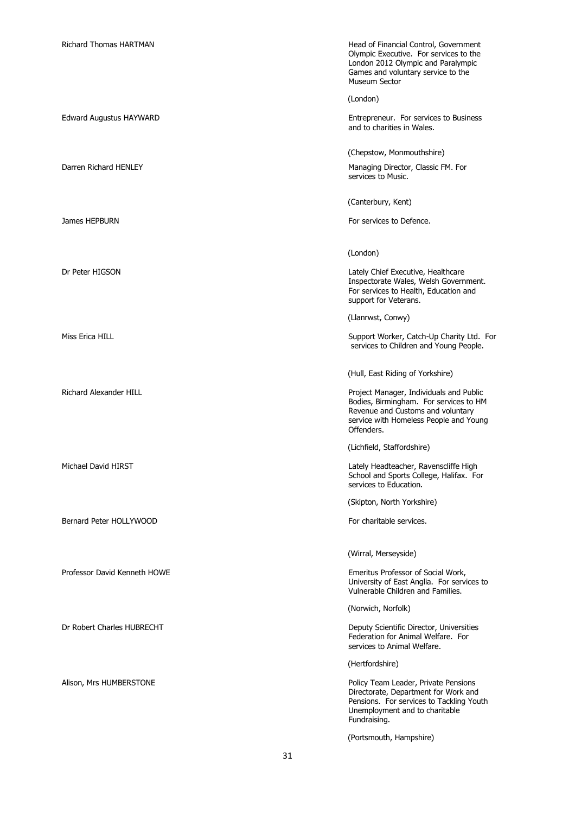| <b>Richard Thomas HARTMAN</b>  | Head of Financial Control, Government<br>Olympic Executive. For services to the<br>London 2012 Olympic and Paralympic<br>Games and voluntary service to the<br>Museum Sector   |
|--------------------------------|--------------------------------------------------------------------------------------------------------------------------------------------------------------------------------|
|                                | (London)                                                                                                                                                                       |
| <b>Edward Augustus HAYWARD</b> | Entrepreneur. For services to Business<br>and to charities in Wales.                                                                                                           |
|                                | (Chepstow, Monmouthshire)                                                                                                                                                      |
| Darren Richard HENLEY          | Managing Director, Classic FM. For<br>services to Music.                                                                                                                       |
|                                | (Canterbury, Kent)                                                                                                                                                             |
| James HEPBURN                  | For services to Defence.                                                                                                                                                       |
|                                | (London)                                                                                                                                                                       |
| Dr Peter HIGSON                | Lately Chief Executive, Healthcare<br>Inspectorate Wales, Welsh Government.<br>For services to Health, Education and<br>support for Veterans.                                  |
|                                | (Llanrwst, Conwy)                                                                                                                                                              |
| Miss Erica HILL                | Support Worker, Catch-Up Charity Ltd. For<br>services to Children and Young People.                                                                                            |
|                                | (Hull, East Riding of Yorkshire)                                                                                                                                               |
| <b>Richard Alexander HILL</b>  | Project Manager, Individuals and Public<br>Bodies, Birmingham. For services to HM<br>Revenue and Customs and voluntary<br>service with Homeless People and Young<br>Offenders. |
|                                | (Lichfield, Staffordshire)                                                                                                                                                     |
| Michael David HIRST            | Lately Headteacher, Ravenscliffe High<br>School and Sports College, Halifax. For<br>services to Education.                                                                     |
|                                | (Skipton, North Yorkshire)                                                                                                                                                     |
| Bernard Peter HOLLYWOOD        | For charitable services.                                                                                                                                                       |
|                                | (Wirral, Merseyside)                                                                                                                                                           |
| Professor David Kenneth HOWE   | Emeritus Professor of Social Work,<br>University of East Anglia. For services to<br>Vulnerable Children and Families.                                                          |
|                                | (Norwich, Norfolk)                                                                                                                                                             |
| Dr Robert Charles HUBRECHT     | Deputy Scientific Director, Universities<br>Federation for Animal Welfare. For<br>services to Animal Welfare.                                                                  |
|                                | (Hertfordshire)                                                                                                                                                                |
| Alison, Mrs HUMBERSTONE        | Policy Team Leader, Private Pensions<br>Directorate, Department for Work and<br>Pensions. For services to Tackling Youth<br>Unemployment and to charitable<br>Fundraising.     |
|                                | (Portsmouth, Hampshire)                                                                                                                                                        |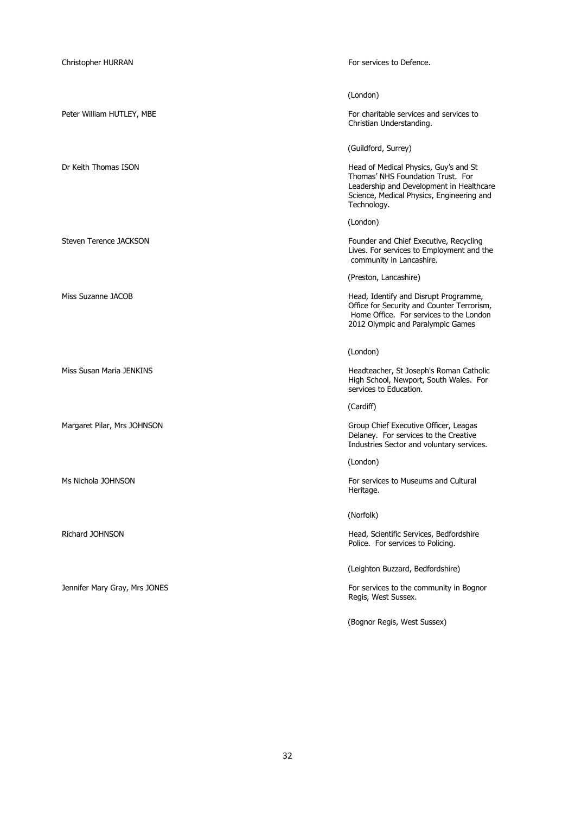| Christopher HURRAN            | For services to Defence.                                                                                                                                                           |
|-------------------------------|------------------------------------------------------------------------------------------------------------------------------------------------------------------------------------|
|                               | (London)                                                                                                                                                                           |
| Peter William HUTLEY, MBE     | For charitable services and services to<br>Christian Understanding.                                                                                                                |
|                               | (Guildford, Surrey)                                                                                                                                                                |
| Dr Keith Thomas ISON          | Head of Medical Physics, Guy's and St<br>Thomas' NHS Foundation Trust. For<br>Leadership and Development in Healthcare<br>Science, Medical Physics, Engineering and<br>Technology. |
|                               | (London)                                                                                                                                                                           |
| Steven Terence JACKSON        | Founder and Chief Executive, Recycling<br>Lives. For services to Employment and the<br>community in Lancashire.                                                                    |
|                               | (Preston, Lancashire)                                                                                                                                                              |
| Miss Suzanne JACOB            | Head, Identify and Disrupt Programme,<br>Office for Security and Counter Terrorism,<br>Home Office. For services to the London<br>2012 Olympic and Paralympic Games                |
|                               | (London)                                                                                                                                                                           |
| Miss Susan Maria JENKINS      | Headteacher, St Joseph's Roman Catholic<br>High School, Newport, South Wales. For<br>services to Education.                                                                        |
|                               | (Cardiff)                                                                                                                                                                          |
| Margaret Pilar, Mrs JOHNSON   | Group Chief Executive Officer, Leagas<br>Delaney. For services to the Creative<br>Industries Sector and voluntary services.                                                        |
|                               | (London)                                                                                                                                                                           |
| Ms Nichola JOHNSON            | For services to Museums and Cultural<br>Heritage.                                                                                                                                  |
|                               | (Norfolk)                                                                                                                                                                          |
| Richard JOHNSON               | Head, Scientific Services, Bedfordshire<br>Police. For services to Policing.                                                                                                       |
|                               | (Leighton Buzzard, Bedfordshire)                                                                                                                                                   |
| Jennifer Mary Gray, Mrs JONES | For services to the community in Bognor<br>Regis, West Sussex.                                                                                                                     |
|                               | (Bognor Regis, West Sussex)                                                                                                                                                        |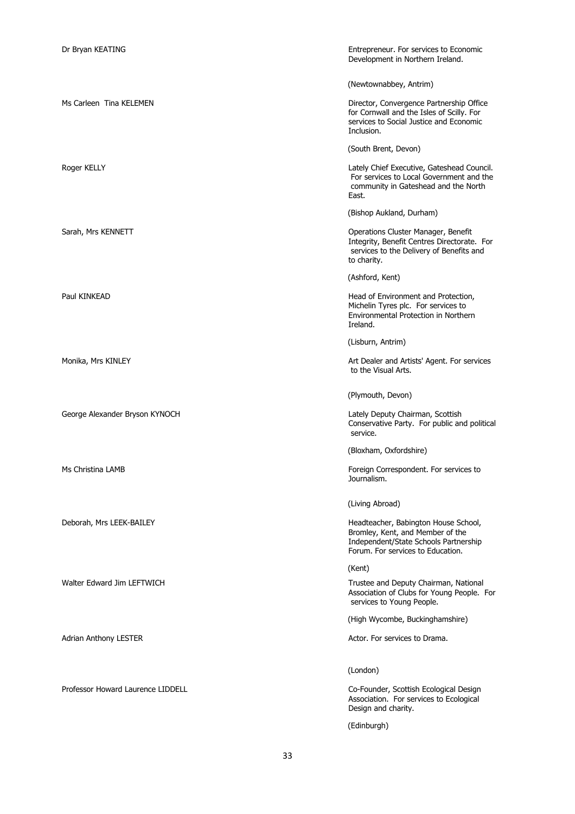| Dr Bryan KEATING                  | Entrepreneur. For services to Economic<br>Development in Northern Ireland.                                                                             |
|-----------------------------------|--------------------------------------------------------------------------------------------------------------------------------------------------------|
|                                   | (Newtownabbey, Antrim)                                                                                                                                 |
| Ms Carleen Tina KELEMEN           | Director, Convergence Partnership Office<br>for Cornwall and the Isles of Scilly. For<br>services to Social Justice and Economic<br>Inclusion.         |
|                                   | (South Brent, Devon)                                                                                                                                   |
| Roger KELLY                       | Lately Chief Executive, Gateshead Council.<br>For services to Local Government and the<br>community in Gateshead and the North<br>East.                |
|                                   | (Bishop Aukland, Durham)                                                                                                                               |
| Sarah, Mrs KENNETT                | Operations Cluster Manager, Benefit<br>Integrity, Benefit Centres Directorate. For<br>services to the Delivery of Benefits and<br>to charity.          |
|                                   | (Ashford, Kent)                                                                                                                                        |
| Paul KINKEAD                      | Head of Environment and Protection,<br>Michelin Tyres plc. For services to<br>Environmental Protection in Northern<br>Ireland.                         |
|                                   | (Lisburn, Antrim)                                                                                                                                      |
| Monika, Mrs KINLEY                | Art Dealer and Artists' Agent. For services<br>to the Visual Arts.                                                                                     |
|                                   | (Plymouth, Devon)                                                                                                                                      |
| George Alexander Bryson KYNOCH    | Lately Deputy Chairman, Scottish<br>Conservative Party. For public and political<br>service.                                                           |
|                                   | (Bloxham, Oxfordshire)                                                                                                                                 |
| Ms Christina LAMB                 | Foreign Correspondent. For services to<br>Journalism.                                                                                                  |
|                                   | (Living Abroad)                                                                                                                                        |
| Deborah, Mrs LEEK-BAILEY          | Headteacher, Babington House School,<br>Bromley, Kent, and Member of the<br>Independent/State Schools Partnership<br>Forum. For services to Education. |
|                                   | (Kent)                                                                                                                                                 |
| Walter Edward Jim LEFTWICH        | Trustee and Deputy Chairman, National<br>Association of Clubs for Young People. For<br>services to Young People.                                       |
|                                   | (High Wycombe, Buckinghamshire)                                                                                                                        |
| Adrian Anthony LESTER             | Actor. For services to Drama.                                                                                                                          |
|                                   | (London)                                                                                                                                               |
| Professor Howard Laurence LIDDELL | Co-Founder, Scottish Ecological Design<br>Association. For services to Ecological<br>Design and charity.                                               |
|                                   | (Edinburgh)                                                                                                                                            |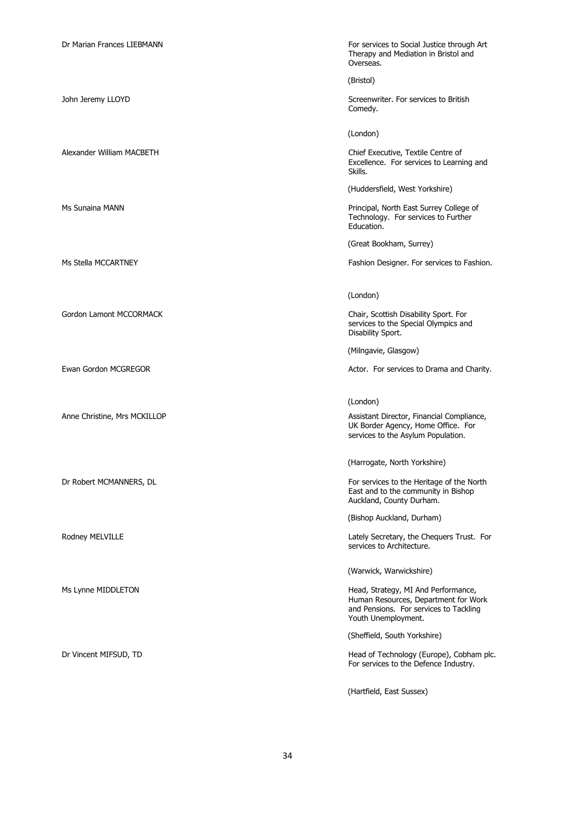Gordon Lamont MCCORMACK Chair, Scottish Disability Sport. For

Dr Marian Frances LIEBMANN FOR SERVICES TO Social Justice through Art Therapy and Mediation in Bristol and Overseas.

(Bristol)

John Jeremy LLOYD Screenwriter. For services to British Comedy.

(London)

Alexander William MACBETH Chief Executive, Textile Centre of Excellence. For services to Learning and Skills.

(Huddersfield, West Yorkshire)

Ms Sunaina MANN **Principal, North East Surrey College of** Principal, North East Surrey College of Technology. For services to Further Education.

(Great Bookham, Surrey)

Ms Stella MCCARTNEY Fashion Designer. For services to Fashion Designer. For services to Fashion.

(London)

services to the Special Olympics and Disability Sport.

(Milngavie, Glasgow)

Ewan Gordon MCGREGOR **Actor.** For services to Drama and Charity.

(London)

Anne Christine, Mrs MCKILLOP **Anne Christine, Mrs MCKILLOP** Assistant Director, Financial Compliance, UK Border Agency, Home Office. For services to the Asylum Population.

(Harrogate, North Yorkshire)

Dr Robert MCMANNERS, DL **For services to the Heritage of the North** For services to the Heritage of the North East and to the community in Bishop Auckland, County Durham.

(Bishop Auckland, Durham)

Rodney MELVILLE **Roomey MELVILLE CONSIDENT ASSESS** External Lately Secretary, the Chequers Trust. For services to Architecture.

(Warwick, Warwickshire)

Ms Lynne MIDDLETON **Head, Strategy, MI And Performance**, Human Resources, Department for Work and Pensions. For services to Tackling Youth Unemployment.

(Sheffield, South Yorkshire)

Dr Vincent MIFSUD, TD Head of Technology (Europe), Cobham plc. For services to the Defence Industry.

(Hartfield, East Sussex)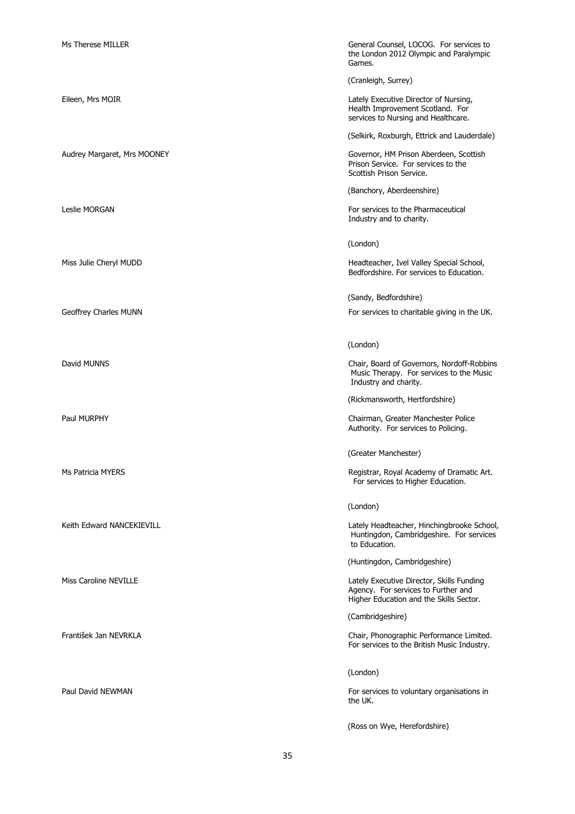| Ms Therese MILLER           | General Counsel, LOCOG. For services to<br>the London 2012 Olympic and Paralympic<br>Games.                                 |
|-----------------------------|-----------------------------------------------------------------------------------------------------------------------------|
|                             | (Cranleigh, Surrey)                                                                                                         |
| Eileen, Mrs MOIR            | Lately Executive Director of Nursing,<br>Health Improvement Scotland. For<br>services to Nursing and Healthcare.            |
|                             | (Selkirk, Roxburgh, Ettrick and Lauderdale)                                                                                 |
| Audrey Margaret, Mrs MOONEY | Governor, HM Prison Aberdeen, Scottish<br>Prison Service. For services to the<br>Scottish Prison Service.                   |
|                             | (Banchory, Aberdeenshire)                                                                                                   |
| Leslie MORGAN               | For services to the Pharmaceutical<br>Industry and to charity.                                                              |
|                             | (London)                                                                                                                    |
| Miss Julie Cheryl MUDD      | Headteacher, Ivel Valley Special School,<br>Bedfordshire. For services to Education.                                        |
|                             | (Sandy, Bedfordshire)                                                                                                       |
| Geoffrey Charles MUNN       | For services to charitable giving in the UK.                                                                                |
|                             |                                                                                                                             |
|                             | (London)                                                                                                                    |
| David MUNNS                 | Chair, Board of Governors, Nordoff-Robbins<br>Music Therapy. For services to the Music<br>Industry and charity.             |
|                             | (Rickmansworth, Hertfordshire)                                                                                              |
| Paul MURPHY                 | Chairman, Greater Manchester Police<br>Authority. For services to Policing.                                                 |
|                             | (Greater Manchester)                                                                                                        |
| Ms Patricia MYERS           | Registrar, Royal Academy of Dramatic Art.<br>For services to Higher Education.                                              |
|                             | (London)                                                                                                                    |
| Keith Edward NANCEKIEVILL   | Lately Headteacher, Hinchingbrooke School,<br>Huntingdon, Cambridgeshire. For services<br>to Education.                     |
|                             | (Huntingdon, Cambridgeshire)                                                                                                |
| Miss Caroline NEVILLE       | Lately Executive Director, Skills Funding<br>Agency. For services to Further and<br>Higher Education and the Skills Sector. |
|                             | (Cambridgeshire)                                                                                                            |
| František Jan NEVRKLA       | Chair, Phonographic Performance Limited.<br>For services to the British Music Industry.                                     |
|                             | (London)                                                                                                                    |
| Paul David NEWMAN           | For services to voluntary organisations in<br>the UK.                                                                       |
|                             | (Ross on Wye, Herefordshire)                                                                                                |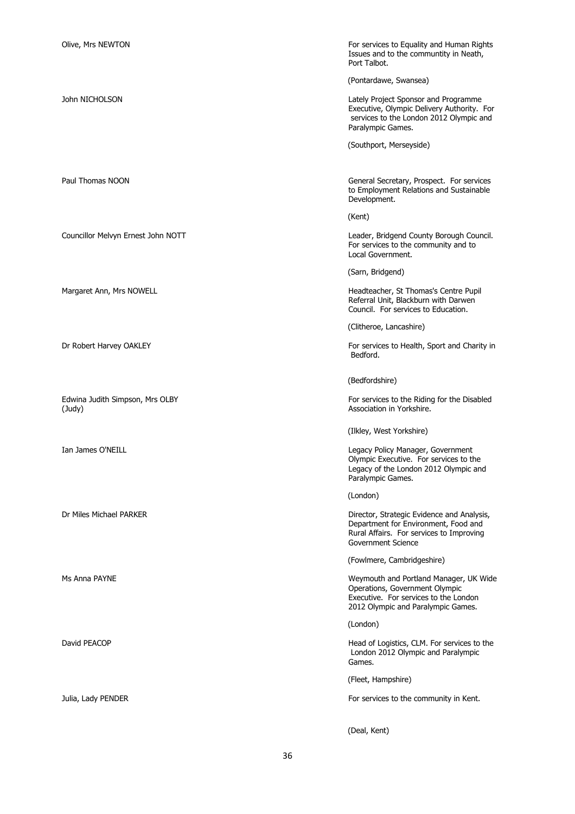(Judy) **Association in Yorkshire.** 

Olive, Mrs NEWTON For services to Equality and Human Rights Issues and to the communtity in Neath, Port Talbot.

(Pontardawe, Swansea)

John NICHOLSON Lately Project Sponsor and Programme Executive, Olympic Delivery Authority. For services to the London 2012 Olympic and Paralympic Games.

(Southport, Merseyside)

Paul Thomas NOON General Secretary, Prospect. For services to Employment Relations and Sustainable Development.

(Kent)

Councillor Melvyn Ernest John NOTT Leader, Bridgend County Borough Council. For services to the community and to Local Government.

(Sarn, Bridgend)

Margaret Ann, Mrs NOWELL **Headteacher, St Thomas's Centre Pupil** Referral Unit, Blackburn with Darwen Council. For services to Education.

(Clitheroe, Lancashire)

Dr Robert Harvey OAKLEY **For services to Health, Sport and Charity in** Bedford.

(Bedfordshire)

Edwina Judith Simpson, Mrs OLBY For services to the Riding for the Disabled

(Ilkley, West Yorkshire)

Ian James O'NEILL **All and Community Contract Community** Contract Legacy Policy Manager, Government Olympic Executive. For services to the Legacy of the London 2012 Olympic and Paralympic Games.

(London)

Dr Miles Michael PARKER **Director, Strategic Evidence and Analysis**, Department for Environment, Food and Rural Affairs. For services to Improving Government Science

(Fowlmere, Cambridgeshire)

Ms Anna PAYNE **Manager, UK Wide** Weymouth and Portland Manager, UK Wide Operations, Government Olympic Executive. For services to the London 2012 Olympic and Paralympic Games.

(London)

David PEACOP **EXACOP Head of Logistics, CLM.** For services to the London 2012 Olympic and Paralympic Games.

(Fleet, Hampshire)

Julia, Lady PENDER **For services** to the community in Kent.

(Deal, Kent)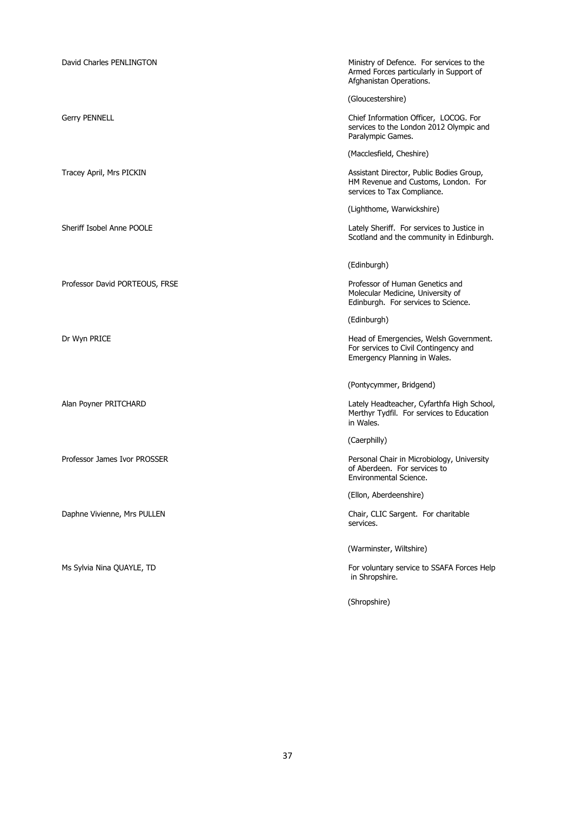| David Charles PENLINGTON       | Ministry of Defence. For services to the<br>Armed Forces particularly in Support of<br>Afghanistan Operations.  |
|--------------------------------|-----------------------------------------------------------------------------------------------------------------|
|                                | (Gloucestershire)                                                                                               |
| <b>Gerry PENNELL</b>           | Chief Information Officer, LOCOG. For<br>services to the London 2012 Olympic and<br>Paralympic Games.           |
|                                | (Macclesfield, Cheshire)                                                                                        |
| Tracey April, Mrs PICKIN       | Assistant Director, Public Bodies Group,<br>HM Revenue and Customs, London. For<br>services to Tax Compliance.  |
|                                | (Lighthome, Warwickshire)                                                                                       |
| Sheriff Isobel Anne POOLE      | Lately Sheriff. For services to Justice in<br>Scotland and the community in Edinburgh.                          |
|                                | (Edinburgh)                                                                                                     |
| Professor David PORTEOUS, FRSE | Professor of Human Genetics and<br>Molecular Medicine, University of<br>Edinburgh. For services to Science.     |
|                                | (Edinburgh)                                                                                                     |
| Dr Wyn PRICE                   | Head of Emergencies, Welsh Government.<br>For services to Civil Contingency and<br>Emergency Planning in Wales. |
|                                | (Pontycymmer, Bridgend)                                                                                         |
| Alan Poyner PRITCHARD          | Lately Headteacher, Cyfarthfa High School,<br>Merthyr Tydfil. For services to Education<br>in Wales.            |
|                                | (Caerphilly)                                                                                                    |
| Professor James Ivor PROSSER   | Personal Chair in Microbiology, University<br>of Aberdeen. For services to<br>Environmental Science.            |
|                                | (Ellon, Aberdeenshire)                                                                                          |
| Daphne Vivienne, Mrs PULLEN    | Chair, CLIC Sargent. For charitable<br>services.                                                                |
|                                | (Warminster, Wiltshire)                                                                                         |
| Ms Sylvia Nina QUAYLE, TD      | For voluntary service to SSAFA Forces Help<br>in Shropshire.                                                    |
|                                | (Shropshire)                                                                                                    |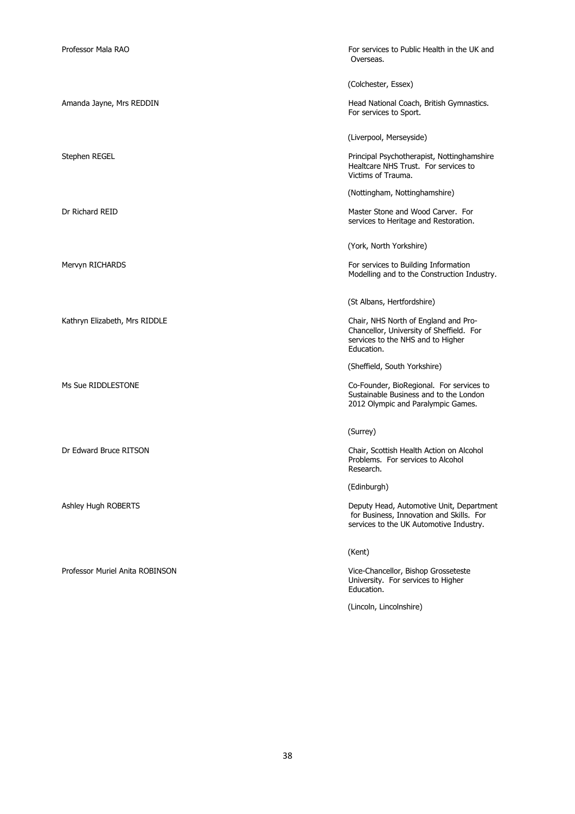Professor Muriel Anita ROBINSON Vice-Chancellor, Bishop Grosseteste

Professor Mala RAO For services to Public Health in the UK and Overseas. (Colchester, Essex) Amanda Jayne, Mrs REDDIN **Head National Coach, British Gymnastics.** For services to Sport. (Liverpool, Merseyside)

Stephen REGEL **Principal Psychotherapist, Nottinghamshire** Healtcare NHS Trust. For services to Victims of Trauma.

(Nottingham, Nottinghamshire)

Dr Richard REID **Dr Richard REID** Master Stone and Wood Carver. For services to Heritage and Restoration.

(York, North Yorkshire)

Mervyn RICHARDS **For services** to Building Information Modelling and to the Construction Industry.

(St Albans, Hertfordshire)

Kathryn Elizabeth, Mrs RIDDLE **Chair, Chair, Chair, NHS North of England and Pro-**Chancellor, University of Sheffield. For services to the NHS and to Higher Education.

(Sheffield, South Yorkshire)

Ms Sue RIDDLESTONE **Co-Founder, BioRegional.** For services to Sustainable Business and to the London 2012 Olympic and Paralympic Games.

(Surrey)

Dr Edward Bruce RITSON Chair, Scottish Health Action on Alcohol Problems. For services to Alcohol Research.

(Edinburgh)

Ashley Hugh ROBERTS **Deputy Head, Automotive Unit, Department** for Business, Innovation and Skills. For services to the UK Automotive Industry.

(Kent)

University. For services to Higher Education.

(Lincoln, Lincolnshire)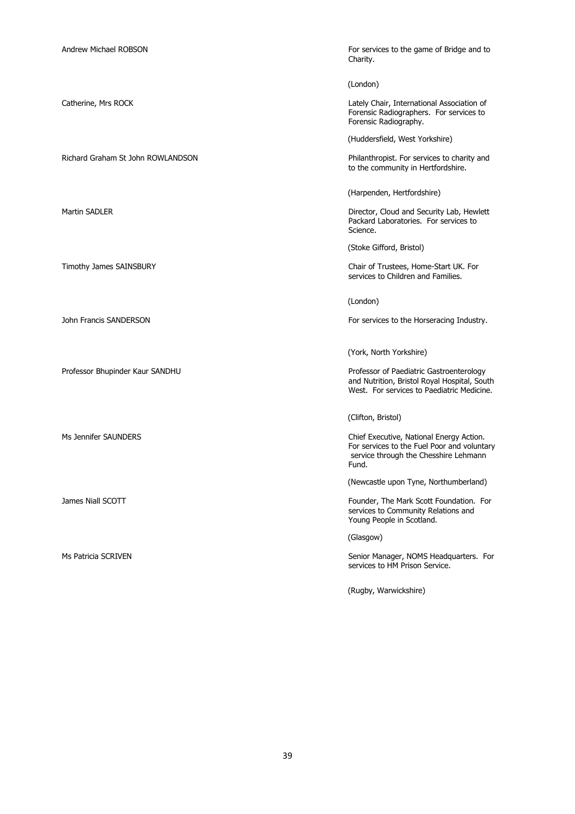Richard Graham St John ROWLANDSON Philanthropist. For services to charity and

Andrew Michael ROBSON For services to the game of Bridge and to Charity.

(London)

Catherine, Mrs ROCK Lately Chair, International Association of Forensic Radiographers. For services to Forensic Radiography.

(Huddersfield, West Yorkshire)

to the community in Hertfordshire.

(Harpenden, Hertfordshire)

Martin SADLER **Director, Cloud and Security Lab, Hewlett** Packard Laboratories. For services to Science.

(Stoke Gifford, Bristol)

Timothy James SAINSBURY Chair of Trustees, Home-Start UK. For services to Children and Families.

(London)

John Francis SANDERSON For services to the Horseracing Industry.

(York, North Yorkshire)

Professor Bhupinder Kaur SANDHU **Professor of Paediatric Gastroenterology** and Nutrition, Bristol Royal Hospital, South West. For services to Paediatric Medicine.

(Clifton, Bristol)

Ms Jennifer SAUNDERS Chief Executive, National Energy Action. For services to the Fuel Poor and voluntary service through the Chesshire Lehmann Fund.

(Newcastle upon Tyne, Northumberland)

James Niall SCOTT **Foundation** Foundation. For Foundation. For Foundation. For Foundation. For services to Community Relations and Young People in Scotland.

(Glasgow)

Ms Patricia SCRIVEN Senior Manager, NOMS Headquarters. For services to HM Prison Service.

(Rugby, Warwickshire)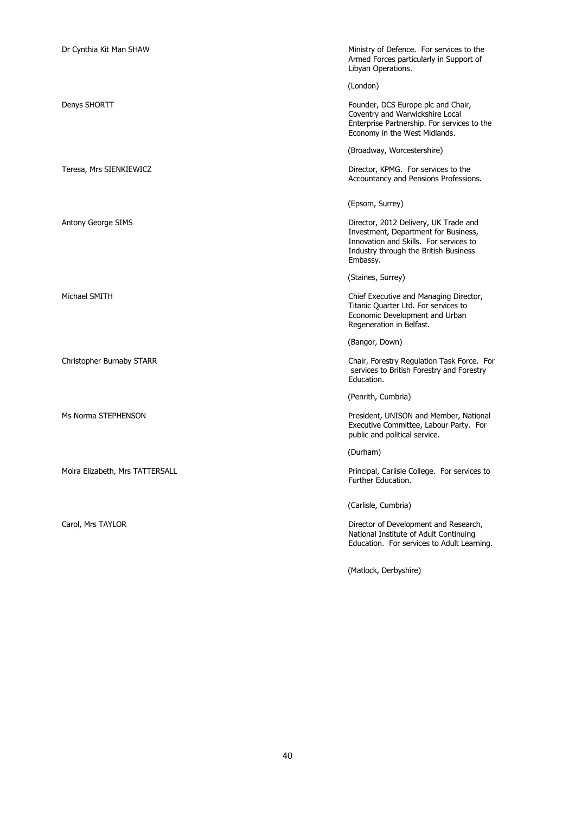| Dr Cynthia Kit Man SHAW         | Ministry of Defence. For services to the<br>Armed Forces particularly in Support of<br>Libyan Operations.                                                                    |
|---------------------------------|------------------------------------------------------------------------------------------------------------------------------------------------------------------------------|
|                                 | (London)                                                                                                                                                                     |
| Denys SHORTT                    | Founder, DCS Europe plc and Chair,<br>Coventry and Warwickshire Local<br>Enterprise Partnership. For services to the<br>Economy in the West Midlands.                        |
|                                 | (Broadway, Worcestershire)                                                                                                                                                   |
| Teresa, Mrs SIENKIEWICZ         | Director, KPMG. For services to the<br>Accountancy and Pensions Professions.                                                                                                 |
|                                 | (Epsom, Surrey)                                                                                                                                                              |
| Antony George SIMS              | Director, 2012 Delivery, UK Trade and<br>Investment, Department for Business,<br>Innovation and Skills. For services to<br>Industry through the British Business<br>Embassy. |
|                                 | (Staines, Surrey)                                                                                                                                                            |
| Michael SMITH                   | Chief Executive and Managing Director,<br>Titanic Quarter Ltd. For services to<br>Economic Development and Urban<br>Regeneration in Belfast.                                 |
|                                 | (Bangor, Down)                                                                                                                                                               |
| Christopher Burnaby STARR       | Chair, Forestry Regulation Task Force. For<br>services to British Forestry and Forestry<br>Education.                                                                        |
|                                 | (Penrith, Cumbria)                                                                                                                                                           |
| Ms Norma STEPHENSON             | President, UNISON and Member, National<br>Executive Committee, Labour Party. For<br>public and political service.                                                            |
|                                 | (Durham)                                                                                                                                                                     |
| Moira Elizabeth, Mrs TATTERSALL | Principal, Carlisle College. For services to<br>Further Education.                                                                                                           |
|                                 | (Carlisle, Cumbria)                                                                                                                                                          |
| Carol, Mrs TAYLOR               | Director of Development and Research,<br>National Institute of Adult Continuing<br>Education. For services to Adult Learning.                                                |
|                                 | (Matlock, Derbyshire)                                                                                                                                                        |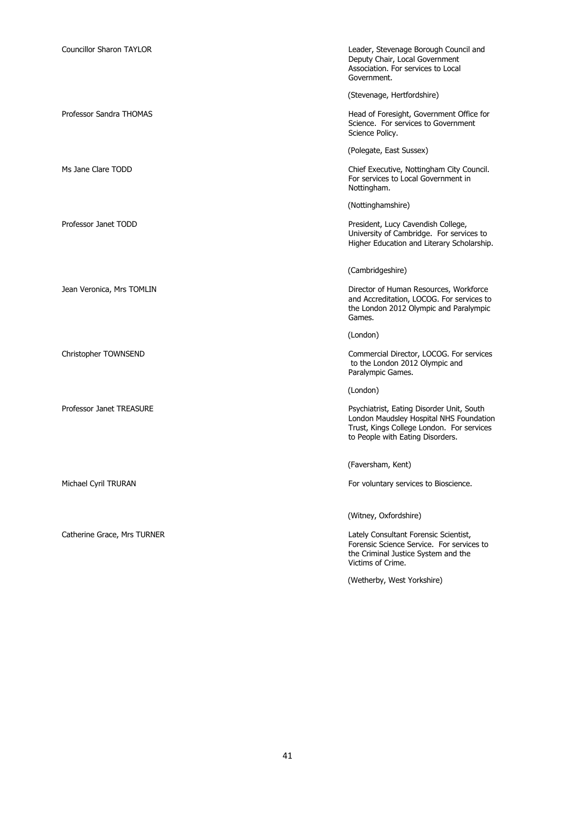| <b>Councillor Sharon TAYLOR</b> | Leader, Stevenage Borough Council and<br>Deputy Chair, Local Government<br>Association. For services to Local<br>Government.                                          |
|---------------------------------|-----------------------------------------------------------------------------------------------------------------------------------------------------------------------|
|                                 | (Stevenage, Hertfordshire)                                                                                                                                            |
| Professor Sandra THOMAS         | Head of Foresight, Government Office for<br>Science. For services to Government<br>Science Policy.                                                                    |
|                                 | (Polegate, East Sussex)                                                                                                                                               |
| Ms Jane Clare TODD              | Chief Executive, Nottingham City Council.<br>For services to Local Government in<br>Nottingham.                                                                       |
|                                 | (Nottinghamshire)                                                                                                                                                     |
| Professor Janet TODD            | President, Lucy Cavendish College,<br>University of Cambridge. For services to<br>Higher Education and Literary Scholarship.                                          |
|                                 | (Cambridgeshire)                                                                                                                                                      |
| Jean Veronica, Mrs TOMLIN       | Director of Human Resources, Workforce<br>and Accreditation, LOCOG. For services to<br>the London 2012 Olympic and Paralympic<br>Games.                               |
|                                 | (London)                                                                                                                                                              |
| Christopher TOWNSEND            | Commercial Director, LOCOG. For services<br>to the London 2012 Olympic and<br>Paralympic Games.                                                                       |
|                                 | (London)                                                                                                                                                              |
| Professor Janet TREASURE        | Psychiatrist, Eating Disorder Unit, South<br>London Maudsley Hospital NHS Foundation<br>Trust, Kings College London. For services<br>to People with Eating Disorders. |
|                                 | (Faversham, Kent)                                                                                                                                                     |
| Michael Cyril TRURAN            | For voluntary services to Bioscience.                                                                                                                                 |
|                                 | (Witney, Oxfordshire)                                                                                                                                                 |
| Catherine Grace, Mrs TURNER     | Lately Consultant Forensic Scientist,<br>Forensic Science Service. For services to<br>the Criminal Justice System and the<br>Victims of Crime.                        |
|                                 | (Wetherby, West Yorkshire)                                                                                                                                            |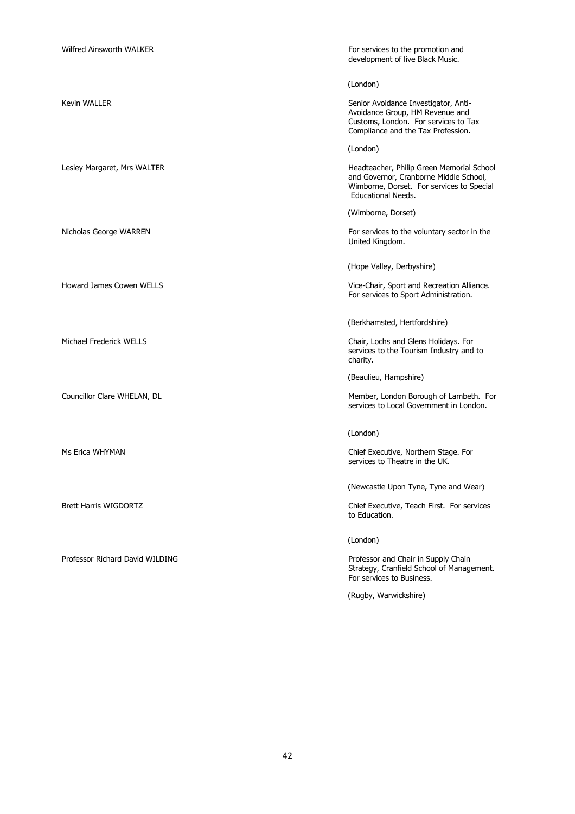| Wilfred Ainsworth WALKER        | For services to the promotion and<br>development of live Black Music.                                                                                         |
|---------------------------------|---------------------------------------------------------------------------------------------------------------------------------------------------------------|
|                                 | (London)                                                                                                                                                      |
| Kevin WALLER                    | Senior Avoidance Investigator, Anti-<br>Avoidance Group, HM Revenue and<br>Customs, London. For services to Tax<br>Compliance and the Tax Profession.         |
|                                 | (London)                                                                                                                                                      |
| Lesley Margaret, Mrs WALTER     | Headteacher, Philip Green Memorial School<br>and Governor, Cranborne Middle School,<br>Wimborne, Dorset. For services to Special<br><b>Educational Needs.</b> |
|                                 | (Wimborne, Dorset)                                                                                                                                            |
| Nicholas George WARREN          | For services to the voluntary sector in the<br>United Kingdom.                                                                                                |
|                                 | (Hope Valley, Derbyshire)                                                                                                                                     |
| <b>Howard James Cowen WELLS</b> | Vice-Chair, Sport and Recreation Alliance.<br>For services to Sport Administration.                                                                           |
|                                 | (Berkhamsted, Hertfordshire)                                                                                                                                  |
| Michael Frederick WELLS         | Chair, Lochs and Glens Holidays. For<br>services to the Tourism Industry and to<br>charity.                                                                   |
|                                 | (Beaulieu, Hampshire)                                                                                                                                         |
| Councillor Clare WHELAN, DL     | Member, London Borough of Lambeth. For<br>services to Local Government in London.                                                                             |
|                                 | (London)                                                                                                                                                      |
| Ms Erica WHYMAN                 | Chief Executive, Northern Stage. For<br>services to Theatre in the UK.                                                                                        |
|                                 | (Newcastle Upon Tyne, Tyne and Wear)                                                                                                                          |
| Brett Harris WIGDORTZ           | Chief Executive, Teach First. For services<br>to Education.                                                                                                   |
|                                 | (London)                                                                                                                                                      |
| Professor Richard David WILDING | Professor and Chair in Supply Chain<br>Strategy, Cranfield School of Management.<br>For services to Business.                                                 |
|                                 | (Rugby, Warwickshire)                                                                                                                                         |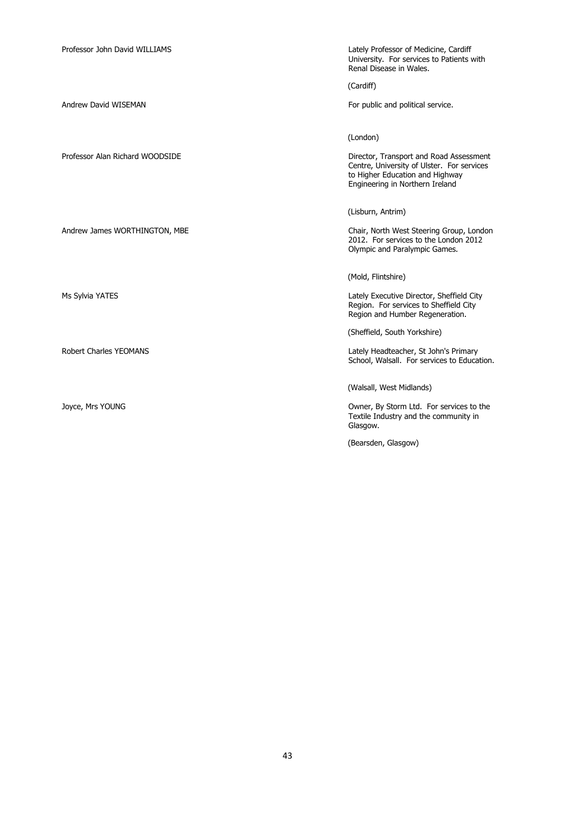| Professor John David WILLIAMS   | Lately Professor of Medicine, Cardiff<br>University. For services to Patients with<br>Renal Disease in Wales.                                               |
|---------------------------------|-------------------------------------------------------------------------------------------------------------------------------------------------------------|
|                                 | (Cardiff)                                                                                                                                                   |
| Andrew David WISEMAN            | For public and political service.                                                                                                                           |
|                                 |                                                                                                                                                             |
|                                 | (London)                                                                                                                                                    |
| Professor Alan Richard WOODSIDE | Director, Transport and Road Assessment<br>Centre, University of Ulster. For services<br>to Higher Education and Highway<br>Engineering in Northern Ireland |
|                                 | (Lisburn, Antrim)                                                                                                                                           |
| Andrew James WORTHINGTON, MBE   | Chair, North West Steering Group, London<br>2012. For services to the London 2012<br>Olympic and Paralympic Games.                                          |
|                                 | (Mold, Flintshire)                                                                                                                                          |
| Ms Sylvia YATES                 | Lately Executive Director, Sheffield City<br>Region. For services to Sheffield City<br>Region and Humber Regeneration.                                      |
|                                 | (Sheffield, South Yorkshire)                                                                                                                                |
| Robert Charles YEOMANS          | Lately Headteacher, St John's Primary<br>School, Walsall. For services to Education.                                                                        |
|                                 | (Walsall, West Midlands)                                                                                                                                    |
| Joyce, Mrs YOUNG                | Owner, By Storm Ltd. For services to the<br>Textile Industry and the community in<br>Glasgow.                                                               |
|                                 | (Bearsden, Glasgow)                                                                                                                                         |
|                                 |                                                                                                                                                             |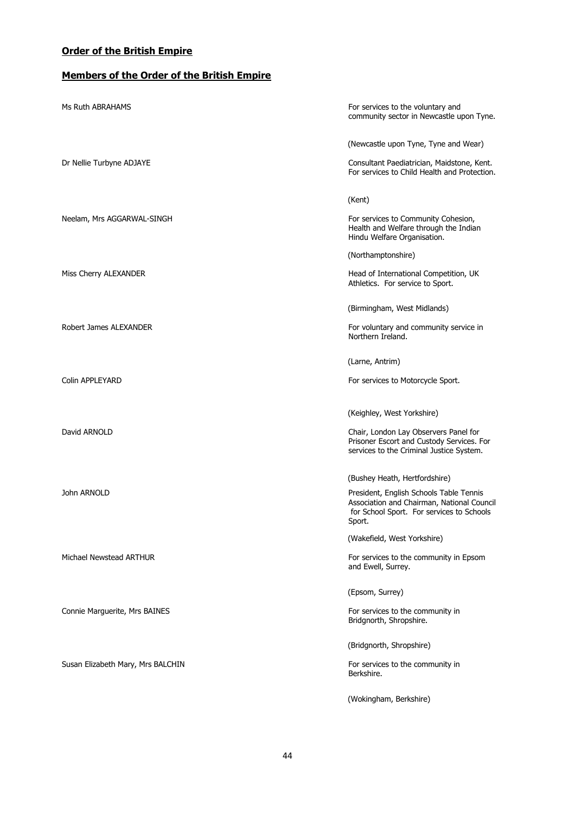## **Order of the British Empire**

## **Members of the Order of the British Empire**

| Ms Ruth ABRAHAMS                  | For services to the voluntary and<br>community sector in Newcastle upon Tyne.                                                                |
|-----------------------------------|----------------------------------------------------------------------------------------------------------------------------------------------|
|                                   | (Newcastle upon Tyne, Tyne and Wear)                                                                                                         |
| Dr Nellie Turbyne ADJAYE          | Consultant Paediatrician, Maidstone, Kent.<br>For services to Child Health and Protection.                                                   |
|                                   | (Kent)                                                                                                                                       |
| Neelam, Mrs AGGARWAL-SINGH        | For services to Community Cohesion,<br>Health and Welfare through the Indian<br>Hindu Welfare Organisation.                                  |
|                                   | (Northamptonshire)                                                                                                                           |
| Miss Cherry ALEXANDER             | Head of International Competition, UK<br>Athletics. For service to Sport.                                                                    |
|                                   | (Birmingham, West Midlands)                                                                                                                  |
| Robert James ALEXANDER            | For voluntary and community service in<br>Northern Ireland.                                                                                  |
|                                   | (Larne, Antrim)                                                                                                                              |
| Colin APPLEYARD                   | For services to Motorcycle Sport.                                                                                                            |
|                                   | (Keighley, West Yorkshire)                                                                                                                   |
| David ARNOLD                      | Chair, London Lay Observers Panel for<br>Prisoner Escort and Custody Services. For<br>services to the Criminal Justice System.               |
|                                   | (Bushey Heath, Hertfordshire)                                                                                                                |
| John ARNOLD                       | President, English Schools Table Tennis<br>Association and Chairman, National Council<br>for School Sport. For services to Schools<br>Sport. |
|                                   | (Wakefield, West Yorkshire)                                                                                                                  |
| Michael Newstead ARTHUR           | For services to the community in Epsom<br>and Ewell, Surrey.                                                                                 |
|                                   | (Epsom, Surrey)                                                                                                                              |
| Connie Marguerite, Mrs BAINES     | For services to the community in<br>Bridgnorth, Shropshire.                                                                                  |
|                                   | (Bridgnorth, Shropshire)                                                                                                                     |
| Susan Elizabeth Mary, Mrs BALCHIN | For services to the community in<br>Berkshire.                                                                                               |
|                                   | (Wokingham, Berkshire)                                                                                                                       |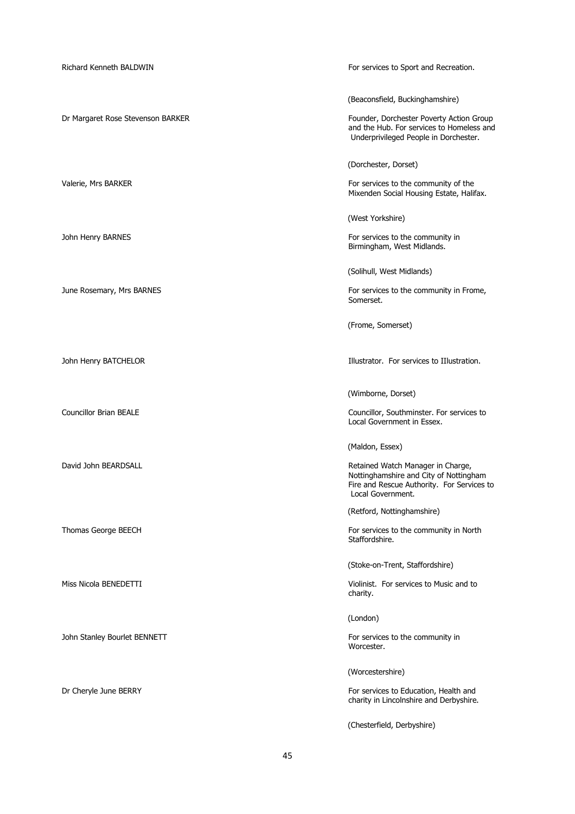| Richard Kenneth BALDWIN           | For services to Sport and Recreation.                                                                                                          |
|-----------------------------------|------------------------------------------------------------------------------------------------------------------------------------------------|
|                                   | (Beaconsfield, Buckinghamshire)                                                                                                                |
| Dr Margaret Rose Stevenson BARKER | Founder, Dorchester Poverty Action Group<br>and the Hub. For services to Homeless and<br>Underprivileged People in Dorchester.                 |
|                                   | (Dorchester, Dorset)                                                                                                                           |
| Valerie, Mrs BARKER               | For services to the community of the<br>Mixenden Social Housing Estate, Halifax.                                                               |
|                                   | (West Yorkshire)                                                                                                                               |
| John Henry BARNES                 | For services to the community in<br>Birmingham, West Midlands.                                                                                 |
|                                   | (Solihull, West Midlands)                                                                                                                      |
| June Rosemary, Mrs BARNES         | For services to the community in Frome,<br>Somerset.                                                                                           |
|                                   | (Frome, Somerset)                                                                                                                              |
| John Henry BATCHELOR              | Illustrator. For services to IIlustration.                                                                                                     |
|                                   | (Wimborne, Dorset)                                                                                                                             |
| <b>Councillor Brian BEALE</b>     | Councillor, Southminster. For services to<br>Local Government in Essex.                                                                        |
|                                   | (Maldon, Essex)                                                                                                                                |
| David John BEARDSALL              | Retained Watch Manager in Charge,<br>Nottinghamshire and City of Nottingham<br>Fire and Rescue Authority. For Services to<br>Local Government. |
|                                   | (Retford, Nottinghamshire)                                                                                                                     |
| Thomas George BEECH               | For services to the community in North<br>Staffordshire.                                                                                       |
|                                   | (Stoke-on-Trent, Staffordshire)                                                                                                                |
| Miss Nicola BENEDETTI             | Violinist. For services to Music and to<br>charity.                                                                                            |
|                                   | (London)                                                                                                                                       |
| John Stanley Bourlet BENNETT      | For services to the community in<br>Worcester.                                                                                                 |
|                                   | (Worcestershire)                                                                                                                               |
| Dr Cheryle June BERRY             | For services to Education, Health and<br>charity in Lincolnshire and Derbyshire.                                                               |
|                                   | (Chesterfield, Derbyshire)                                                                                                                     |

45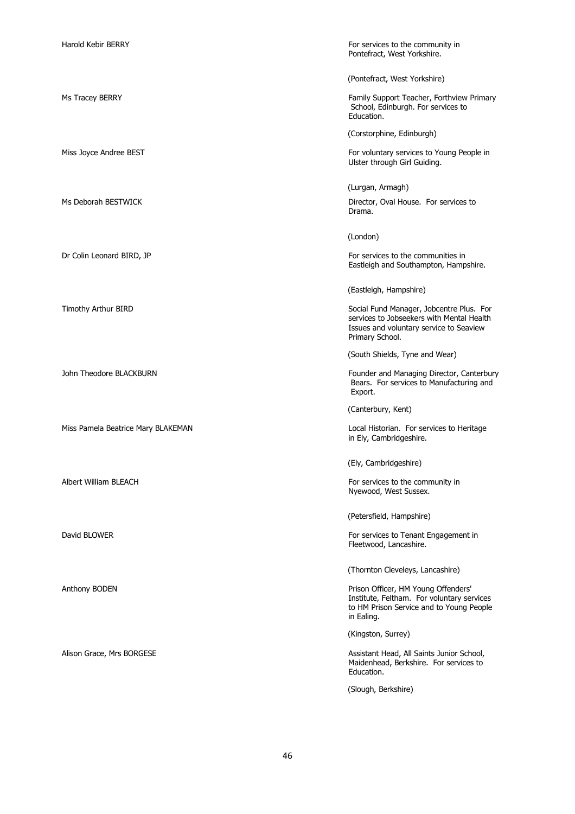Harold Kebir BERRY For services to the community in Pontefract, West Yorkshire.

(Pontefract, West Yorkshire)

Ms Tracey BERRY Family Support Teacher, Forthview Primary School, Edinburgh. For services to Education.

(Corstorphine, Edinburgh)

Miss Joyce Andree BEST **For voluntary services to Young People in** Ulster through Girl Guiding.

(Lurgan, Armagh)

Ms Deborah BESTWICK **Director, Oval House.** For services to Drama.

(London)

Dr Colin Leonard BIRD, JP **For services** to the communities in Eastleigh and Southampton, Hampshire.

(Eastleigh, Hampshire)

Timothy Arthur BIRD Social Fund Manager, Jobcentre Plus. For services to Jobseekers with Mental Health Issues and voluntary service to Seaview Primary School.

(South Shields, Tyne and Wear)

John Theodore BLACKBURN Founder and Managing Director, Canterbury Bears. For services to Manufacturing and Export.

(Canterbury, Kent)

Miss Pamela Beatrice Mary BLAKEMAN Local Historian. For services to Heritage in Ely, Cambridgeshire.

(Ely, Cambridgeshire)

Albert William BLEACH **For services to the community in** Nyewood, West Sussex.

(Petersfield, Hampshire)

David BLOWER For services to Tenant Engagement in Fleetwood, Lancashire.

(Thornton Cleveleys, Lancashire)

Anthony BODEN **Prison Officer, HM Young Offenders' Prison Officer**, HM Young Offenders' Institute, Feltham. For voluntary services to HM Prison Service and to Young People in Ealing.

(Kingston, Surrey)

Alison Grace, Mrs BORGESE **Assistant Head, All Saints Junior School**, Maidenhead, Berkshire. For services to Education.

(Slough, Berkshire)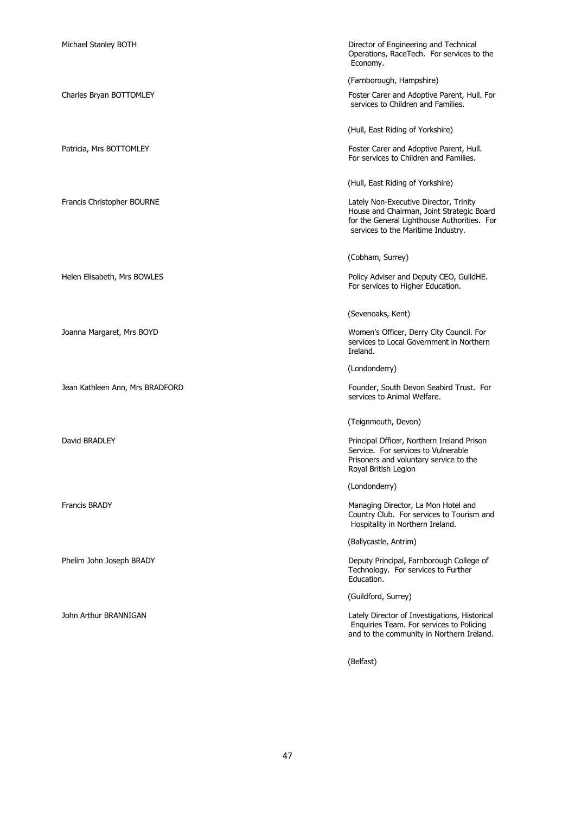| Michael Stanley BOTH            | Director of Engineering and Technical<br>Operations, RaceTech. For services to the<br>Economy.                                                                           |
|---------------------------------|--------------------------------------------------------------------------------------------------------------------------------------------------------------------------|
|                                 | (Farnborough, Hampshire)                                                                                                                                                 |
| Charles Bryan BOTTOMLEY         | Foster Carer and Adoptive Parent, Hull. For<br>services to Children and Families.                                                                                        |
|                                 | (Hull, East Riding of Yorkshire)                                                                                                                                         |
| Patricia, Mrs BOTTOMLEY         | Foster Carer and Adoptive Parent, Hull.<br>For services to Children and Families.                                                                                        |
|                                 | (Hull, East Riding of Yorkshire)                                                                                                                                         |
| Francis Christopher BOURNE      | Lately Non-Executive Director, Trinity<br>House and Chairman, Joint Strategic Board<br>for the General Lighthouse Authorities. For<br>services to the Maritime Industry. |
|                                 | (Cobham, Surrey)                                                                                                                                                         |
| Helen Elisabeth, Mrs BOWLES     | Policy Adviser and Deputy CEO, GuildHE.<br>For services to Higher Education.                                                                                             |
|                                 | (Sevenoaks, Kent)                                                                                                                                                        |
| Joanna Margaret, Mrs BOYD       | Women's Officer, Derry City Council. For<br>services to Local Government in Northern<br>Ireland.                                                                         |
|                                 | (Londonderry)                                                                                                                                                            |
| Jean Kathleen Ann, Mrs BRADFORD | Founder, South Devon Seabird Trust. For<br>services to Animal Welfare.                                                                                                   |
|                                 | (Teignmouth, Devon)                                                                                                                                                      |
| David BRADLEY                   | Principal Officer, Northern Ireland Prison<br>Service. For services to Vulnerable<br>Prisoners and voluntary service to the<br>Royal British Legion                      |
|                                 | (Londonderry)                                                                                                                                                            |
| <b>Francis BRADY</b>            | Managing Director, La Mon Hotel and<br>Country Club. For services to Tourism and<br>Hospitality in Northern Ireland.                                                     |
|                                 | (Ballycastle, Antrim)                                                                                                                                                    |
| Phelim John Joseph BRADY        | Deputy Principal, Farnborough College of<br>Technology. For services to Further<br>Education.                                                                            |
|                                 | (Guildford, Surrey)                                                                                                                                                      |
| John Arthur BRANNIGAN           | Lately Director of Investigations, Historical<br>Enquiries Team. For services to Policing<br>and to the community in Northern Ireland.                                   |
|                                 | (Belfast)                                                                                                                                                                |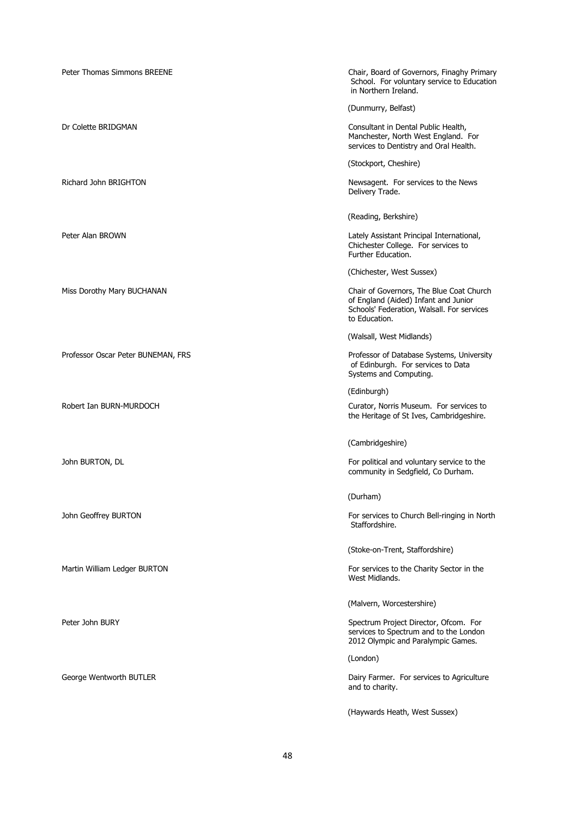| Peter Thomas Simmons BREENE        | Chair, Board of Governors, Finaghy Primary<br>School. For voluntary service to Education<br>in Northern Ireland.                                |
|------------------------------------|-------------------------------------------------------------------------------------------------------------------------------------------------|
|                                    | (Dunmurry, Belfast)                                                                                                                             |
| Dr Colette BRIDGMAN                | Consultant in Dental Public Health,<br>Manchester, North West England. For<br>services to Dentistry and Oral Health.                            |
|                                    | (Stockport, Cheshire)                                                                                                                           |
| Richard John BRIGHTON              | Newsagent. For services to the News<br>Delivery Trade.                                                                                          |
|                                    | (Reading, Berkshire)                                                                                                                            |
| Peter Alan BROWN                   | Lately Assistant Principal International,<br>Chichester College. For services to<br>Further Education.                                          |
|                                    | (Chichester, West Sussex)                                                                                                                       |
| Miss Dorothy Mary BUCHANAN         | Chair of Governors, The Blue Coat Church<br>of England (Aided) Infant and Junior<br>Schools' Federation, Walsall. For services<br>to Education. |
|                                    | (Walsall, West Midlands)                                                                                                                        |
| Professor Oscar Peter BUNEMAN, FRS | Professor of Database Systems, University<br>of Edinburgh. For services to Data<br>Systems and Computing.                                       |
|                                    | (Edinburgh)                                                                                                                                     |
| Robert Ian BURN-MURDOCH            | Curator, Norris Museum. For services to<br>the Heritage of St Ives, Cambridgeshire.                                                             |
|                                    | (Cambridgeshire)                                                                                                                                |
| John BURTON, DL                    | For political and voluntary service to the<br>community in Sedgfield, Co Durham.                                                                |
|                                    | (Durham)                                                                                                                                        |
| John Geoffrey BURTON               | For services to Church Bell-ringing in North<br>Staffordshire.                                                                                  |
|                                    | (Stoke-on-Trent, Staffordshire)                                                                                                                 |
| Martin William Ledger BURTON       | For services to the Charity Sector in the<br>West Midlands.                                                                                     |
|                                    | (Malvern, Worcestershire)                                                                                                                       |
| Peter John BURY                    | Spectrum Project Director, Ofcom. For<br>services to Spectrum and to the London<br>2012 Olympic and Paralympic Games.                           |
|                                    | (London)                                                                                                                                        |
| George Wentworth BUTLER            | Dairy Farmer. For services to Agriculture<br>and to charity.                                                                                    |
|                                    | (Haywards Heath, West Sussex)                                                                                                                   |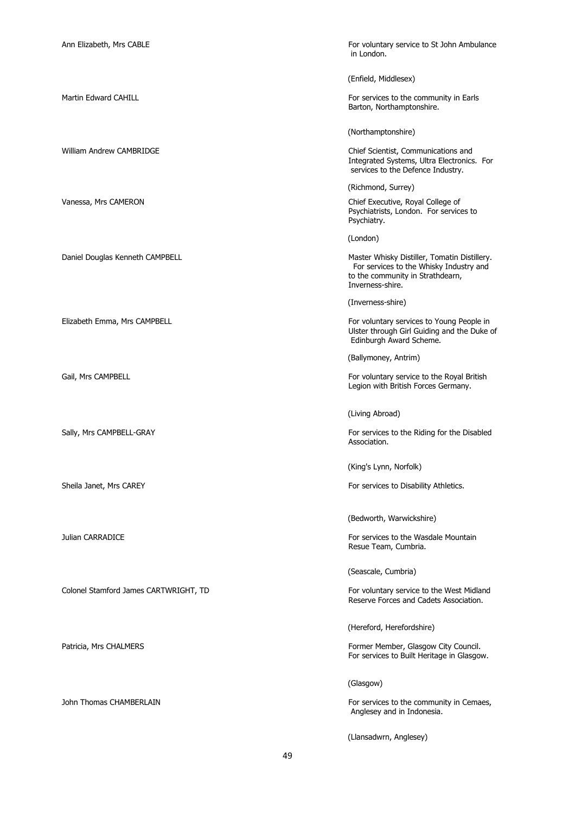Ann Elizabeth, Mrs CABLE **For voluntary service to St John Ambulance** For voluntary service to St John Ambulance in London.

(Enfield, Middlesex)

Martin Edward CAHILL **For services to the community in Earls** For services to the community in Earls Barton, Northamptonshire.

(Northamptonshire)

William Andrew CAMBRIDGE **Chief Scientist, Communications and** Integrated Systems, Ultra Electronics. For services to the Defence Industry.

(Richmond, Surrey)

Vanessa, Mrs CAMERON Chief Executive, Royal College of Psychiatrists, London. For services to Psychiatry.

(London)

Daniel Douglas Kenneth CAMPBELL Master Whisky Distiller, Tomatin Distillery. For services to the Whisky Industry and to the community in Strathdearn, Inverness-shire.

(Inverness-shire)

Elizabeth Emma, Mrs CAMPBELL For voluntary services to Young People in Ulster through Girl Guiding and the Duke of Edinburgh Award Scheme.

(Ballymoney, Antrim)

Gail, Mrs CAMPBELL **For voluntary service to the Royal British** For voluntary service to the Royal British Legion with British Forces Germany.

(Living Abroad)

Sally, Mrs CAMPBELL-GRAY For services to the Riding for the Disabled Association.

(King's Lynn, Norfolk)

Sheila Janet, Mrs CAREY For services to Disability Athletics.

(Bedworth, Warwickshire)

Julian CARRADICE **For services to the Wasdale Mountain** Resue Team, Cumbria.

(Seascale, Cumbria)

Colonel Stamford James CARTWRIGHT, TD For voluntary service to the West Midland Reserve Forces and Cadets Association.

(Hereford, Herefordshire)

Patricia, Mrs CHALMERS **Former Member, Glasgow City Council.** For services to Built Heritage in Glasgow.

(Glasgow)

John Thomas CHAMBERLAIN For services to the community in Cemaes, Anglesey and in Indonesia.

(Llansadwrn, Anglesey)

49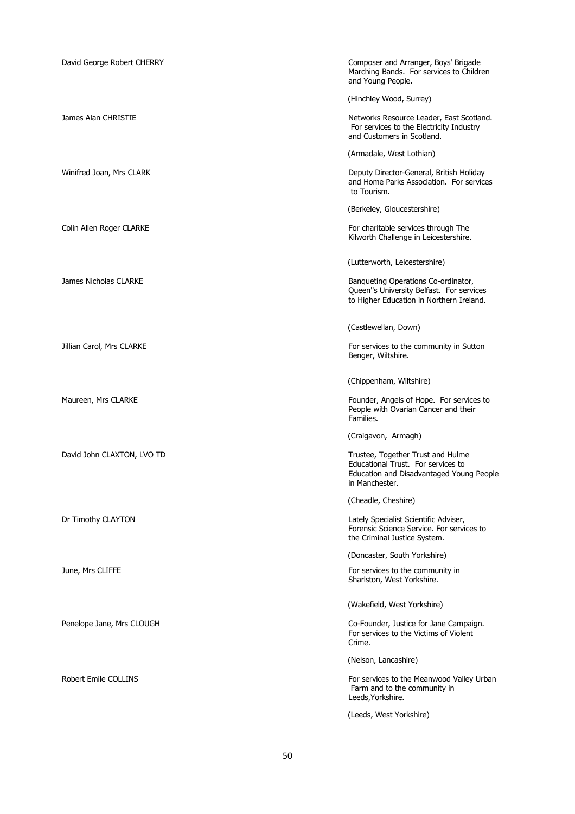| David George Robert CHERRY | Composer and Arranger, Boys' Brigade<br>Marching Bands. For services to Children<br>and Young People.                                 |
|----------------------------|---------------------------------------------------------------------------------------------------------------------------------------|
|                            | (Hinchley Wood, Surrey)                                                                                                               |
| James Alan CHRISTIE        | Networks Resource Leader, East Scotland.<br>For services to the Electricity Industry<br>and Customers in Scotland.                    |
|                            | (Armadale, West Lothian)                                                                                                              |
| Winifred Joan, Mrs CLARK   | Deputy Director-General, British Holiday<br>and Home Parks Association. For services<br>to Tourism.                                   |
|                            | (Berkeley, Gloucestershire)                                                                                                           |
| Colin Allen Roger CLARKE   | For charitable services through The<br>Kilworth Challenge in Leicestershire.                                                          |
|                            | (Lutterworth, Leicestershire)                                                                                                         |
| James Nicholas CLARKE      | Banqueting Operations Co-ordinator,<br>Queen"s University Belfast. For services<br>to Higher Education in Northern Ireland.           |
|                            | (Castlewellan, Down)                                                                                                                  |
| Jillian Carol, Mrs CLARKE  | For services to the community in Sutton<br>Benger, Wiltshire.                                                                         |
|                            | (Chippenham, Wiltshire)                                                                                                               |
| Maureen, Mrs CLARKE        | Founder, Angels of Hope. For services to<br>People with Ovarian Cancer and their<br>Families.                                         |
|                            | (Craigavon, Armagh)                                                                                                                   |
| David John CLAXTON, LVO TD | Trustee, Together Trust and Hulme<br>Educational Trust. For services to<br>Education and Disadvantaged Young People<br>in Manchester. |
|                            | (Cheadle, Cheshire)                                                                                                                   |
| Dr Timothy CLAYTON         | Lately Specialist Scientific Adviser,<br>Forensic Science Service. For services to<br>the Criminal Justice System.                    |
|                            | (Doncaster, South Yorkshire)                                                                                                          |
| June, Mrs CLIFFE           | For services to the community in<br>Sharlston, West Yorkshire.                                                                        |
|                            | (Wakefield, West Yorkshire)                                                                                                           |
| Penelope Jane, Mrs CLOUGH  | Co-Founder, Justice for Jane Campaign.<br>For services to the Victims of Violent<br>Crime.                                            |
|                            | (Nelson, Lancashire)                                                                                                                  |
| Robert Emile COLLINS       | For services to the Meanwood Valley Urban<br>Farm and to the community in<br>Leeds, Yorkshire.                                        |
|                            | (Leeds, West Yorkshire)                                                                                                               |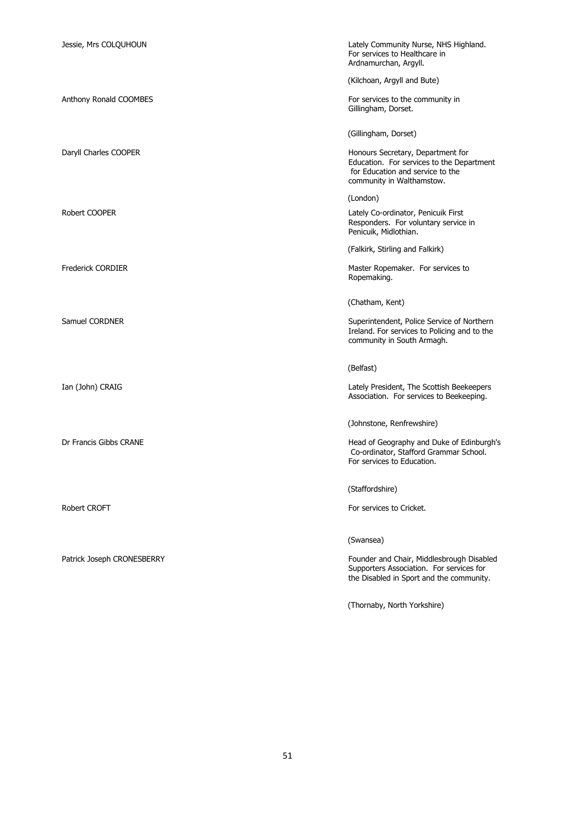| Jessie, Mrs COLQUHOUN      | Lately Community Nurse, NHS Highland.<br>For services to Healthcare in<br>Ardnamurchan, Argyll.                                                 |
|----------------------------|-------------------------------------------------------------------------------------------------------------------------------------------------|
|                            | (Kilchoan, Argyll and Bute)                                                                                                                     |
| Anthony Ronald COOMBES     | For services to the community in<br>Gillingham, Dorset.                                                                                         |
|                            | (Gillingham, Dorset)                                                                                                                            |
| Daryll Charles COOPER      | Honours Secretary, Department for<br>Education. For services to the Department<br>for Education and service to the<br>community in Walthamstow. |
|                            | (London)                                                                                                                                        |
| Robert COOPER              | Lately Co-ordinator, Penicuik First<br>Responders. For voluntary service in<br>Penicuik, Midlothian.                                            |
|                            | (Falkirk, Stirling and Falkirk)                                                                                                                 |
| <b>Frederick CORDIER</b>   | Master Ropemaker. For services to<br>Ropemaking.                                                                                                |
|                            | (Chatham, Kent)                                                                                                                                 |
| Samuel CORDNER             | Superintendent, Police Service of Northern<br>Ireland. For services to Policing and to the<br>community in South Armagh.                        |
|                            | (Belfast)                                                                                                                                       |
| Ian (John) CRAIG           | Lately President, The Scottish Beekeepers<br>Association. For services to Beekeeping.                                                           |
|                            | (Johnstone, Renfrewshire)                                                                                                                       |
| Dr Francis Gibbs CRANE     | Head of Geography and Duke of Edinburgh's<br>Co-ordinator, Stafford Grammar School.<br>For services to Education.                               |
|                            | (Staffordshire)                                                                                                                                 |
| Robert CROFT               | For services to Cricket.                                                                                                                        |
|                            | (Swansea)                                                                                                                                       |
| Patrick Joseph CRONESBERRY | Founder and Chair, Middlesbrough Disabled<br>Supporters Association. For services for<br>the Disabled in Sport and the community.               |
|                            | (Thornaby, North Yorkshire)                                                                                                                     |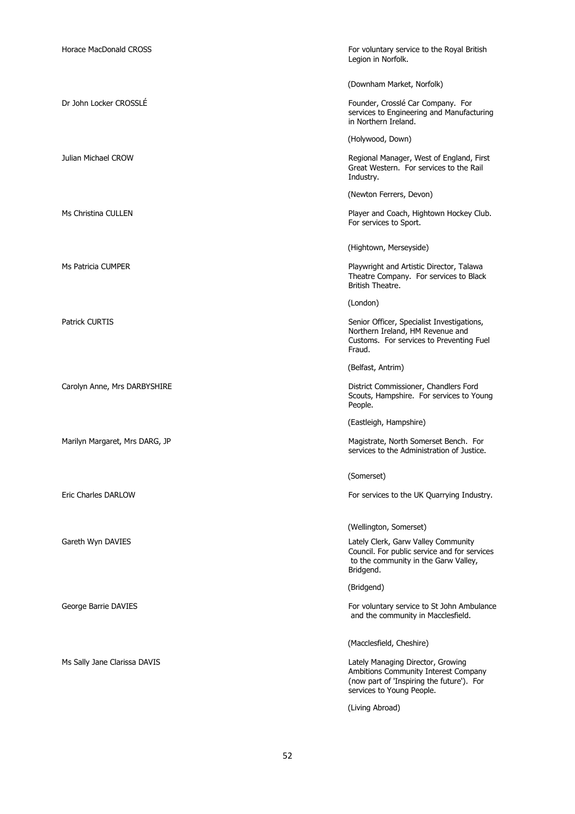| For voluntary service to the Royal British<br>Legion in Norfolk.                                                                                    |
|-----------------------------------------------------------------------------------------------------------------------------------------------------|
| (Downham Market, Norfolk)                                                                                                                           |
| Founder, Crosslé Car Company. For<br>services to Engineering and Manufacturing<br>in Northern Ireland.                                              |
| (Holywood, Down)                                                                                                                                    |
| Regional Manager, West of England, First<br>Great Western. For services to the Rail<br>Industry.                                                    |
| (Newton Ferrers, Devon)                                                                                                                             |
| Player and Coach, Hightown Hockey Club.<br>For services to Sport.                                                                                   |
| (Hightown, Merseyside)                                                                                                                              |
| Playwright and Artistic Director, Talawa<br>Theatre Company. For services to Black<br>British Theatre.                                              |
| (London)                                                                                                                                            |
| Senior Officer, Specialist Investigations,<br>Northern Ireland, HM Revenue and<br>Customs. For services to Preventing Fuel<br>Fraud.                |
| (Belfast, Antrim)                                                                                                                                   |
| District Commissioner, Chandlers Ford<br>Scouts, Hampshire. For services to Young<br>People.                                                        |
| (Eastleigh, Hampshire)                                                                                                                              |
| Magistrate, North Somerset Bench. For<br>services to the Administration of Justice.                                                                 |
| (Somerset)                                                                                                                                          |
| For services to the UK Quarrying Industry.                                                                                                          |
| (Wellington, Somerset)                                                                                                                              |
| Lately Clerk, Garw Valley Community<br>Council. For public service and for services<br>to the community in the Garw Valley,<br>Bridgend.            |
| (Bridgend)                                                                                                                                          |
| For voluntary service to St John Ambulance<br>and the community in Macclesfield.                                                                    |
| (Macclesfield, Cheshire)                                                                                                                            |
| Lately Managing Director, Growing<br>Ambitions Community Interest Company<br>(now part of 'Inspiring the future'). For<br>services to Young People. |
| (Living Abroad)                                                                                                                                     |
|                                                                                                                                                     |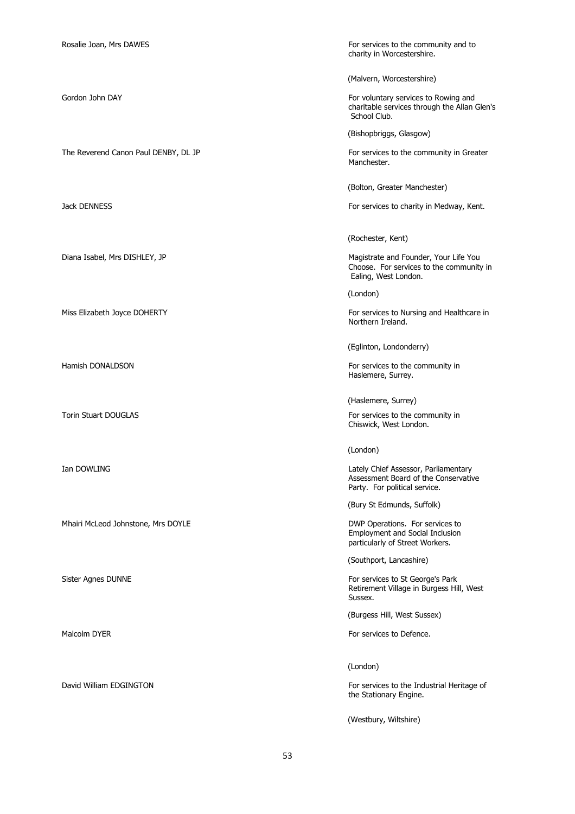The Reverend Canon Paul DENBY, DL JP For services to the community in Greater

Mhairi McLeod Johnstone, Mrs DOYLE **DWG ON A SEARCH STATE STATE** DWP Operations. For services to

Rosalie Joan, Mrs DAWES **For services to the community and to For services** to the community and to charity in Worcestershire.

(Malvern, Worcestershire)

Gordon John DAY For voluntary services to Rowing and Gordon John DAY charitable services through the Allan Glen's School Club.

(Bishopbriggs, Glasgow)

Manchester.

(Bolton, Greater Manchester)

Jack DENNESS For services to charity in Medway, Kent.

(Rochester, Kent)

Diana Isabel, Mrs DISHLEY, JP **Magistrate and Founder, Your Life You** Choose. For services to the community in Ealing, West London.

(London)

Miss Elizabeth Joyce DOHERTY **For services to Nursing and Healthcare in** Northern Ireland.

(Eglinton, Londonderry)

Hamish DONALDSON For services to the community in Haslemere, Surrey.

(Haslemere, Surrey)

Torin Stuart DOUGLAS **For services** to the community in Chiswick, West London.

(London)

Ian DOWLING Lately Chief Assessor, Parliamentary Assessment Board of the Conservative Party. For political service.

(Bury St Edmunds, Suffolk)

Employment and Social Inclusion particularly of Street Workers.

(Southport, Lancashire)

Sister Agnes DUNNE **For services to St George's Park** Retirement Village in Burgess Hill, West Sussex.

(Burgess Hill, West Sussex)

Malcolm DYER For services to Defence.

(London)

David William EDGINGTON For services to the Industrial Heritage of the Stationary Engine.

(Westbury, Wiltshire)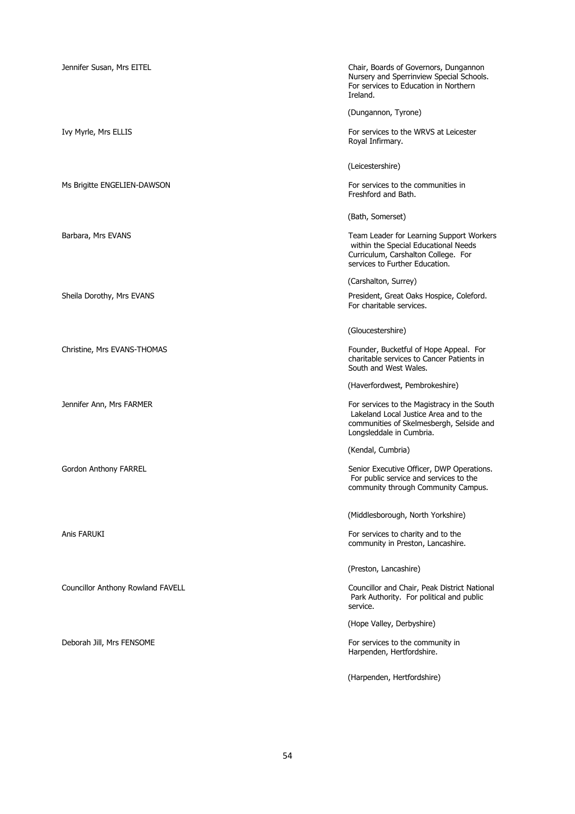| Jennifer Susan, Mrs EITEL         | Chair, Boards of Governors, Dungannon<br>Nursery and Sperrinview Special Schools.<br>For services to Education in Northern<br>Ireland.                        |
|-----------------------------------|---------------------------------------------------------------------------------------------------------------------------------------------------------------|
|                                   | (Dungannon, Tyrone)                                                                                                                                           |
| Ivy Myrle, Mrs ELLIS              | For services to the WRVS at Leicester<br>Royal Infirmary.                                                                                                     |
|                                   | (Leicestershire)                                                                                                                                              |
| Ms Brigitte ENGELIEN-DAWSON       | For services to the communities in<br>Freshford and Bath.                                                                                                     |
|                                   | (Bath, Somerset)                                                                                                                                              |
| Barbara, Mrs EVANS                | Team Leader for Learning Support Workers<br>within the Special Educational Needs<br>Curriculum, Carshalton College. For<br>services to Further Education.     |
|                                   | (Carshalton, Surrey)                                                                                                                                          |
| Sheila Dorothy, Mrs EVANS         | President, Great Oaks Hospice, Coleford.<br>For charitable services.                                                                                          |
|                                   | (Gloucestershire)                                                                                                                                             |
| Christine, Mrs EVANS-THOMAS       | Founder, Bucketful of Hope Appeal. For<br>charitable services to Cancer Patients in<br>South and West Wales.                                                  |
|                                   | (Haverfordwest, Pembrokeshire)                                                                                                                                |
| Jennifer Ann, Mrs FARMER          | For services to the Magistracy in the South<br>Lakeland Local Justice Area and to the<br>communities of Skelmesbergh, Selside and<br>Longsleddale in Cumbria. |
|                                   | (Kendal, Cumbria)                                                                                                                                             |
| Gordon Anthony FARREL             | Senior Executive Officer, DWP Operations.<br>For public service and services to the<br>community through Community Campus.                                    |
|                                   | (Middlesborough, North Yorkshire)                                                                                                                             |
| Anis FARUKI                       | For services to charity and to the<br>community in Preston, Lancashire.                                                                                       |
|                                   | (Preston, Lancashire)                                                                                                                                         |
| Councillor Anthony Rowland FAVELL | Councillor and Chair, Peak District National<br>Park Authority. For political and public<br>service.                                                          |
|                                   | (Hope Valley, Derbyshire)                                                                                                                                     |
| Deborah Jill, Mrs FENSOME         | For services to the community in<br>Harpenden, Hertfordshire.                                                                                                 |
|                                   | (Harpenden, Hertfordshire)                                                                                                                                    |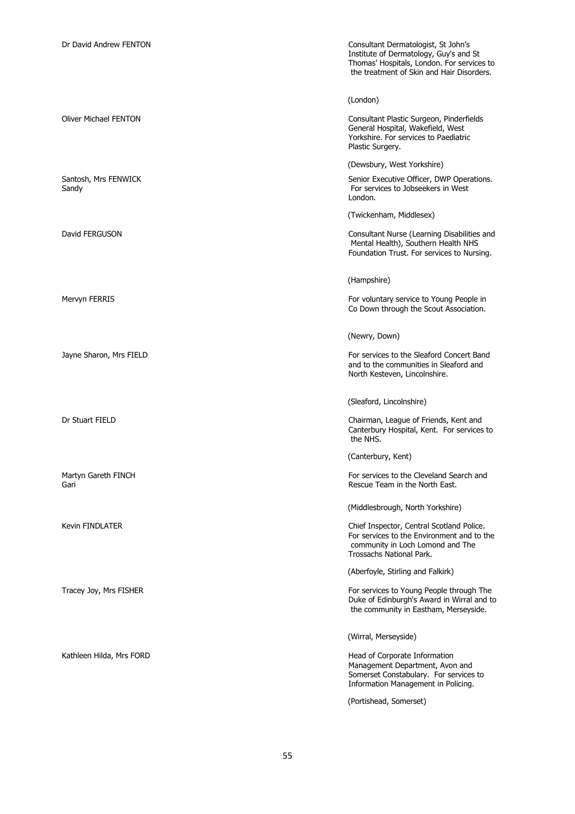Dr David Andrew FENTON Consultant Dermatologist, St John's Institute of Dermatology, Guy's and St Thomas' Hospitals, London. For services to the treatment of Skin and Hair Disorders.

(London)

Oliver Michael FENTON Consultant Plastic Surgeon, Pinderfields General Hospital, Wakefield, West Yorkshire. For services to Paediatric Plastic Surgery.

(Dewsbury, West Yorkshire)

Santosh, Mrs FENWICK Santosh, Mrs FENWICK Senior Executive Officer, DWP Operations.<br>
Senior Executive Officer, DWP Operations.<br>
For services to Jobseekers in West For services to Jobseekers in West London.

(Twickenham, Middlesex)

David FERGUSON Consultant Nurse (Learning Disabilities and Mental Health), Southern Health NHS Foundation Trust. For services to Nursing.

(Hampshire)

Mervyn FERRIS For voluntary service to Young People in Co Down through the Scout Association.

(Newry, Down)

Jayne Sharon, Mrs FIELD **For services to the Sleaford Concert Band** and to the communities in Sleaford and North Kesteven, Lincolnshire.

(Sleaford, Lincolnshire)

Dr Stuart FIELD Chairman, League of Friends, Kent and Canterbury Hospital, Kent. For services to the NHS.

(Canterbury, Kent)

Martyn Gareth FINCH FOR SEARCH FOR SEARCH FOR SEARCH STATES TO SEARCH AND FOR SERVICES to the Cleveland Search and Gari **Gari** Rescue Team in the North East.

(Middlesbrough, North Yorkshire)

Kevin FINDLATER **Chief Inspector, Central Scotland Police.** For services to the Environment and to the community in Loch Lomond and The Trossachs National Park.

(Aberfoyle, Stirling and Falkirk)

Tracey Joy, Mrs FISHER FOR SERVICES TO A SERVICES TO SERVICES TO Young People through The Duke of Edinburgh's Award in Wirral and to the community in Eastham, Merseyside.

(Wirral, Merseyside)

Kathleen Hilda, Mrs FORD **Head of Corporate Information** Head of Corporate Information Management Department, Avon and Somerset Constabulary. For services to Information Management in Policing.

(Portishead, Somerset)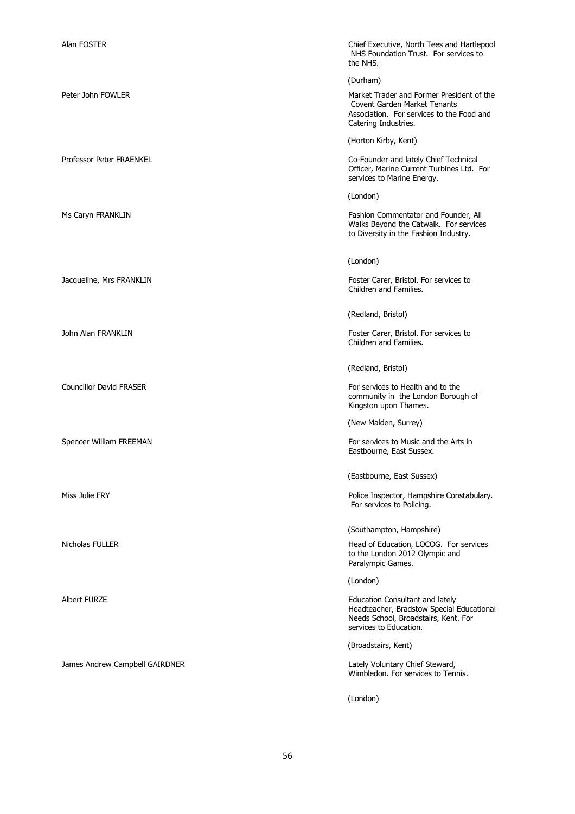| Alan FOSTER                    | Chief Executive, North Tees and Hartlepool<br>NHS Foundation Trust. For services to<br>the NHS.                                                       |
|--------------------------------|-------------------------------------------------------------------------------------------------------------------------------------------------------|
|                                | (Durham)                                                                                                                                              |
| Peter John FOWLER              | Market Trader and Former President of the<br><b>Covent Garden Market Tenants</b><br>Association. For services to the Food and<br>Catering Industries. |
|                                | (Horton Kirby, Kent)                                                                                                                                  |
| Professor Peter FRAENKEL       | Co-Founder and lately Chief Technical<br>Officer, Marine Current Turbines Ltd. For<br>services to Marine Energy.                                      |
|                                | (London)                                                                                                                                              |
| Ms Caryn FRANKLIN              | Fashion Commentator and Founder, All<br>Walks Beyond the Catwalk. For services<br>to Diversity in the Fashion Industry.                               |
|                                | (London)                                                                                                                                              |
| Jacqueline, Mrs FRANKLIN       | Foster Carer, Bristol. For services to<br>Children and Families.                                                                                      |
|                                | (Redland, Bristol)                                                                                                                                    |
| John Alan FRANKLIN             | Foster Carer, Bristol. For services to<br>Children and Families.                                                                                      |
|                                | (Redland, Bristol)                                                                                                                                    |
| <b>Councillor David FRASER</b> | For services to Health and to the<br>community in the London Borough of<br>Kingston upon Thames.                                                      |
|                                | (New Malden, Surrey)                                                                                                                                  |
| Spencer William FREEMAN        | For services to Music and the Arts in<br>Eastbourne, East Sussex.                                                                                     |
|                                | (Eastbourne, East Sussex)                                                                                                                             |
| Miss Julie FRY                 | Police Inspector, Hampshire Constabulary.<br>For services to Policing.                                                                                |
|                                | (Southampton, Hampshire)                                                                                                                              |
| Nicholas FULLER                | Head of Education, LOCOG. For services<br>to the London 2012 Olympic and<br>Paralympic Games.                                                         |
|                                | (London)                                                                                                                                              |
| <b>Albert FURZE</b>            | Education Consultant and lately<br>Headteacher, Bradstow Special Educational<br>Needs School, Broadstairs, Kent. For<br>services to Education.        |
|                                | (Broadstairs, Kent)                                                                                                                                   |
| James Andrew Campbell GAIRDNER | Lately Voluntary Chief Steward,<br>Wimbledon. For services to Tennis.                                                                                 |
|                                | (London)                                                                                                                                              |

56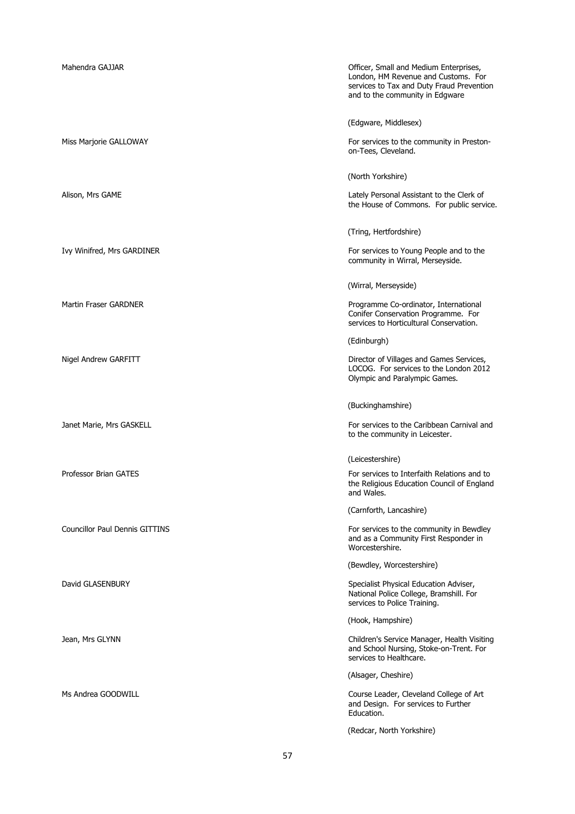| Mahendra GAJJAR                       | Officer, Small and Medium Enterprises,<br>London, HM Revenue and Customs. For<br>services to Tax and Duty Fraud Prevention<br>and to the community in Edgware |
|---------------------------------------|---------------------------------------------------------------------------------------------------------------------------------------------------------------|
|                                       | (Edgware, Middlesex)                                                                                                                                          |
| Miss Marjorie GALLOWAY                | For services to the community in Preston-<br>on-Tees, Cleveland.                                                                                              |
|                                       | (North Yorkshire)                                                                                                                                             |
| Alison, Mrs GAME                      | Lately Personal Assistant to the Clerk of<br>the House of Commons. For public service.                                                                        |
|                                       | (Tring, Hertfordshire)                                                                                                                                        |
| Ivy Winifred, Mrs GARDINER            | For services to Young People and to the<br>community in Wirral, Merseyside.                                                                                   |
|                                       | (Wirral, Merseyside)                                                                                                                                          |
| <b>Martin Fraser GARDNER</b>          | Programme Co-ordinator, International<br>Conifer Conservation Programme. For<br>services to Horticultural Conservation.                                       |
|                                       | (Edinburgh)                                                                                                                                                   |
| Nigel Andrew GARFITT                  | Director of Villages and Games Services,<br>LOCOG. For services to the London 2012<br>Olympic and Paralympic Games.                                           |
|                                       | (Buckinghamshire)                                                                                                                                             |
| Janet Marie, Mrs GASKELL              | For services to the Caribbean Carnival and<br>to the community in Leicester.                                                                                  |
|                                       | (Leicestershire)                                                                                                                                              |
| Professor Brian GATES                 | For services to Interfaith Relations and to<br>the Religious Education Council of England<br>and Wales.                                                       |
|                                       | (Carnforth, Lancashire)                                                                                                                                       |
| <b>Councillor Paul Dennis GITTINS</b> |                                                                                                                                                               |
|                                       | For services to the community in Bewdley<br>and as a Community First Responder in<br>Worcestershire.                                                          |
|                                       | (Bewdley, Worcestershire)                                                                                                                                     |
| David GLASENBURY                      | Specialist Physical Education Adviser,<br>National Police College, Bramshill. For<br>services to Police Training.                                             |
|                                       | (Hook, Hampshire)                                                                                                                                             |
| Jean, Mrs GLYNN                       | Children's Service Manager, Health Visiting<br>and School Nursing, Stoke-on-Trent. For<br>services to Healthcare.                                             |
|                                       | (Alsager, Cheshire)                                                                                                                                           |
| Ms Andrea GOODWILL                    | Course Leader, Cleveland College of Art<br>and Design. For services to Further<br>Education.                                                                  |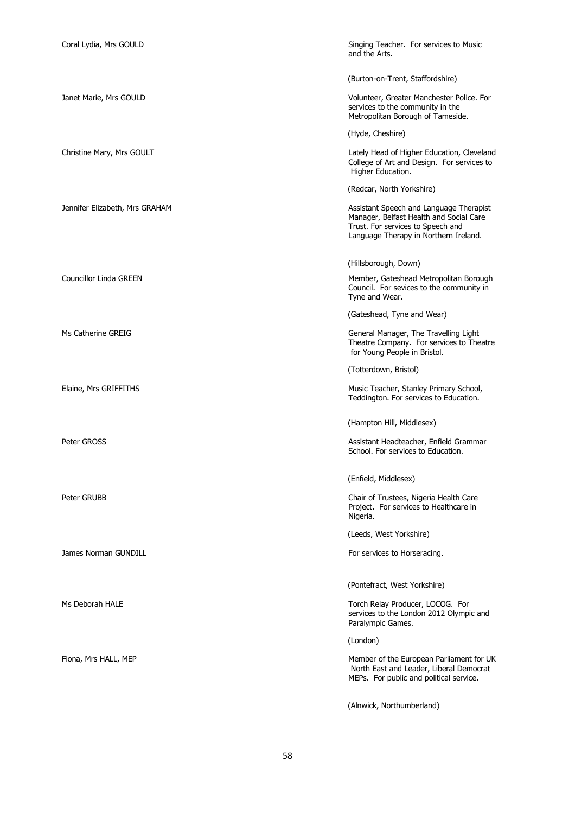| Coral Lydia, Mrs GOULD         | Singing Teacher. For services to Music<br>and the Arts.                                                                                                          |
|--------------------------------|------------------------------------------------------------------------------------------------------------------------------------------------------------------|
|                                | (Burton-on-Trent, Staffordshire)                                                                                                                                 |
| Janet Marie, Mrs GOULD         | Volunteer, Greater Manchester Police. For<br>services to the community in the<br>Metropolitan Borough of Tameside.                                               |
|                                | (Hyde, Cheshire)                                                                                                                                                 |
| Christine Mary, Mrs GOULT      | Lately Head of Higher Education, Cleveland<br>College of Art and Design. For services to<br>Higher Education.                                                    |
|                                | (Redcar, North Yorkshire)                                                                                                                                        |
| Jennifer Elizabeth, Mrs GRAHAM | Assistant Speech and Language Therapist<br>Manager, Belfast Health and Social Care<br>Trust. For services to Speech and<br>Language Therapy in Northern Ireland. |
|                                | (Hillsborough, Down)                                                                                                                                             |
| Councillor Linda GREEN         | Member, Gateshead Metropolitan Borough<br>Council. For sevices to the community in<br>Tyne and Wear.                                                             |
|                                | (Gateshead, Tyne and Wear)                                                                                                                                       |
| Ms Catherine GREIG             | General Manager, The Travelling Light<br>Theatre Company. For services to Theatre<br>for Young People in Bristol.                                                |
|                                | (Totterdown, Bristol)                                                                                                                                            |
| Elaine, Mrs GRIFFITHS          | Music Teacher, Stanley Primary School,<br>Teddington. For services to Education.                                                                                 |
|                                | (Hampton Hill, Middlesex)                                                                                                                                        |
| Peter GROSS                    | Assistant Headteacher, Enfield Grammar<br>School. For services to Education.                                                                                     |
|                                | (Enfield, Middlesex)                                                                                                                                             |
| Peter GRUBB                    | Chair of Trustees, Nigeria Health Care<br>Project. For services to Healthcare in<br>Nigeria.                                                                     |
|                                | (Leeds, West Yorkshire)                                                                                                                                          |
| James Norman GUNDILL           | For services to Horseracing.                                                                                                                                     |
|                                | (Pontefract, West Yorkshire)                                                                                                                                     |
| Ms Deborah HALE                | Torch Relay Producer, LOCOG. For                                                                                                                                 |
|                                | services to the London 2012 Olympic and<br>Paralympic Games.                                                                                                     |
|                                | (London)                                                                                                                                                         |
| Fiona, Mrs HALL, MEP           | Member of the European Parliament for UK<br>North East and Leader, Liberal Democrat<br>MEPs. For public and political service.                                   |
|                                | (Alnwick, Northumberland)                                                                                                                                        |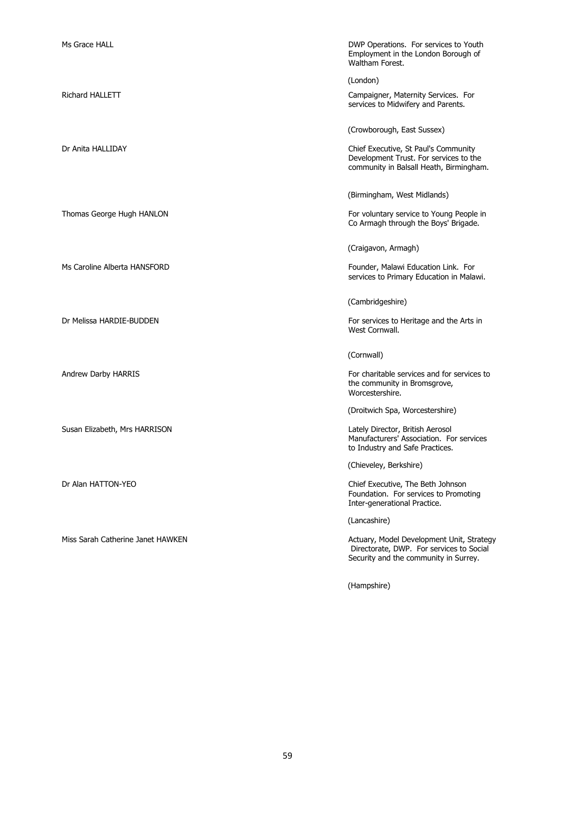| Ms Grace HALL                     | DWP Operations. For services to Youth<br>Employment in the London Borough of<br>Waltham Forest.                                |
|-----------------------------------|--------------------------------------------------------------------------------------------------------------------------------|
|                                   | (London)                                                                                                                       |
| <b>Richard HALLETT</b>            | Campaigner, Maternity Services. For<br>services to Midwifery and Parents.                                                      |
|                                   | (Crowborough, East Sussex)                                                                                                     |
| Dr Anita HALLIDAY                 | Chief Executive, St Paul's Community<br>Development Trust. For services to the<br>community in Balsall Heath, Birmingham.      |
|                                   | (Birmingham, West Midlands)                                                                                                    |
| Thomas George Hugh HANLON         | For voluntary service to Young People in<br>Co Armagh through the Boys' Brigade.                                               |
|                                   | (Craigavon, Armagh)                                                                                                            |
| Ms Caroline Alberta HANSFORD      | Founder, Malawi Education Link. For<br>services to Primary Education in Malawi.                                                |
|                                   | (Cambridgeshire)                                                                                                               |
| Dr Melissa HARDIE-BUDDEN          | For services to Heritage and the Arts in<br>West Cornwall.                                                                     |
|                                   | (Cornwall)                                                                                                                     |
| Andrew Darby HARRIS               | For charitable services and for services to<br>the community in Bromsgrove,<br>Worcestershire.                                 |
|                                   | (Droitwich Spa, Worcestershire)                                                                                                |
| Susan Elizabeth, Mrs HARRISON     | Lately Director, British Aerosol<br>Manufacturers' Association. For services<br>to Industry and Safe Practices.                |
|                                   | (Chieveley, Berkshire)                                                                                                         |
| Dr Alan HATTON-YEO                | Chief Executive, The Beth Johnson<br>Foundation. For services to Promoting<br>Inter-generational Practice.                     |
|                                   | (Lancashire)                                                                                                                   |
| Miss Sarah Catherine Janet HAWKEN | Actuary, Model Development Unit, Strategy<br>Directorate, DWP. For services to Social<br>Security and the community in Surrey. |

(Hampshire)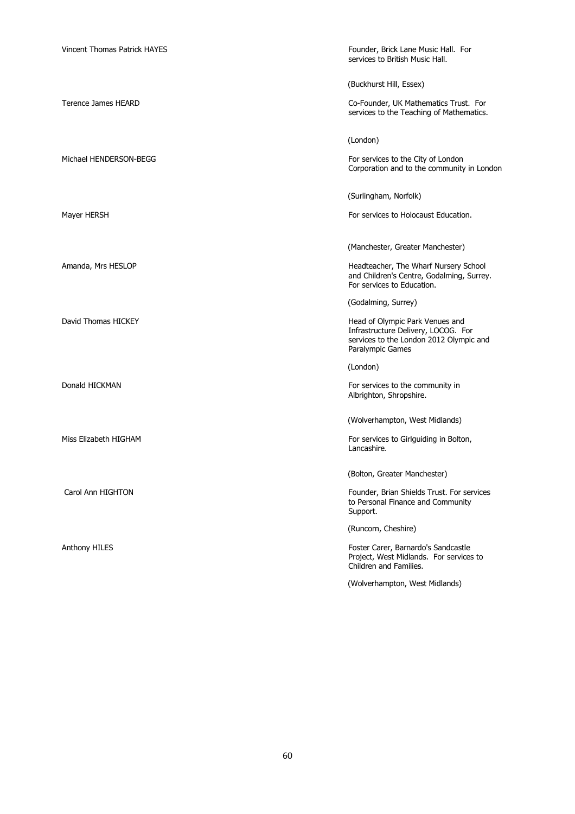| <b>Vincent Thomas Patrick HAYES</b> | Founder, Brick Lane Music Hall. For<br>services to British Music Hall.                                                                |
|-------------------------------------|---------------------------------------------------------------------------------------------------------------------------------------|
|                                     | (Buckhurst Hill, Essex)                                                                                                               |
| Terence James HEARD                 | Co-Founder, UK Mathematics Trust. For<br>services to the Teaching of Mathematics.                                                     |
|                                     | (London)                                                                                                                              |
| Michael HENDERSON-BEGG              | For services to the City of London<br>Corporation and to the community in London                                                      |
|                                     | (Surlingham, Norfolk)                                                                                                                 |
| Mayer HERSH                         | For services to Holocaust Education.                                                                                                  |
|                                     | (Manchester, Greater Manchester)                                                                                                      |
| Amanda, Mrs HESLOP                  | Headteacher, The Wharf Nursery School<br>and Children's Centre, Godalming, Surrey.<br>For services to Education.                      |
|                                     | (Godalming, Surrey)                                                                                                                   |
| David Thomas HICKEY                 | Head of Olympic Park Venues and<br>Infrastructure Delivery, LOCOG. For<br>services to the London 2012 Olympic and<br>Paralympic Games |
|                                     | (London)                                                                                                                              |
| Donald HICKMAN                      | For services to the community in<br>Albrighton, Shropshire.                                                                           |
|                                     | (Wolverhampton, West Midlands)                                                                                                        |
| Miss Elizabeth HIGHAM               | For services to Girlguiding in Bolton,<br>Lancashire.                                                                                 |
|                                     | (Bolton, Greater Manchester)                                                                                                          |
| Carol Ann HIGHTON                   | Founder, Brian Shields Trust. For services<br>to Personal Finance and Community<br>Support.                                           |
|                                     | (Runcorn, Cheshire)                                                                                                                   |
| <b>Anthony HILES</b>                | Foster Carer, Barnardo's Sandcastle<br>Project, West Midlands. For services to<br>Children and Families.                              |
|                                     | (Wolverhampton, West Midlands)                                                                                                        |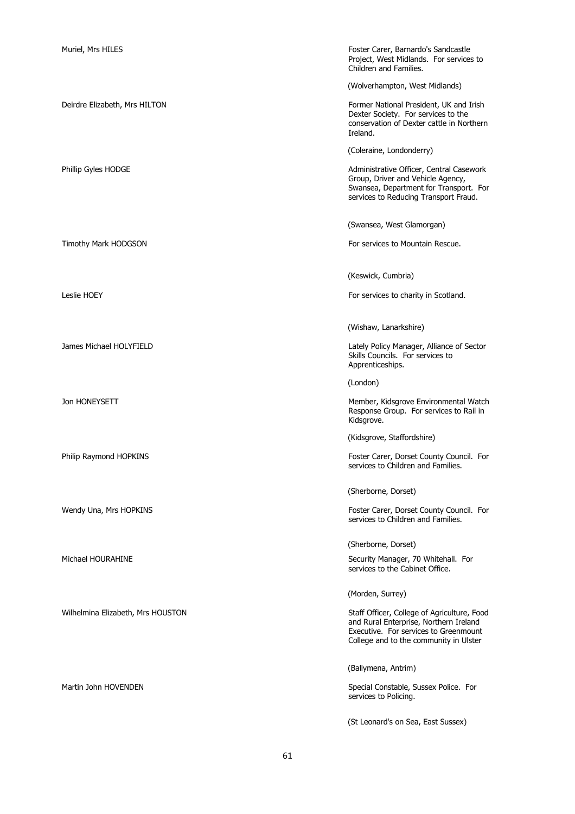| Muriel, Mrs HILES                 | Foster Carer, Barnardo's Sandcastle<br>Project, West Midlands. For services to<br>Children and Families.                                                                 |
|-----------------------------------|--------------------------------------------------------------------------------------------------------------------------------------------------------------------------|
|                                   | (Wolverhampton, West Midlands)                                                                                                                                           |
| Deirdre Elizabeth, Mrs HILTON     | Former National President, UK and Irish<br>Dexter Society. For services to the<br>conservation of Dexter cattle in Northern<br>Ireland.                                  |
|                                   | (Coleraine, Londonderry)                                                                                                                                                 |
| Phillip Gyles HODGE               | Administrative Officer, Central Casework<br>Group, Driver and Vehicle Agency,<br>Swansea, Department for Transport. For<br>services to Reducing Transport Fraud.         |
|                                   | (Swansea, West Glamorgan)                                                                                                                                                |
| Timothy Mark HODGSON              | For services to Mountain Rescue.                                                                                                                                         |
|                                   | (Keswick, Cumbria)                                                                                                                                                       |
| Leslie HOEY                       | For services to charity in Scotland.                                                                                                                                     |
|                                   | (Wishaw, Lanarkshire)                                                                                                                                                    |
| James Michael HOLYFIELD           | Lately Policy Manager, Alliance of Sector<br>Skills Councils. For services to<br>Apprenticeships.                                                                        |
|                                   | (London)                                                                                                                                                                 |
| Jon HONEYSETT                     | Member, Kidsgrove Environmental Watch<br>Response Group. For services to Rail in<br>Kidsgrove.                                                                           |
|                                   | (Kidsgrove, Staffordshire)                                                                                                                                               |
| Philip Raymond HOPKINS            | Foster Carer, Dorset County Council. For<br>services to Children and Families.                                                                                           |
|                                   | (Sherborne, Dorset)                                                                                                                                                      |
| Wendy Una, Mrs HOPKINS            | Foster Carer, Dorset County Council. For<br>services to Children and Families.                                                                                           |
|                                   | (Sherborne, Dorset)                                                                                                                                                      |
| Michael HOURAHINE                 | Security Manager, 70 Whitehall. For<br>services to the Cabinet Office.                                                                                                   |
|                                   | (Morden, Surrey)                                                                                                                                                         |
| Wilhelmina Elizabeth, Mrs HOUSTON | Staff Officer, College of Agriculture, Food<br>and Rural Enterprise, Northern Ireland<br>Executive. For services to Greenmount<br>College and to the community in Ulster |
|                                   | (Ballymena, Antrim)                                                                                                                                                      |
| Martin John HOVENDEN              | Special Constable, Sussex Police. For<br>services to Policing.                                                                                                           |
|                                   | (St Leonard's on Sea, East Sussex)                                                                                                                                       |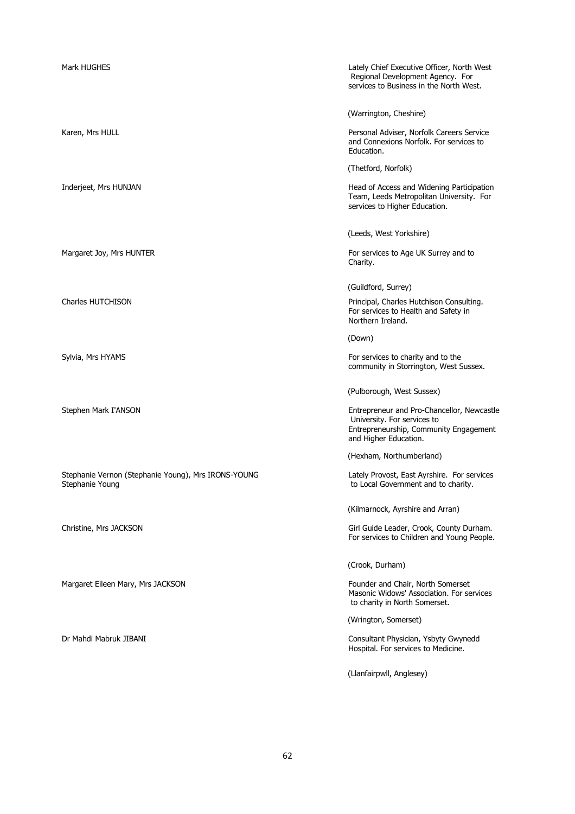| Mark HUGHES                                                            | Lately Chief Executive Officer, North West<br>Regional Development Agency. For<br>services to Business in the North West.                    |
|------------------------------------------------------------------------|----------------------------------------------------------------------------------------------------------------------------------------------|
|                                                                        | (Warrington, Cheshire)                                                                                                                       |
| Karen, Mrs HULL                                                        | Personal Adviser, Norfolk Careers Service<br>and Connexions Norfolk. For services to<br>Education.                                           |
|                                                                        | (Thetford, Norfolk)                                                                                                                          |
| Inderjeet, Mrs HUNJAN                                                  | Head of Access and Widening Participation<br>Team, Leeds Metropolitan University. For<br>services to Higher Education.                       |
|                                                                        | (Leeds, West Yorkshire)                                                                                                                      |
| Margaret Joy, Mrs HUNTER                                               | For services to Age UK Surrey and to<br>Charity.                                                                                             |
|                                                                        | (Guildford, Surrey)                                                                                                                          |
| Charles HUTCHISON                                                      | Principal, Charles Hutchison Consulting.<br>For services to Health and Safety in<br>Northern Ireland.                                        |
|                                                                        | (Down)                                                                                                                                       |
| Sylvia, Mrs HYAMS                                                      | For services to charity and to the<br>community in Storrington, West Sussex.                                                                 |
|                                                                        | (Pulborough, West Sussex)                                                                                                                    |
| Stephen Mark I'ANSON                                                   | Entrepreneur and Pro-Chancellor, Newcastle<br>University. For services to<br>Entrepreneurship, Community Engagement<br>and Higher Education. |
|                                                                        | (Hexham, Northumberland)                                                                                                                     |
| Stephanie Vernon (Stephanie Young), Mrs IRONS-YOUNG<br>Stephanie Young | Lately Provost, East Ayrshire. For services<br>to Local Government and to charity.                                                           |
|                                                                        | (Kilmarnock, Ayrshire and Arran)                                                                                                             |
| Christine, Mrs JACKSON                                                 | Girl Guide Leader, Crook, County Durham.<br>For services to Children and Young People.                                                       |
|                                                                        | (Crook, Durham)                                                                                                                              |
| Margaret Eileen Mary, Mrs JACKSON                                      | Founder and Chair, North Somerset<br>Masonic Widows' Association. For services<br>to charity in North Somerset.                              |
|                                                                        | (Wrington, Somerset)                                                                                                                         |
| Dr Mahdi Mabruk JIBANI                                                 | Consultant Physician, Ysbyty Gwynedd<br>Hospital. For services to Medicine.                                                                  |
|                                                                        | (Llanfairpwll, Anglesey)                                                                                                                     |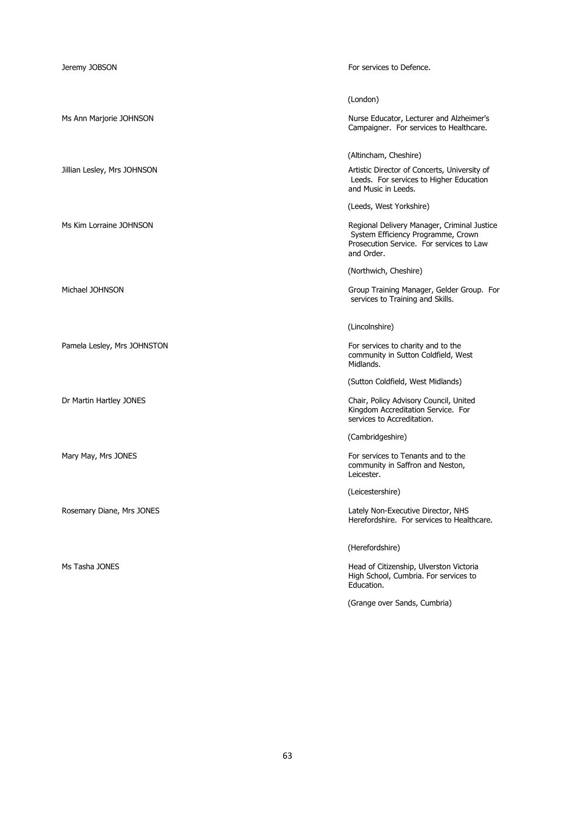| Jeremy JOBSON               | For services to Defence.                                                                                                                    |
|-----------------------------|---------------------------------------------------------------------------------------------------------------------------------------------|
|                             | (London)                                                                                                                                    |
| Ms Ann Marjorie JOHNSON     | Nurse Educator, Lecturer and Alzheimer's<br>Campaigner. For services to Healthcare.                                                         |
|                             | (Altincham, Cheshire)                                                                                                                       |
| Jillian Lesley, Mrs JOHNSON | Artistic Director of Concerts, University of<br>Leeds. For services to Higher Education<br>and Music in Leeds.                              |
|                             | (Leeds, West Yorkshire)                                                                                                                     |
| Ms Kim Lorraine JOHNSON     | Regional Delivery Manager, Criminal Justice<br>System Efficiency Programme, Crown<br>Prosecution Service. For services to Law<br>and Order. |
|                             | (Northwich, Cheshire)                                                                                                                       |
| Michael JOHNSON             | Group Training Manager, Gelder Group. For<br>services to Training and Skills.                                                               |
|                             | (Lincolnshire)                                                                                                                              |
| Pamela Lesley, Mrs JOHNSTON | For services to charity and to the<br>community in Sutton Coldfield, West<br>Midlands.                                                      |
|                             | (Sutton Coldfield, West Midlands)                                                                                                           |
| Dr Martin Hartley JONES     | Chair, Policy Advisory Council, United<br>Kingdom Accreditation Service. For<br>services to Accreditation.                                  |
|                             | (Cambridgeshire)                                                                                                                            |
| Mary May, Mrs JONES         | For services to Tenants and to the<br>community in Saffron and Neston,<br>Leicester.                                                        |
|                             | (Leicestershire)                                                                                                                            |
| Rosemary Diane, Mrs JONES   | Lately Non-Executive Director, NHS<br>Herefordshire. For services to Healthcare.                                                            |
|                             | (Herefordshire)                                                                                                                             |
| Ms Tasha JONES              | Head of Citizenship, Ulverston Victoria<br>High School, Cumbria. For services to<br>Education.                                              |
|                             | (Grange over Sands, Cumbria)                                                                                                                |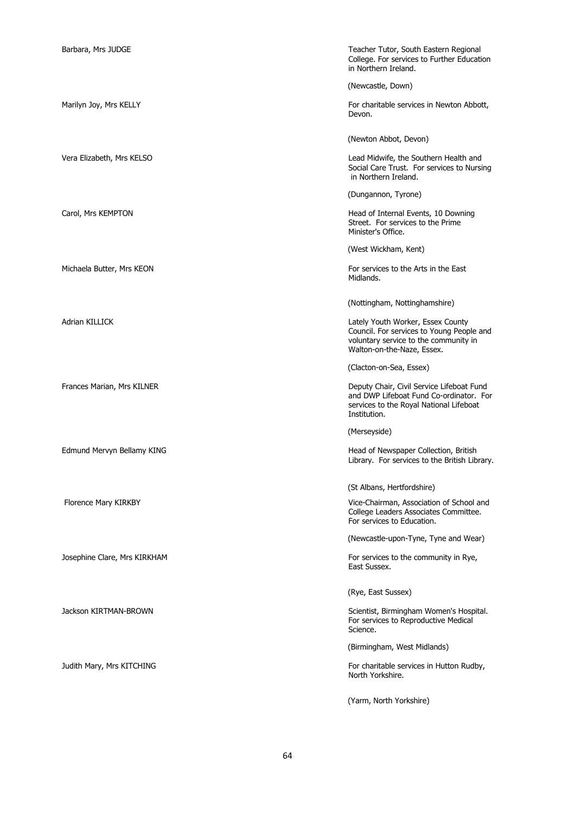| Barbara, Mrs JUDGE           | Teacher Tutor, South Eastern Regional<br>College. For services to Further Education<br>in Northern Ireland.                                           |
|------------------------------|-------------------------------------------------------------------------------------------------------------------------------------------------------|
|                              | (Newcastle, Down)                                                                                                                                     |
| Marilyn Joy, Mrs KELLY       | For charitable services in Newton Abbott,<br>Devon.                                                                                                   |
|                              | (Newton Abbot, Devon)                                                                                                                                 |
| Vera Elizabeth, Mrs KELSO    | Lead Midwife, the Southern Health and<br>Social Care Trust. For services to Nursing<br>in Northern Ireland.                                           |
|                              | (Dungannon, Tyrone)                                                                                                                                   |
| Carol, Mrs KEMPTON           | Head of Internal Events, 10 Downing<br>Street. For services to the Prime<br>Minister's Office.                                                        |
|                              | (West Wickham, Kent)                                                                                                                                  |
| Michaela Butter, Mrs KEON    | For services to the Arts in the East<br>Midlands.                                                                                                     |
|                              | (Nottingham, Nottinghamshire)                                                                                                                         |
| Adrian KILLICK               | Lately Youth Worker, Essex County<br>Council. For services to Young People and<br>voluntary service to the community in<br>Walton-on-the-Naze, Essex. |
|                              | (Clacton-on-Sea, Essex)                                                                                                                               |
| Frances Marian, Mrs KILNER   | Deputy Chair, Civil Service Lifeboat Fund<br>and DWP Lifeboat Fund Co-ordinator. For<br>services to the Royal National Lifeboat<br>Institution.       |
|                              | (Merseyside)                                                                                                                                          |
| Edmund Mervyn Bellamy KING   | Head of Newspaper Collection, British<br>Library. For services to the British Library.                                                                |
|                              | (St Albans, Hertfordshire)                                                                                                                            |
| Florence Mary KIRKBY         | Vice-Chairman, Association of School and<br>College Leaders Associates Committee.<br>For services to Education.                                       |
|                              | (Newcastle-upon-Tyne, Tyne and Wear)                                                                                                                  |
| Josephine Clare, Mrs KIRKHAM | For services to the community in Rye,<br>East Sussex.                                                                                                 |
|                              | (Rye, East Sussex)                                                                                                                                    |
| Jackson KIRTMAN-BROWN        | Scientist, Birmingham Women's Hospital.<br>For services to Reproductive Medical<br>Science.                                                           |
|                              | (Birmingham, West Midlands)                                                                                                                           |
| Judith Mary, Mrs KITCHING    | For charitable services in Hutton Rudby,<br>North Yorkshire.                                                                                          |
|                              | (Yarm, North Yorkshire)                                                                                                                               |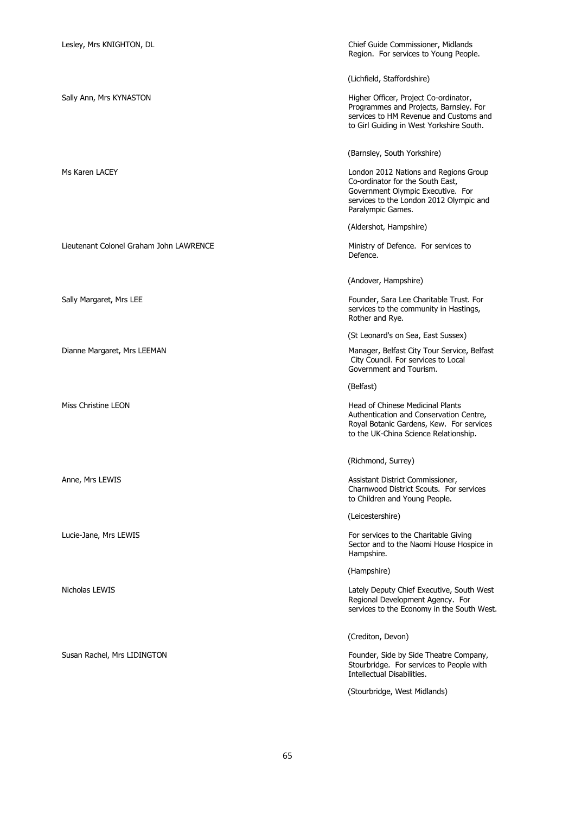Lieutenant Colonel Graham John LAWRENCE Ministry of Defence. For services to

Lesley, Mrs KNIGHTON, DL Chief Guide Commissioner, Midlands Region. For services to Young People.

(Lichfield, Staffordshire)

Sally Ann, Mrs KYNASTON **Higher Officer, Project Co-ordinator**, Programmes and Projects, Barnsley. For services to HM Revenue and Customs and to Girl Guiding in West Yorkshire South.

(Barnsley, South Yorkshire)

Ms Karen LACEY **London 2012 Nations and Regions Group** Co-ordinator for the South East, Government Olympic Executive. For services to the London 2012 Olympic and Paralympic Games.

(Aldershot, Hampshire)

Defence.

(Andover, Hampshire)

Sally Margaret, Mrs LEE Founder, Sara Lee Charitable Trust. For services to the community in Hastings, Rother and Rye.

(St Leonard's on Sea, East Sussex)

Dianne Margaret, Mrs LEEMAN Manager, Belfast City Tour Service, Belfast City Council. For services to Local Government and Tourism.

(Belfast)

Miss Christine LEON **Miss Channel Leon** Head of Chinese Medicinal Plants Authentication and Conservation Centre, Royal Botanic Gardens, Kew. For services to the UK-China Science Relationship.

(Richmond, Surrey)

Anne, Mrs LEWIS **Anne, Mrs LEWIS** Assistant District Commissioner, Charnwood District Scouts. For services to Children and Young People.

(Leicestershire)

Lucie-Jane, Mrs LEWIS **For services** to the Charitable Giving Sector and to the Naomi House Hospice in Hampshire.

(Hampshire)

Nicholas LEWIS Lately Deputy Chief Executive, South West Regional Development Agency. For services to the Economy in the South West.

(Crediton, Devon)

Susan Rachel, Mrs LIDINGTON Founder, Side by Side Theatre Company, Stourbridge. For services to People with Intellectual Disabilities.

(Stourbridge, West Midlands)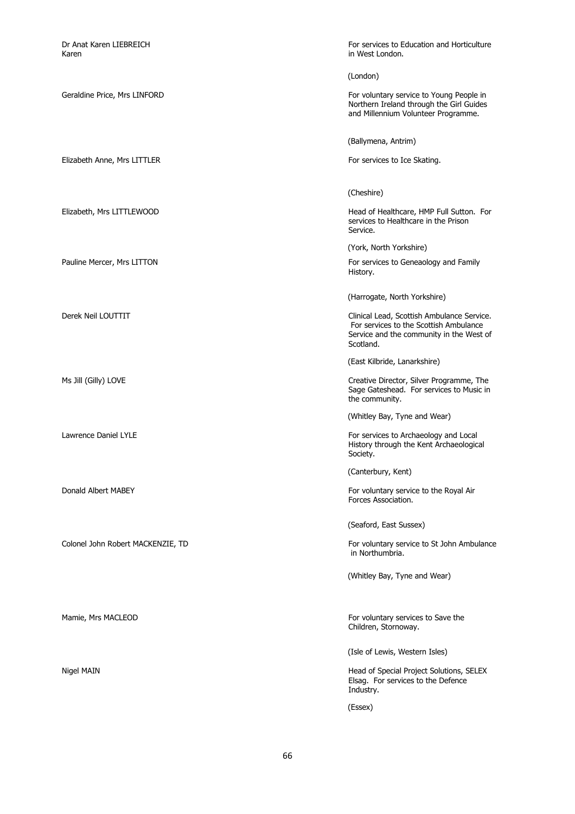Dr Anat Karen LIEBREICH **For services to Education and Horticulture**<br>
For services to Education and Horticulture<br>
Karen in West London. (London) Geraldine Price, Mrs LINFORD For voluntary service to Young People in Northern Ireland through the Girl Guides and Millennium Volunteer Programme. (Ballymena, Antrim) Elizabeth Anne, Mrs LITTLER For services to Ice Skating. (Cheshire) Elizabeth, Mrs LITTLEWOOD Head of Healthcare, HMP Full Sutton. For services to Healthcare in the Prison Service. (York, North Yorkshire) Pauline Mercer, Mrs LITTON For services to Geneaology and Family History. (Harrogate, North Yorkshire) Derek Neil LOUTTIT Clinical Lead, Scottish Ambulance Service. For services to the Scottish Ambulance Service and the community in the West of Scotland. (East Kilbride, Lanarkshire) Ms Jill (Gilly) LOVE Creative Director, Silver Programme, The Sage Gateshead. For services to Music in the community. (Whitley Bay, Tyne and Wear) Lawrence Daniel LYLE **For services to Archaeology and Local** History through the Kent Archaeological Society. (Canterbury, Kent) Donald Albert MABEY For voluntary service to the Royal Air Forces Association. (Seaford, East Sussex) Colonel John Robert MACKENZIE, TD For voluntary service to St John Ambulance in Northumbria. (Whitley Bay, Tyne and Wear) Mamie, Mrs MACLEOD **For voluntary services to Save the Save Transformation** For voluntary services to Save the Children, Stornoway. (Isle of Lewis, Western Isles) Nigel MAIN **Matter Community** Controller Matter Community Head of Special Project Solutions, SELEX Elsag. For services to the Defence Industry. (Essex)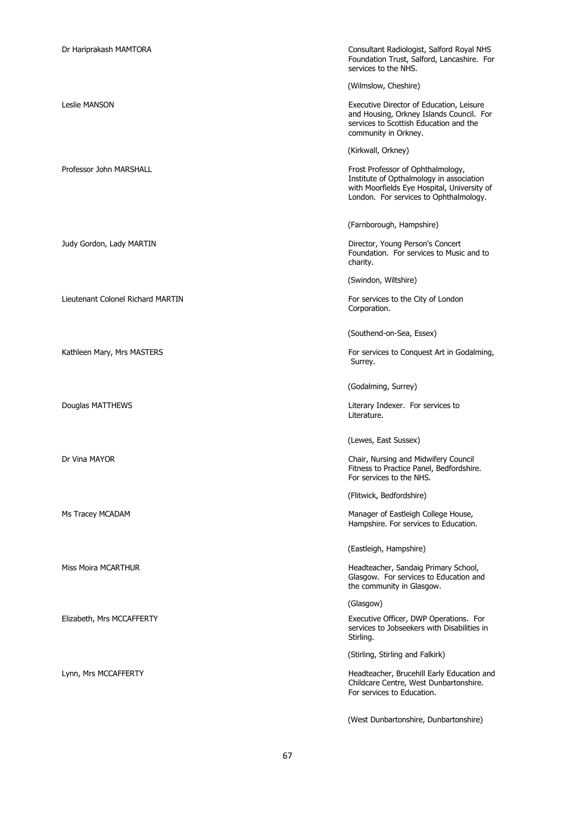| Dr Hariprakash MAMTORA            | Consultant Radiologist, Salford Royal NHS<br>Foundation Trust, Salford, Lancashire. For<br>services to the NHS.                                                        |
|-----------------------------------|------------------------------------------------------------------------------------------------------------------------------------------------------------------------|
|                                   | (Wilmslow, Cheshire)                                                                                                                                                   |
| <b>Leslie MANSON</b>              | Executive Director of Education, Leisure<br>and Housing, Orkney Islands Council. For<br>services to Scottish Education and the<br>community in Orkney.                 |
|                                   | (Kirkwall, Orkney)                                                                                                                                                     |
| Professor John MARSHALL           | Frost Professor of Ophthalmology,<br>Institute of Opthalmology in association<br>with Moorfields Eye Hospital, University of<br>London. For services to Ophthalmology. |
|                                   | (Farnborough, Hampshire)                                                                                                                                               |
| Judy Gordon, Lady MARTIN          | Director, Young Person's Concert<br>Foundation. For services to Music and to<br>charity.                                                                               |
|                                   | (Swindon, Wiltshire)                                                                                                                                                   |
| Lieutenant Colonel Richard MARTIN | For services to the City of London<br>Corporation.                                                                                                                     |
|                                   | (Southend-on-Sea, Essex)                                                                                                                                               |
| Kathleen Mary, Mrs MASTERS        | For services to Conquest Art in Godalming,<br>Surrey.                                                                                                                  |
|                                   | (Godalming, Surrey)                                                                                                                                                    |
|                                   |                                                                                                                                                                        |
| Douglas MATTHEWS                  | Literary Indexer. For services to<br>Literature.                                                                                                                       |
|                                   | (Lewes, East Sussex)                                                                                                                                                   |
| Dr Vina MAYOR                     | Chair, Nursing and Midwifery Council<br>Fitness to Practice Panel, Bedfordshire.<br>For services to the NHS.                                                           |
|                                   | (Flitwick, Bedfordshire)                                                                                                                                               |
| Ms Tracey MCADAM                  | Manager of Eastleigh College House,<br>Hampshire. For services to Education.                                                                                           |
|                                   | (Eastleigh, Hampshire)                                                                                                                                                 |
| Miss Moira MCARTHUR               | Headteacher, Sandaig Primary School,<br>Glasgow. For services to Education and<br>the community in Glasgow.                                                            |
|                                   | (Glasgow)                                                                                                                                                              |
| Elizabeth, Mrs MCCAFFERTY         | Executive Officer, DWP Operations. For<br>services to Jobseekers with Disabilities in<br>Stirling.                                                                     |
|                                   | (Stirling, Stirling and Falkirk)                                                                                                                                       |
| Lynn, Mrs MCCAFFERTY              | Headteacher, Brucehill Early Education and<br>Childcare Centre, West Dunbartonshire.<br>For services to Education.                                                     |

(West Dunbartonshire, Dunbartonshire)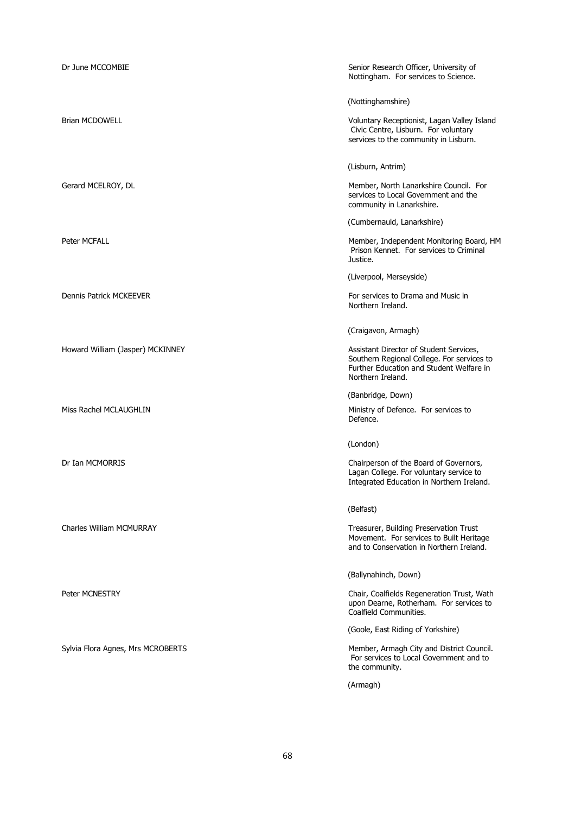| Dr June MCCOMBIE                  | Senior Research Officer, University of<br>Nottingham. For services to Science.                                                                         |
|-----------------------------------|--------------------------------------------------------------------------------------------------------------------------------------------------------|
|                                   | (Nottinghamshire)                                                                                                                                      |
| <b>Brian MCDOWELL</b>             | Voluntary Receptionist, Lagan Valley Island<br>Civic Centre, Lisburn. For voluntary<br>services to the community in Lisburn.                           |
|                                   | (Lisburn, Antrim)                                                                                                                                      |
| Gerard MCELROY, DL                | Member, North Lanarkshire Council. For<br>services to Local Government and the<br>community in Lanarkshire.                                            |
|                                   | (Cumbernauld, Lanarkshire)                                                                                                                             |
| <b>Peter MCFALL</b>               | Member, Independent Monitoring Board, HM<br>Prison Kennet. For services to Criminal<br>Justice.                                                        |
|                                   | (Liverpool, Merseyside)                                                                                                                                |
| <b>Dennis Patrick MCKEEVER</b>    | For services to Drama and Music in<br>Northern Ireland.                                                                                                |
|                                   | (Craigavon, Armagh)                                                                                                                                    |
| Howard William (Jasper) MCKINNEY  | Assistant Director of Student Services,<br>Southern Regional College. For services to<br>Further Education and Student Welfare in<br>Northern Ireland. |
|                                   | (Banbridge, Down)                                                                                                                                      |
| Miss Rachel MCLAUGHLIN            | Ministry of Defence. For services to<br>Defence.                                                                                                       |
|                                   | (London)                                                                                                                                               |
| Dr Ian MCMORRIS                   | Chairperson of the Board of Governors,<br>Lagan College. For voluntary service to<br>Integrated Education in Northern Ireland.                         |
|                                   | (Belfast)                                                                                                                                              |
| Charles William MCMURRAY          | Treasurer, Building Preservation Trust<br>Movement. For services to Built Heritage<br>and to Conservation in Northern Ireland.                         |
|                                   | (Ballynahinch, Down)                                                                                                                                   |
| Peter MCNESTRY                    | Chair, Coalfields Regeneration Trust, Wath<br>upon Dearne, Rotherham. For services to<br>Coalfield Communities.                                        |
|                                   | (Goole, East Riding of Yorkshire)                                                                                                                      |
| Sylvia Flora Agnes, Mrs MCROBERTS | Member, Armagh City and District Council.<br>For services to Local Government and to<br>the community.                                                 |
|                                   | (Armagh)                                                                                                                                               |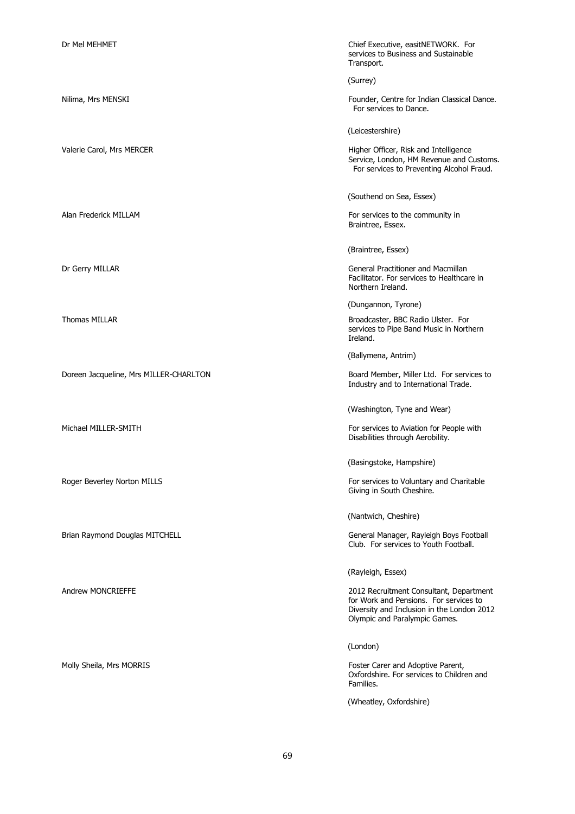Doreen Jacqueline, Mrs MILLER-CHARLTON Board Member, Miller Ltd. For services to

Dr Mel MEHMET Chief Executive, easitNETWORK. For services to Business and Sustainable Transport.

(Surrey)

Nilima, Mrs MENSKI Founder, Centre for Indian Classical Dance. For services to Dance.

(Leicestershire)

Valerie Carol, Mrs MERCER **Higher Officer, Risk and Intelligence** Service, London, HM Revenue and Customs. For services to Preventing Alcohol Fraud.

(Southend on Sea, Essex)

Alan Frederick MILLAM **For services** to the community in Braintree, Essex.

(Braintree, Essex)

Dr Gerry MILLAR General Practitioner and Macmillan Facilitator. For services to Healthcare in Northern Ireland.

(Dungannon, Tyrone)

Thomas MILLAR **Broadcaster, BBC Radio Ulster.** For services to Pipe Band Music in Northern Ireland.

(Ballymena, Antrim)

Industry and to International Trade.

(Washington, Tyne and Wear)

Michael MILLER-SMITH For services to Aviation for People with Disabilities through Aerobility.

(Basingstoke, Hampshire)

Roger Beverley Norton MILLS **For services to Voluntary and Charitable** For services to Voluntary and Charitable Giving in South Cheshire.

(Nantwich, Cheshire)

Brian Raymond Douglas MITCHELL General Manager, Rayleigh Boys Football Club. For services to Youth Football.

(Rayleigh, Essex)

Andrew MONCRIEFFE 2012 Recruitment Consultant, Department for Work and Pensions. For services to Diversity and Inclusion in the London 2012 Olympic and Paralympic Games.

(London)

Molly Sheila, Mrs MORRIS **Foster Carer and Adoptive Parent**, Oxfordshire. For services to Children and Families.

(Wheatley, Oxfordshire)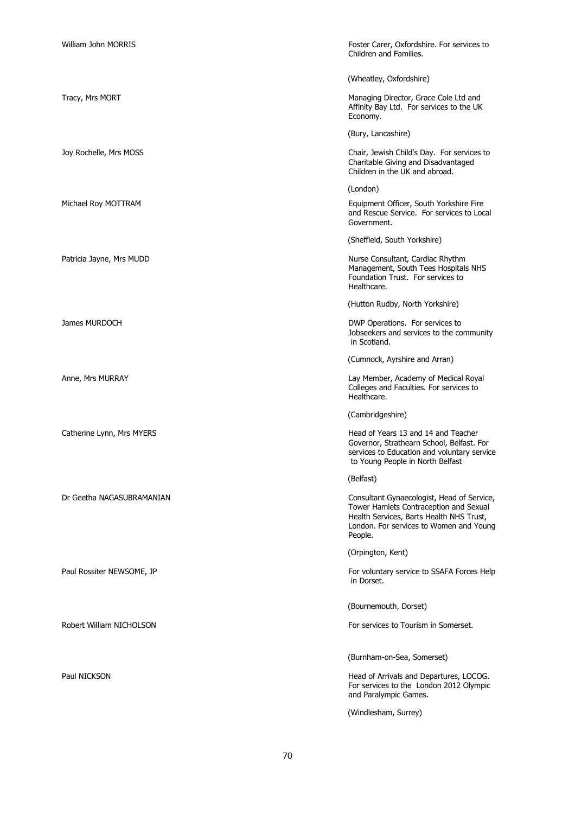| <b>William John MORRIS</b> | Foster Carer, Oxfordshire. For services to<br>Children and Families.                                                                                                                   |
|----------------------------|----------------------------------------------------------------------------------------------------------------------------------------------------------------------------------------|
|                            | (Wheatley, Oxfordshire)                                                                                                                                                                |
| Tracy, Mrs MORT            | Managing Director, Grace Cole Ltd and<br>Affinity Bay Ltd. For services to the UK<br>Economy.                                                                                          |
|                            | (Bury, Lancashire)                                                                                                                                                                     |
| Joy Rochelle, Mrs MOSS     | Chair, Jewish Child's Day. For services to<br>Charitable Giving and Disadvantaged<br>Children in the UK and abroad.                                                                    |
|                            | (London)                                                                                                                                                                               |
| Michael Roy MOTTRAM        | Equipment Officer, South Yorkshire Fire<br>and Rescue Service. For services to Local<br>Government.                                                                                    |
|                            | (Sheffield, South Yorkshire)                                                                                                                                                           |
| Patricia Jayne, Mrs MUDD   | Nurse Consultant, Cardiac Rhythm<br>Management, South Tees Hospitals NHS<br>Foundation Trust. For services to<br>Healthcare.                                                           |
|                            | (Hutton Rudby, North Yorkshire)                                                                                                                                                        |
| James MURDOCH              | DWP Operations. For services to<br>Jobseekers and services to the community<br>in Scotland.                                                                                            |
|                            | (Cumnock, Ayrshire and Arran)                                                                                                                                                          |
| Anne, Mrs MURRAY           | Lay Member, Academy of Medical Royal<br>Colleges and Faculties. For services to<br>Healthcare.                                                                                         |
|                            | (Cambridgeshire)                                                                                                                                                                       |
| Catherine Lynn, Mrs MYERS  | Head of Years 13 and 14 and Teacher<br>Governor, Strathearn School, Belfast. For<br>services to Education and voluntary service<br>to Young People in North Belfast                    |
|                            | (Belfast)                                                                                                                                                                              |
| Dr Geetha NAGASUBRAMANIAN  | Consultant Gynaecologist, Head of Service,<br>Tower Hamlets Contraception and Sexual<br>Health Services, Barts Health NHS Trust,<br>London. For services to Women and Young<br>People. |
|                            | (Orpington, Kent)                                                                                                                                                                      |
| Paul Rossiter NEWSOME, JP  | For voluntary service to SSAFA Forces Help<br>in Dorset.                                                                                                                               |
|                            | (Bournemouth, Dorset)                                                                                                                                                                  |
| Robert William NICHOLSON   | For services to Tourism in Somerset.                                                                                                                                                   |
|                            | (Burnham-on-Sea, Somerset)                                                                                                                                                             |
| Paul NICKSON               | Head of Arrivals and Departures, LOCOG.<br>For services to the London 2012 Olympic<br>and Paralympic Games.                                                                            |
|                            | (Windlesham, Surrey)                                                                                                                                                                   |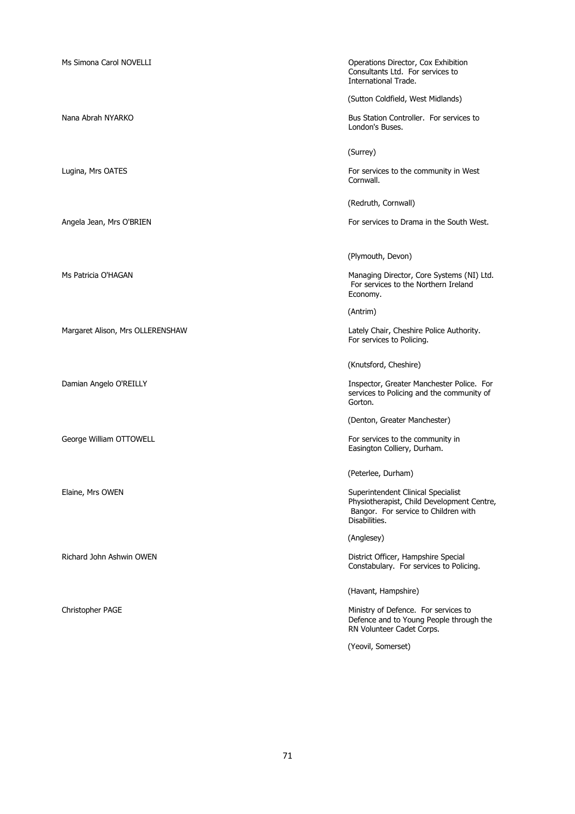Ms Simona Carol NOVELLI **Material operations Director, Cox Exhibition** Consultants Ltd. For services to International Trade. (Sutton Coldfield, West Midlands) Nana Abrah NYARKO **Bus Station Controller.** For services to London's Buses. (Surrey) Lugina, Mrs OATES For services to the community in West Cornwall. (Redruth, Cornwall) Angela Jean, Mrs O'BRIEN For services to Drama in the South West. (Plymouth, Devon) Ms Patricia O'HAGAN Managing Director, Core Systems (NI) Ltd. For services to the Northern Ireland Economy. (Antrim) Margaret Alison, Mrs OLLERENSHAW Lately Chair, Cheshire Police Authority. For services to Policing. (Knutsford, Cheshire) Damian Angelo O'REILLY **Inspector, Greater Manchester Police.** For services to Policing and the community of Gorton. (Denton, Greater Manchester) George William OTTOWELL **For services to the community in** Services to the community in Easington Colliery, Durham. (Peterlee, Durham) Elaine, Mrs OWEN Superintendent Clinical Specialist Physiotherapist, Child Development Centre, Bangor. For service to Children with Disabilities. (Anglesey) Richard John Ashwin OWEN District Officer, Hampshire Special Constabulary. For services to Policing. (Havant, Hampshire) Christopher PAGE **Ministry of Defence.** For services to Defence and to Young People through the RN Volunteer Cadet Corps. (Yeovil, Somerset)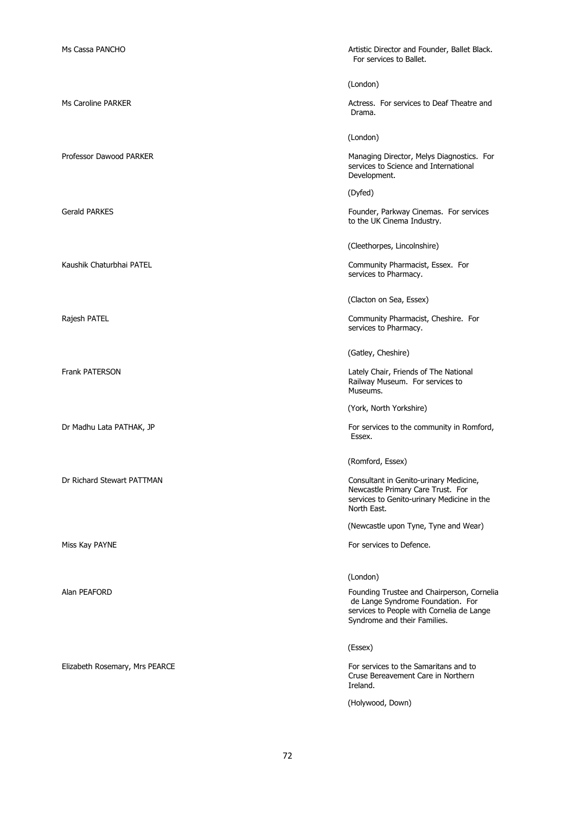| Ms Cassa PANCHO                | Artistic Director and Founder, Ballet Black.<br>For services to Ballet.                                                                                      |
|--------------------------------|--------------------------------------------------------------------------------------------------------------------------------------------------------------|
|                                | (London)                                                                                                                                                     |
| Ms Caroline PARKER             | Actress. For services to Deaf Theatre and<br>Drama.                                                                                                          |
|                                | (London)                                                                                                                                                     |
| Professor Dawood PARKER        | Managing Director, Melys Diagnostics. For<br>services to Science and International<br>Development.                                                           |
|                                | (Dyfed)                                                                                                                                                      |
| <b>Gerald PARKES</b>           | Founder, Parkway Cinemas. For services<br>to the UK Cinema Industry.                                                                                         |
|                                | (Cleethorpes, Lincolnshire)                                                                                                                                  |
| Kaushik Chaturbhai PATEL       | Community Pharmacist, Essex. For<br>services to Pharmacy.                                                                                                    |
|                                | (Clacton on Sea, Essex)                                                                                                                                      |
| Rajesh PATEL                   | Community Pharmacist, Cheshire. For<br>services to Pharmacy.                                                                                                 |
|                                | (Gatley, Cheshire)                                                                                                                                           |
| <b>Frank PATERSON</b>          | Lately Chair, Friends of The National<br>Railway Museum. For services to<br>Museums.                                                                         |
|                                | (York, North Yorkshire)                                                                                                                                      |
| Dr Madhu Lata PATHAK, JP       | For services to the community in Romford,<br>Essex.                                                                                                          |
|                                | (Romford, Essex)                                                                                                                                             |
| Dr Richard Stewart PATTMAN     | Consultant in Genito-urinary Medicine,<br>Newcastle Primary Care Trust. For<br>services to Genito-urinary Medicine in the<br>North East.                     |
|                                | (Newcastle upon Tyne, Tyne and Wear)                                                                                                                         |
| Miss Kay PAYNE                 | For services to Defence.                                                                                                                                     |
|                                | (London)                                                                                                                                                     |
| Alan PEAFORD                   | Founding Trustee and Chairperson, Cornelia<br>de Lange Syndrome Foundation. For<br>services to People with Cornelia de Lange<br>Syndrome and their Families. |
|                                | (Essex)                                                                                                                                                      |
| Elizabeth Rosemary, Mrs PEARCE | For services to the Samaritans and to<br>Cruse Bereavement Care in Northern<br>Ireland.                                                                      |
|                                | (Holywood, Down)                                                                                                                                             |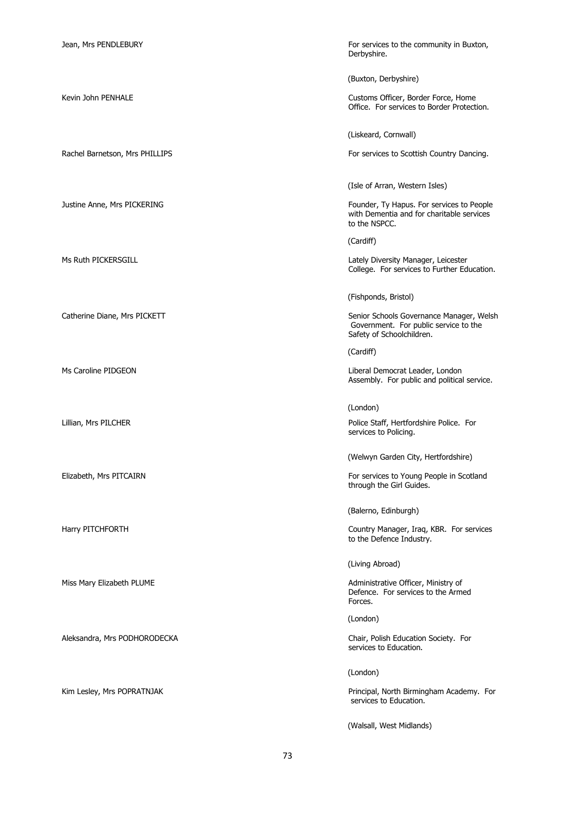Aleksandra, Mrs PODHORODECKA Chair, Polish Education Society. For

Jean, Mrs PENDLEBURY For services to the community in Buxton, Derbyshire.

(Buxton, Derbyshire)

Kevin John PENHALE **Customs Officer, Border Force, Home** Office. For services to Border Protection.

(Liskeard, Cornwall)

Rachel Barnetson, Mrs PHILLIPS For services to Scottish Country Dancing.

(Isle of Arran, Western Isles)

Justine Anne, Mrs PICKERING Founder, Ty Hapus. For services to People with Dementia and for charitable services to the NSPCC.

(Cardiff)

Ms Ruth PICKERSGILL **Manager, Leicester** Company of Manager, Leicester Company of Lately Diversity Manager, Leicester College. For services to Further Education.

(Fishponds, Bristol)

Catherine Diane, Mrs PICKETT **Senior Schools Governance Manager**, Welsh Government. For public service to the Safety of Schoolchildren.

(Cardiff)

Ms Caroline PIDGEON Liberal Democrat Leader, London Assembly. For public and political service.

(London)

Lillian, Mrs PILCHER Police Staff, Hertfordshire Police. For services to Policing.

(Welwyn Garden City, Hertfordshire)

Elizabeth, Mrs PITCAIRN For services to Young People in Scotland through the Girl Guides.

(Balerno, Edinburgh)

Harry PITCHFORTH Country Manager, Iraq, KBR. For services to the Defence Industry.

(Living Abroad)

Miss Mary Elizabeth PLUME **Administrative Officer, Ministry of** Administrative Officer, Ministry of Defence. For services to the Armed Forces.

(London)

services to Education.

(London)

Kim Lesley, Mrs POPRATNJAK **Principal, North Birmingham Academy.** For services to Education.

(Walsall, West Midlands)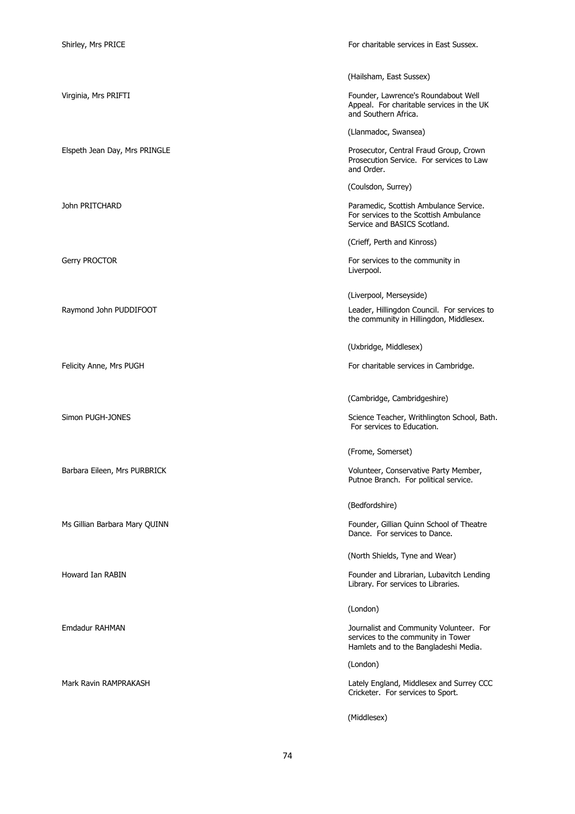Shirley, Mrs PRICE **For charitable services in East Sussex.** 

|                               | (Hailsham, East Sussex)                                                                                                |
|-------------------------------|------------------------------------------------------------------------------------------------------------------------|
| Virginia, Mrs PRIFTI          | Founder, Lawrence's Roundabout Well<br>Appeal. For charitable services in the UK<br>and Southern Africa.               |
|                               | (Llanmadoc, Swansea)                                                                                                   |
| Elspeth Jean Day, Mrs PRINGLE | Prosecutor, Central Fraud Group, Crown<br>Prosecution Service. For services to Law<br>and Order.                       |
|                               | (Coulsdon, Surrey)                                                                                                     |
| John PRITCHARD                | Paramedic, Scottish Ambulance Service.<br>For services to the Scottish Ambulance<br>Service and BASICS Scotland.       |
|                               | (Crieff, Perth and Kinross)                                                                                            |
| Gerry PROCTOR                 | For services to the community in<br>Liverpool.                                                                         |
|                               | (Liverpool, Merseyside)                                                                                                |
| Raymond John PUDDIFOOT        | Leader, Hillingdon Council. For services to<br>the community in Hillingdon, Middlesex.                                 |
|                               | (Uxbridge, Middlesex)                                                                                                  |
| Felicity Anne, Mrs PUGH       | For charitable services in Cambridge.                                                                                  |
|                               | (Cambridge, Cambridgeshire)                                                                                            |
| Simon PUGH-JONES              | Science Teacher, Writhlington School, Bath.<br>For services to Education.                                              |
|                               | (Frome, Somerset)                                                                                                      |
|                               |                                                                                                                        |
| Barbara Eileen, Mrs PURBRICK  | Volunteer, Conservative Party Member,<br>Putnoe Branch. For political service.                                         |
|                               | (Bedfordshire)                                                                                                         |
| Ms Gillian Barbara Mary QUINN | Founder, Gillian Quinn School of Theatre<br>Dance. For services to Dance.                                              |
|                               | (North Shields, Tyne and Wear)                                                                                         |
| Howard Ian RABIN              | Founder and Librarian, Lubavitch Lending<br>Library. For services to Libraries.                                        |
|                               | (London)                                                                                                               |
| Emdadur RAHMAN                | Journalist and Community Volunteer. For<br>services to the community in Tower<br>Hamlets and to the Bangladeshi Media. |
|                               | (London)                                                                                                               |
| Mark Ravin RAMPRAKASH         | Lately England, Middlesex and Surrey CCC<br>Cricketer. For services to Sport.                                          |

74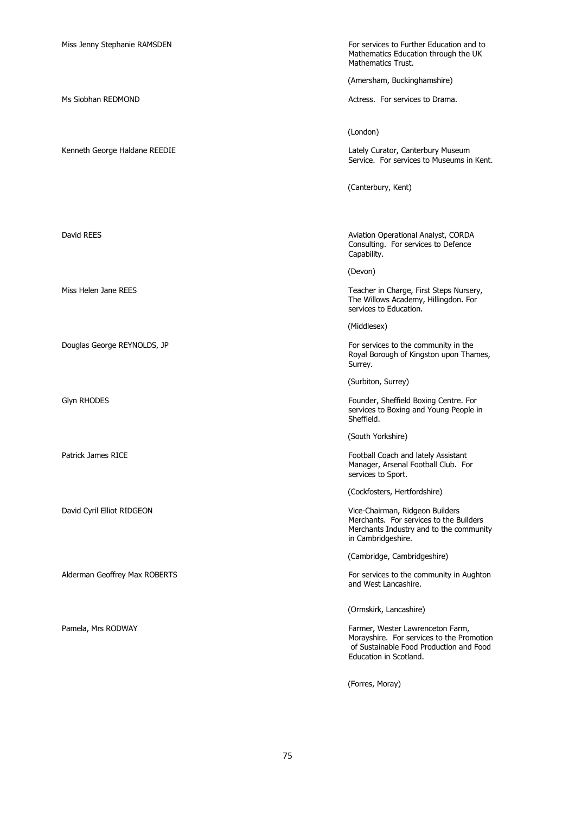Miss Jenny Stephanie RAMSDEN For services to Further Education and to Mathematics Education through the UK Mathematics Trust.

(Amersham, Buckinghamshire)

Ms Siobhan REDMOND **Actress.** For services to Drama.

(London)

Kenneth George Haldane REEDIE Lately Curator, Canterbury Museum Service. For services to Museums in Kent.

(Canterbury, Kent)

David REES **Aviation Operational Analyst, CORDA** Consulting. For services to Defence Capability.

(Devon)

Miss Helen Jane REES Teacher in Charge, First Steps Nursery, The Willows Academy, Hillingdon. For services to Education.

(Middlesex)

Douglas George REYNOLDS, JP **For services** to the community in the Royal Borough of Kingston upon Thames, Surrey.

(Surbiton, Surrey)

Glyn RHODES **Founder, Sheffield Boxing Centre. For** Founder, Sheffield Boxing Centre. For services to Boxing and Young People in Sheffield.

(South Yorkshire)

Patrick James RICE **Football Coach and lately Assistant** Manager, Arsenal Football Club. For services to Sport.

(Cockfosters, Hertfordshire)

David Cyril Elliot RIDGEON Vice-Chairman, Ridgeon Builders Merchants. For services to the Builders Merchants Industry and to the community in Cambridgeshire.

(Cambridge, Cambridgeshire)

Alderman Geoffrey Max ROBERTS For services to the community in Aughton and West Lancashire.

(Ormskirk, Lancashire)

Pamela, Mrs RODWAY **Farmer, Wester Lawrenceton Farm, Pamela, Mrs RODWAY** Morayshire. For services to the Promotion of Sustainable Food Production and Food Education in Scotland.

(Forres, Moray)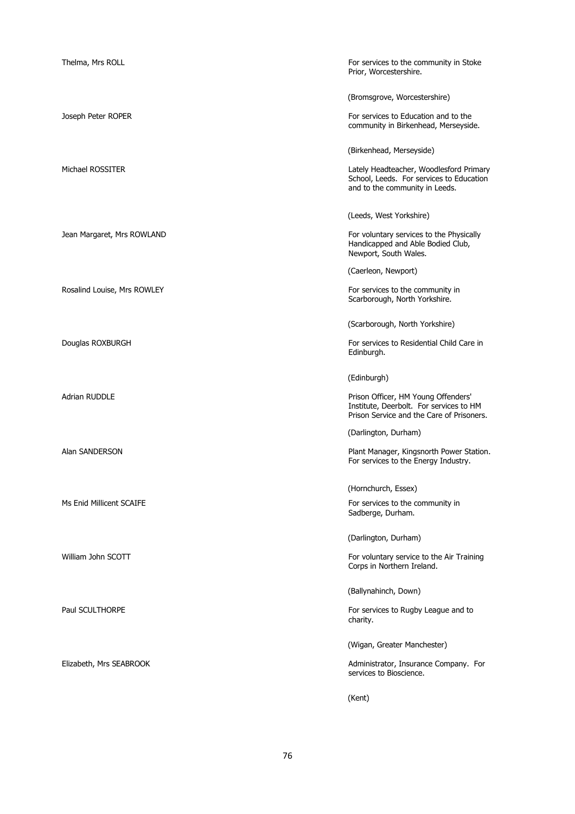| Thelma, Mrs ROLL            | For services to the community in Stoke<br>Prior, Worcestershire.                                                            |
|-----------------------------|-----------------------------------------------------------------------------------------------------------------------------|
|                             | (Bromsgrove, Worcestershire)                                                                                                |
| Joseph Peter ROPER          | For services to Education and to the<br>community in Birkenhead, Merseyside.                                                |
|                             | (Birkenhead, Merseyside)                                                                                                    |
| Michael ROSSITER            | Lately Headteacher, Woodlesford Primary<br>School, Leeds. For services to Education<br>and to the community in Leeds.       |
|                             | (Leeds, West Yorkshire)                                                                                                     |
| Jean Margaret, Mrs ROWLAND  | For voluntary services to the Physically<br>Handicapped and Able Bodied Club,<br>Newport, South Wales.                      |
|                             | (Caerleon, Newport)                                                                                                         |
| Rosalind Louise, Mrs ROWLEY | For services to the community in<br>Scarborough, North Yorkshire.                                                           |
|                             | (Scarborough, North Yorkshire)                                                                                              |
| Douglas ROXBURGH            | For services to Residential Child Care in<br>Edinburgh.                                                                     |
|                             | (Edinburgh)                                                                                                                 |
| <b>Adrian RUDDLE</b>        | Prison Officer, HM Young Offenders'<br>Institute, Deerbolt. For services to HM<br>Prison Service and the Care of Prisoners. |
|                             | (Darlington, Durham)                                                                                                        |
| Alan SANDERSON              | Plant Manager, Kingsnorth Power Station.<br>For services to the Energy Industry.                                            |
|                             | (Hornchurch, Essex)                                                                                                         |
| Ms Enid Millicent SCAIFE    | For services to the community in<br>Sadberge, Durham.                                                                       |
|                             | (Darlington, Durham)                                                                                                        |
| William John SCOTT          | For voluntary service to the Air Training<br>Corps in Northern Ireland.                                                     |
|                             | (Ballynahinch, Down)                                                                                                        |
| Paul SCULTHORPE             | For services to Rugby League and to<br>charity.                                                                             |
|                             | (Wigan, Greater Manchester)                                                                                                 |
| Elizabeth, Mrs SEABROOK     | Administrator, Insurance Company. For<br>services to Bioscience.                                                            |
|                             | (Kent)                                                                                                                      |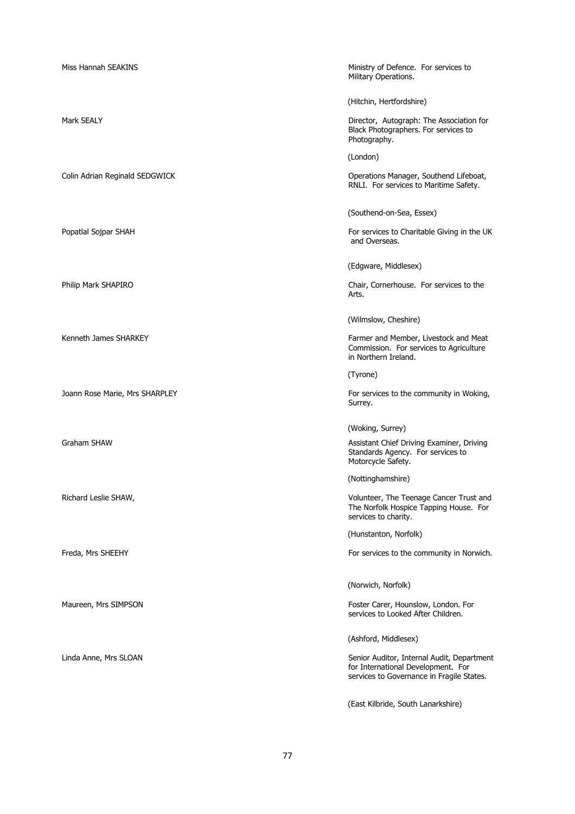Ministry of Defence. For services to match that Ministry of Defence. For services to Military Operations.

(Hitchin, Hertfordshire)

Mark SEALY **Director, Autograph: The Association for** Black Photographers. For services to Photography.

(London)

Colin Adrian Reginald SEDGWICK **Operations Manager, Southend Lifeboat**, RNLI. For services to Maritime Safety.

(Southend-on-Sea, Essex)

Popatlal Sojpar SHAH For services to Charitable Giving in the UK and Overseas.

(Edgware, Middlesex)

Philip Mark SHAPIRO Chair, Cornerhouse. For services to the Arts.

(Wilmslow, Cheshire)

Kenneth James SHARKEY Farmer and Member, Livestock and Meat Commission. For services to Agriculture in Northern Ireland.

(Tyrone)

Joann Rose Marie, Mrs SHARPLEY For services to the community in Woking, Surrey.

(Woking, Surrey)

Graham SHAW **Assistant Chief Driving Examiner, Driving Assistant Chief Driving Examiner, Driving** Standards Agency. For services to Motorcycle Safety.

(Nottinghamshire)

Richard Leslie SHAW, Volunteer, The Teenage Cancer Trust and The Norfolk Hospice Tapping House. For services to charity.

(Hunstanton, Norfolk)

Freda, Mrs SHEEHY For services to the community in Norwich.

(Norwich, Norfolk)

Maureen, Mrs SIMPSON For the STATE of the STATE of the STATE of the STATE of the STATE of the STATE of the STATE of the STATE of the STATE of the STATE of the STATE of the STATE of the STATE of the STATE of the STATE of th services to Looked After Children.

(Ashford, Middlesex)

Linda Anne, Mrs SLOAN Senior Auditor, Internal Audit, Department for International Development. For services to Governance in Fragile States.

(East Kilbride, South Lanarkshire)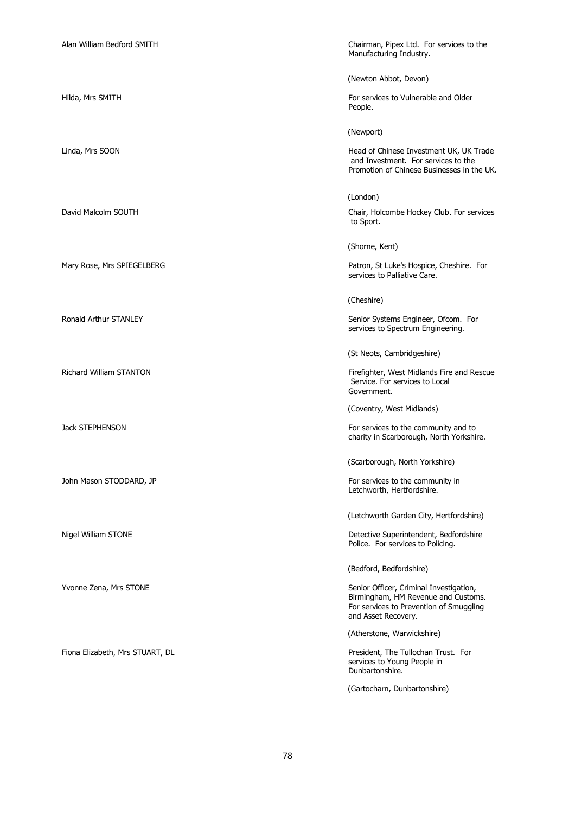Alan William Bedford SMITH Chairman, Pipex Ltd. For services to the Manufacturing Industry.

(Newton Abbot, Devon)

Hilda, Mrs SMITH **For services to Vulnerable and Older** For services to Vulnerable and Older People.

(Newport)

(London)

Linda, Mrs SOON Head of Chinese Investment UK, UK Trade and Investment. For services to the Promotion of Chinese Businesses in the UK.

David Malcolm SOUTH Chair, Holcombe Hockey Club. For services to Sport.

(Shorne, Kent)

Mary Rose, Mrs SPIEGELBERG **Patron, St Luke's Hospice, Cheshire.** For services to Palliative Care.

(Cheshire)

Ronald Arthur STANLEY **Senior Systems Engineer, Ofcom.** For services to Spectrum Engineering.

(St Neots, Cambridgeshire)

Richard William STANTON Firefighter, West Midlands Fire and Rescue Service. For services to Local Government.

(Coventry, West Midlands)

Jack STEPHENSON **For services** to the community and to charity in Scarborough, North Yorkshire.

(Scarborough, North Yorkshire)

John Mason STODDARD, JP **For services to the community in** Letchworth, Hertfordshire.

(Letchworth Garden City, Hertfordshire)

Nigel William STONE Detective Superintendent, Bedfordshire Police. For services to Policing.

(Bedford, Bedfordshire)

Yvonne Zena, Mrs STONE Senior Officer, Criminal Investigation, Birmingham, HM Revenue and Customs. For services to Prevention of Smuggling and Asset Recovery.

(Atherstone, Warwickshire)

Fiona Elizabeth, Mrs STUART, DL **President, The Tullochan Trust. For** services to Young People in Dunbartonshire.

(Gartocharn, Dunbartonshire)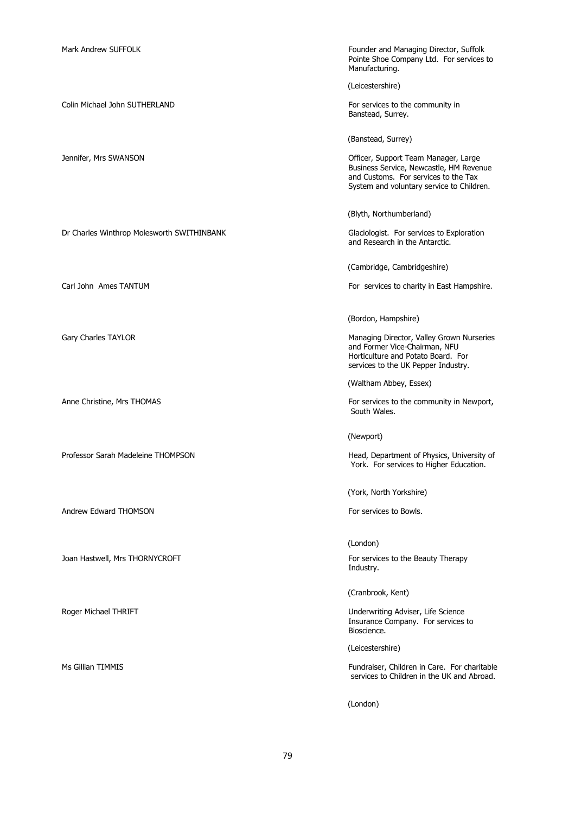Mark Andrew SUFFOLK Founder and Managing Director, Suffolk Pointe Shoe Company Ltd. For services to Manufacturing. (Leicestershire) Colin Michael John SUTHERLAND For services to the community in Banstead, Surrey. (Banstead, Surrey) Jennifer, Mrs SWANSON Officer, Support Team Manager, Large Business Service, Newcastle, HM Revenue and Customs. For services to the Tax System and voluntary service to Children. (Blyth, Northumberland) Dr Charles Winthrop Molesworth SWITHINBANK Glaciologist. For services to Exploration and Research in the Antarctic. (Cambridge, Cambridgeshire) Carl John Ames TANTUM **For services to charity in East Hampshire.** (Bordon, Hampshire) Gary Charles TAYLOR **Managing Director, Valley Grown Nurseries Managing Director, Valley Grown Nurseries** and Former Vice-Chairman, NFU Horticulture and Potato Board. For services to the UK Pepper Industry. (Waltham Abbey, Essex) Anne Christine, Mrs THOMAS For services to the community in Newport, South Wales. (Newport) Professor Sarah Madeleine THOMPSON **Head, Department of Physics, University of** York. For services to Higher Education. (York, North Yorkshire) Andrew Edward THOMSON **For services** to Bowls. (London) Joan Hastwell, Mrs THORNYCROFT For services to the Beauty Therapy Industry. (Cranbrook, Kent) Roger Michael THRIFT **No. 2008** 2012 12:30 November 2013 12:30 November 2013 12:30 Underwriting Adviser, Life Science Insurance Company. For services to Bioscience. (Leicestershire) Ms Gillian TIMMIS Fundraiser, Children in Care. For charitable services to Children in the UK and Abroad.

(London)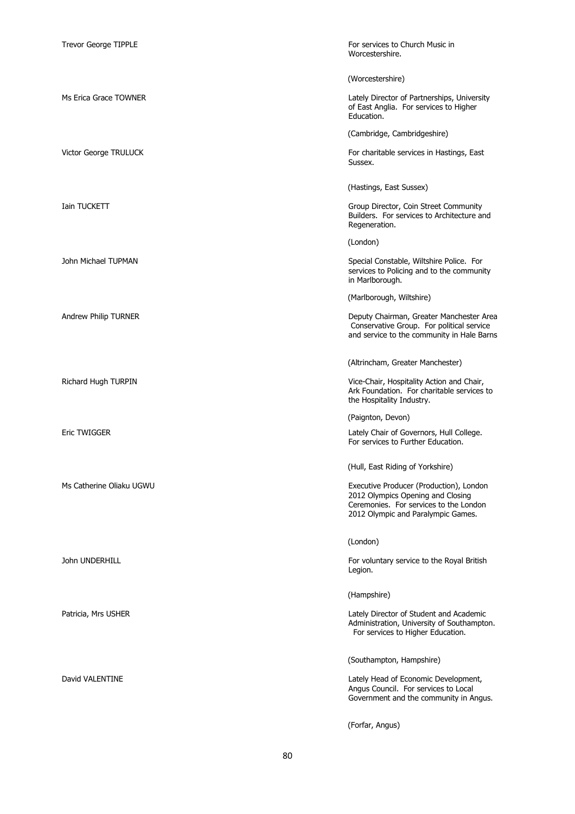| <b>Trevor George TIPPLE</b> | For services to Church Music in<br>Worcestershire.                                                                                                           |
|-----------------------------|--------------------------------------------------------------------------------------------------------------------------------------------------------------|
|                             | (Worcestershire)                                                                                                                                             |
| Ms Erica Grace TOWNER       | Lately Director of Partnerships, University<br>of East Anglia. For services to Higher<br>Education.                                                          |
|                             | (Cambridge, Cambridgeshire)                                                                                                                                  |
| Victor George TRULUCK       | For charitable services in Hastings, East<br>Sussex.                                                                                                         |
|                             | (Hastings, East Sussex)                                                                                                                                      |
| Iain TUCKETT                | Group Director, Coin Street Community<br>Builders. For services to Architecture and<br>Regeneration.                                                         |
|                             | (London)                                                                                                                                                     |
| John Michael TUPMAN         | Special Constable, Wiltshire Police. For<br>services to Policing and to the community<br>in Marlborough.                                                     |
|                             | (Marlborough, Wiltshire)                                                                                                                                     |
| Andrew Philip TURNER        | Deputy Chairman, Greater Manchester Area<br>Conservative Group. For political service<br>and service to the community in Hale Barns                          |
|                             | (Altrincham, Greater Manchester)                                                                                                                             |
| Richard Hugh TURPIN         | Vice-Chair, Hospitality Action and Chair,<br>Ark Foundation. For charitable services to<br>the Hospitality Industry.                                         |
|                             | (Paignton, Devon)                                                                                                                                            |
| <b>Eric TWIGGER</b>         | Lately Chair of Governors, Hull College.<br>For services to Further Education.                                                                               |
|                             | (Hull, East Riding of Yorkshire)                                                                                                                             |
| Ms Catherine Oliaku UGWU    | Executive Producer (Production), London<br>2012 Olympics Opening and Closing<br>Ceremonies. For services to the London<br>2012 Olympic and Paralympic Games. |
|                             | (London)                                                                                                                                                     |
| John UNDERHILL              | For voluntary service to the Royal British<br>Legion.                                                                                                        |
|                             | (Hampshire)                                                                                                                                                  |
| Patricia, Mrs USHER         | Lately Director of Student and Academic<br>Administration, University of Southampton.<br>For services to Higher Education.                                   |
|                             | (Southampton, Hampshire)                                                                                                                                     |
| David VALENTINE             | Lately Head of Economic Development,<br>Angus Council. For services to Local<br>Government and the community in Angus.                                       |
|                             | (Forfar, Angus)                                                                                                                                              |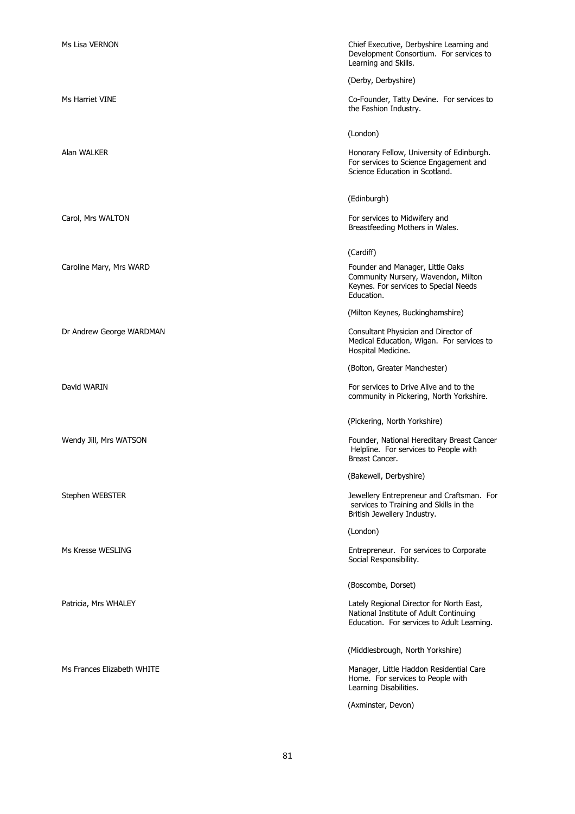| Ms Lisa VERNON             | Chief Executive, Derbyshire Learning and<br>Development Consortium. For services to<br>Learning and Skills.                      |
|----------------------------|----------------------------------------------------------------------------------------------------------------------------------|
|                            | (Derby, Derbyshire)                                                                                                              |
| Ms Harriet VINE            | Co-Founder, Tatty Devine. For services to<br>the Fashion Industry.                                                               |
|                            | (London)                                                                                                                         |
| Alan WALKER                | Honorary Fellow, University of Edinburgh.<br>For services to Science Engagement and<br>Science Education in Scotland.            |
|                            | (Edinburgh)                                                                                                                      |
| Carol, Mrs WALTON          | For services to Midwifery and<br>Breastfeeding Mothers in Wales.                                                                 |
|                            | (Cardiff)                                                                                                                        |
| Caroline Mary, Mrs WARD    | Founder and Manager, Little Oaks<br>Community Nursery, Wavendon, Milton<br>Keynes. For services to Special Needs<br>Education.   |
|                            | (Milton Keynes, Buckinghamshire)                                                                                                 |
| Dr Andrew George WARDMAN   | Consultant Physician and Director of<br>Medical Education, Wigan. For services to<br>Hospital Medicine.                          |
|                            | (Bolton, Greater Manchester)                                                                                                     |
| David WARIN                | For services to Drive Alive and to the<br>community in Pickering, North Yorkshire.                                               |
|                            | (Pickering, North Yorkshire)                                                                                                     |
| Wendy Jill, Mrs WATSON     | Founder, National Hereditary Breast Cancer<br>Helpline. For services to People with<br>Breast Cancer.                            |
|                            | (Bakewell, Derbyshire)                                                                                                           |
| Stephen WEBSTER            | Jewellery Entrepreneur and Craftsman. For<br>services to Training and Skills in the<br>British Jewellery Industry.               |
|                            | (London)                                                                                                                         |
| Ms Kresse WESLING          | Entrepreneur. For services to Corporate<br>Social Responsibility.                                                                |
|                            | (Boscombe, Dorset)                                                                                                               |
| Patricia, Mrs WHALEY       | Lately Regional Director for North East,<br>National Institute of Adult Continuing<br>Education. For services to Adult Learning. |
|                            | (Middlesbrough, North Yorkshire)                                                                                                 |
| Ms Frances Elizabeth WHITE | Manager, Little Haddon Residential Care<br>Home. For services to People with<br>Learning Disabilities.                           |
|                            | (Axminster, Devon)                                                                                                               |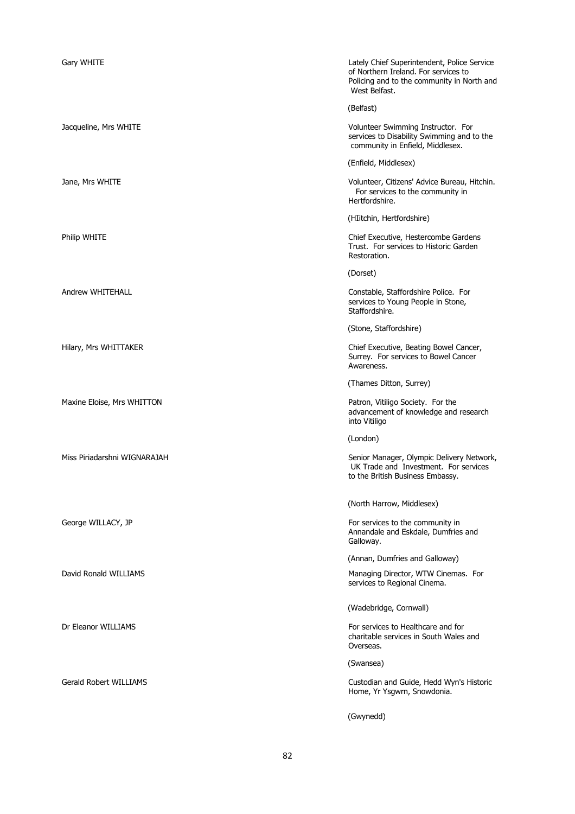| Gary WHITE                    | Lately Chief Superintendent, Police Service<br>of Northern Ireland. For services to<br>Policing and to the community in North and<br>West Belfast. |
|-------------------------------|----------------------------------------------------------------------------------------------------------------------------------------------------|
|                               | (Belfast)                                                                                                                                          |
| Jacqueline, Mrs WHITE         | Volunteer Swimming Instructor. For<br>services to Disability Swimming and to the<br>community in Enfield, Middlesex.                               |
|                               | (Enfield, Middlesex)                                                                                                                               |
| Jane, Mrs WHITE               | Volunteer, Citizens' Advice Bureau, Hitchin.<br>For services to the community in<br>Hertfordshire.                                                 |
|                               | (HIitchin, Hertfordshire)                                                                                                                          |
| Philip WHITE                  | Chief Executive, Hestercombe Gardens<br>Trust. For services to Historic Garden<br>Restoration.                                                     |
|                               | (Dorset)                                                                                                                                           |
| Andrew WHITEHALL              | Constable, Staffordshire Police. For<br>services to Young People in Stone,<br>Staffordshire.                                                       |
|                               | (Stone, Staffordshire)                                                                                                                             |
| Hilary, Mrs WHITTAKER         | Chief Executive, Beating Bowel Cancer,<br>Surrey. For services to Bowel Cancer<br>Awareness.                                                       |
|                               | (Thames Ditton, Surrey)                                                                                                                            |
| Maxine Eloise, Mrs WHITTON    | Patron, Vitiligo Society. For the<br>advancement of knowledge and research<br>into Vitiligo                                                        |
|                               | (London)                                                                                                                                           |
| Miss Piriadarshni WIGNARAJAH  | Senior Manager, Olympic Delivery Network,<br>UK Trade and Investment. For services<br>to the British Business Embassy.                             |
|                               | (North Harrow, Middlesex)                                                                                                                          |
| George WILLACY, JP            | For services to the community in<br>Annandale and Eskdale, Dumfries and<br>Galloway.                                                               |
|                               | (Annan, Dumfries and Galloway)                                                                                                                     |
| David Ronald WILLIAMS         | Managing Director, WTW Cinemas. For<br>services to Regional Cinema.                                                                                |
|                               | (Wadebridge, Cornwall)                                                                                                                             |
| Dr Eleanor WILLIAMS           | For services to Healthcare and for<br>charitable services in South Wales and<br>Overseas.                                                          |
|                               | (Swansea)                                                                                                                                          |
| <b>Gerald Robert WILLIAMS</b> | Custodian and Guide, Hedd Wyn's Historic<br>Home, Yr Ysgwrn, Snowdonia.                                                                            |
|                               | (Gwynedd)                                                                                                                                          |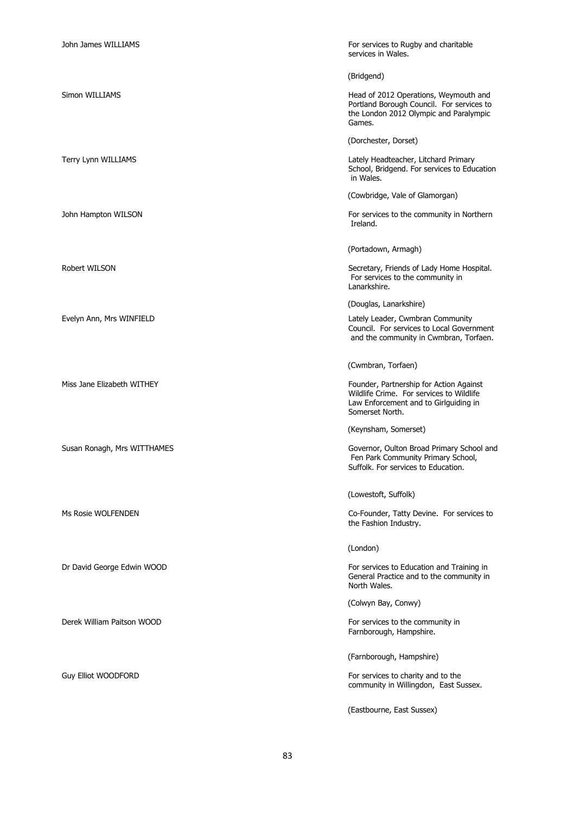| John James WILLIAMS         | For services to Rugby and charitable<br>services in Wales.                                                                                      |
|-----------------------------|-------------------------------------------------------------------------------------------------------------------------------------------------|
|                             | (Bridgend)                                                                                                                                      |
| Simon WILLIAMS              | Head of 2012 Operations, Weymouth and<br>Portland Borough Council. For services to<br>the London 2012 Olympic and Paralympic<br>Games.          |
|                             | (Dorchester, Dorset)                                                                                                                            |
| Terry Lynn WILLIAMS         | Lately Headteacher, Litchard Primary<br>School, Bridgend. For services to Education<br>in Wales.                                                |
|                             | (Cowbridge, Vale of Glamorgan)                                                                                                                  |
| John Hampton WILSON         | For services to the community in Northern<br>Ireland.                                                                                           |
|                             | (Portadown, Armagh)                                                                                                                             |
| Robert WILSON               | Secretary, Friends of Lady Home Hospital.<br>For services to the community in<br>Lanarkshire.                                                   |
|                             | (Douglas, Lanarkshire)                                                                                                                          |
| Evelyn Ann, Mrs WINFIELD    | Lately Leader, Cwmbran Community<br>Council. For services to Local Government<br>and the community in Cwmbran, Torfaen.                         |
|                             | (Cwmbran, Torfaen)                                                                                                                              |
| Miss Jane Elizabeth WITHEY  | Founder, Partnership for Action Against<br>Wildlife Crime. For services to Wildlife<br>Law Enforcement and to Girlguiding in<br>Somerset North. |
|                             | (Keynsham, Somerset)                                                                                                                            |
| Susan Ronagh, Mrs WITTHAMES | Governor, Oulton Broad Primary School and<br>Fen Park Community Primary School,<br>Suffolk. For services to Education.                          |
|                             | (Lowestoft, Suffolk)                                                                                                                            |
| Ms Rosie WOLFENDEN          | Co-Founder, Tatty Devine. For services to<br>the Fashion Industry.                                                                              |
|                             | (London)                                                                                                                                        |
| Dr David George Edwin WOOD  | For services to Education and Training in<br>General Practice and to the community in<br>North Wales.                                           |
|                             | (Colwyn Bay, Conwy)                                                                                                                             |
| Derek William Paitson WOOD  | For services to the community in<br>Farnborough, Hampshire.                                                                                     |
|                             | (Farnborough, Hampshire)                                                                                                                        |
| <b>Guy Elliot WOODFORD</b>  | For services to charity and to the<br>community in Willingdon, East Sussex.                                                                     |
|                             | (Eastbourne, East Sussex)                                                                                                                       |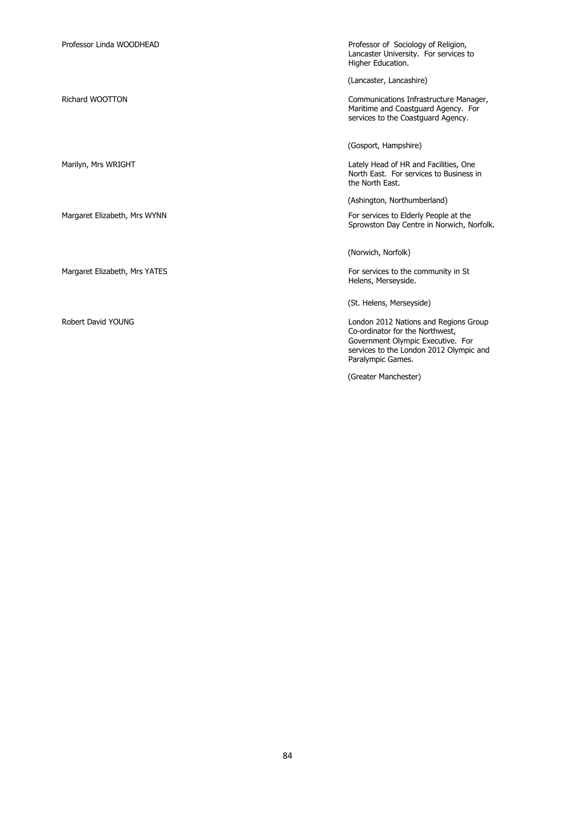| Professor Linda WOODHEAD      | Professor of Sociology of Religion,<br>Lancaster University. For services to<br>Higher Education.                                                                             |
|-------------------------------|-------------------------------------------------------------------------------------------------------------------------------------------------------------------------------|
|                               | (Lancaster, Lancashire)                                                                                                                                                       |
| Richard WOOTTON               | Communications Infrastructure Manager,<br>Maritime and Coastguard Agency. For<br>services to the Coastguard Agency.                                                           |
|                               | (Gosport, Hampshire)                                                                                                                                                          |
| Marilyn, Mrs WRIGHT           | Lately Head of HR and Facilities, One<br>North East. For services to Business in<br>the North East.                                                                           |
|                               | (Ashington, Northumberland)                                                                                                                                                   |
| Margaret Elizabeth, Mrs WYNN  | For services to Elderly People at the<br>Sprowston Day Centre in Norwich, Norfolk.                                                                                            |
|                               | (Norwich, Norfolk)                                                                                                                                                            |
| Margaret Elizabeth, Mrs YATES | For services to the community in St<br>Helens, Merseyside.                                                                                                                    |
|                               | (St. Helens, Merseyside)                                                                                                                                                      |
| Robert David YOUNG            | London 2012 Nations and Regions Group<br>Co-ordinator for the Northwest,<br>Government Olympic Executive. For<br>services to the London 2012 Olympic and<br>Paralympic Games. |
|                               | (Greater Manchester)                                                                                                                                                          |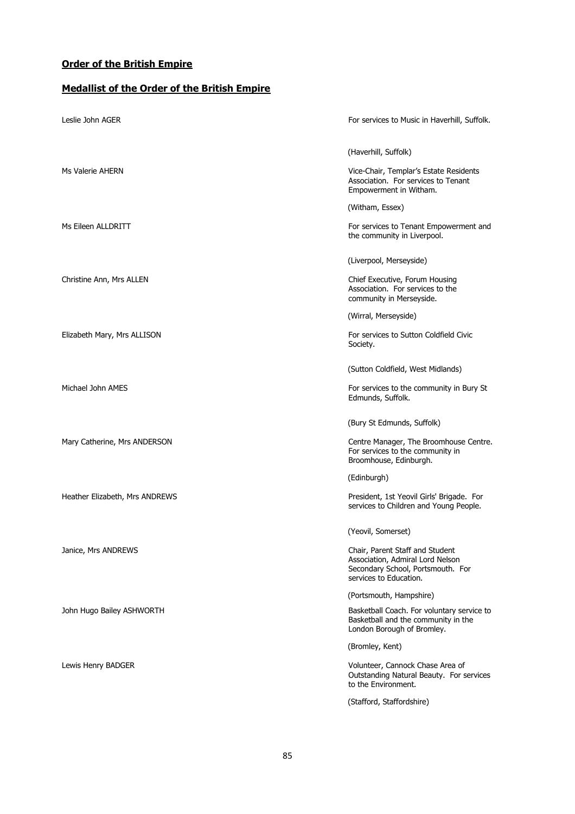## **Order of the British Empire**

## **Medallist of the Order of the British Empire**

| Leslie John AGER               | For services to Music in Haverhill, Suffolk.                                                                                       |
|--------------------------------|------------------------------------------------------------------------------------------------------------------------------------|
|                                | (Haverhill, Suffolk)                                                                                                               |
| Ms Valerie AHERN               | Vice-Chair, Templar's Estate Residents<br>Association. For services to Tenant<br>Empowerment in Witham.                            |
|                                | (Witham, Essex)                                                                                                                    |
| Ms Eileen ALLDRITT             | For services to Tenant Empowerment and<br>the community in Liverpool.                                                              |
|                                | (Liverpool, Merseyside)                                                                                                            |
| Christine Ann, Mrs ALLEN       | Chief Executive, Forum Housing<br>Association. For services to the<br>community in Merseyside.                                     |
|                                | (Wirral, Merseyside)                                                                                                               |
| Elizabeth Mary, Mrs ALLISON    | For services to Sutton Coldfield Civic<br>Society.                                                                                 |
|                                | (Sutton Coldfield, West Midlands)                                                                                                  |
| Michael John AMES              | For services to the community in Bury St<br>Edmunds, Suffolk.                                                                      |
|                                | (Bury St Edmunds, Suffolk)                                                                                                         |
| Mary Catherine, Mrs ANDERSON   | Centre Manager, The Broomhouse Centre.<br>For services to the community in<br>Broomhouse, Edinburgh.                               |
|                                | (Edinburgh)                                                                                                                        |
| Heather Elizabeth, Mrs ANDREWS | President, 1st Yeovil Girls' Brigade. For<br>services to Children and Young People.                                                |
|                                | (Yeovil, Somerset)                                                                                                                 |
| Janice, Mrs ANDREWS            | Chair, Parent Staff and Student<br>Association, Admiral Lord Nelson<br>Secondary School, Portsmouth. For<br>services to Education. |
|                                | (Portsmouth, Hampshire)                                                                                                            |
| John Hugo Bailey ASHWORTH      | Basketball Coach. For voluntary service to<br>Basketball and the community in the<br>London Borough of Bromley.                    |
|                                | (Bromley, Kent)                                                                                                                    |
| Lewis Henry BADGER             | Volunteer, Cannock Chase Area of<br>Outstanding Natural Beauty. For services<br>to the Environment.                                |
|                                | (Stafford, Staffordshire)                                                                                                          |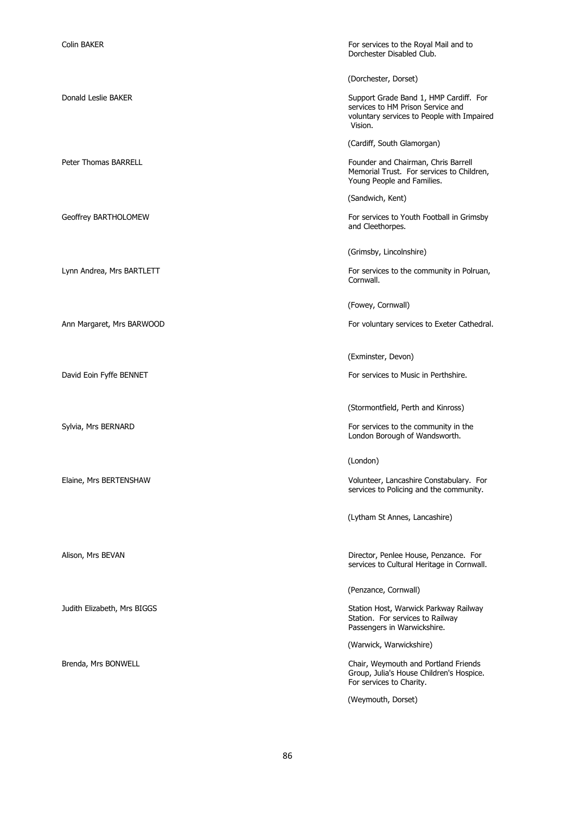| <b>Colin BAKER</b>          | For services to the Royal Mail and to<br>Dorchester Disabled Club.                                                                   |
|-----------------------------|--------------------------------------------------------------------------------------------------------------------------------------|
|                             | (Dorchester, Dorset)                                                                                                                 |
| Donald Leslie BAKER         | Support Grade Band 1, HMP Cardiff. For<br>services to HM Prison Service and<br>voluntary services to People with Impaired<br>Vision. |
|                             | (Cardiff, South Glamorgan)                                                                                                           |
| <b>Peter Thomas BARRELL</b> | Founder and Chairman, Chris Barrell<br>Memorial Trust. For services to Children,<br>Young People and Families.                       |
|                             | (Sandwich, Kent)                                                                                                                     |
| Geoffrey BARTHOLOMEW        | For services to Youth Football in Grimsby<br>and Cleethorpes.                                                                        |
|                             | (Grimsby, Lincolnshire)                                                                                                              |
| Lynn Andrea, Mrs BARTLETT   | For services to the community in Polruan,<br>Cornwall.                                                                               |
|                             | (Fowey, Cornwall)                                                                                                                    |
| Ann Margaret, Mrs BARWOOD   | For voluntary services to Exeter Cathedral.                                                                                          |
|                             | (Exminster, Devon)                                                                                                                   |
| David Eoin Fyffe BENNET     | For services to Music in Perthshire.                                                                                                 |
|                             | (Stormontfield, Perth and Kinross)                                                                                                   |
| Sylvia, Mrs BERNARD         | For services to the community in the<br>London Borough of Wandsworth.                                                                |
|                             | (London)                                                                                                                             |
| Elaine, Mrs BERTENSHAW      | Volunteer, Lancashire Constabulary. For<br>services to Policing and the community.                                                   |
|                             | (Lytham St Annes, Lancashire)                                                                                                        |
| Alison, Mrs BEVAN           | Director, Penlee House, Penzance. For                                                                                                |
|                             | services to Cultural Heritage in Cornwall.                                                                                           |
|                             | (Penzance, Cornwall)                                                                                                                 |
| Judith Elizabeth, Mrs BIGGS | Station Host, Warwick Parkway Railway<br>Station. For services to Railway<br>Passengers in Warwickshire.                             |
|                             | (Warwick, Warwickshire)                                                                                                              |
| Brenda, Mrs BONWELL         | Chair, Weymouth and Portland Friends<br>Group, Julia's House Children's Hospice.<br>For services to Charity.                         |
|                             | (Weymouth, Dorset)                                                                                                                   |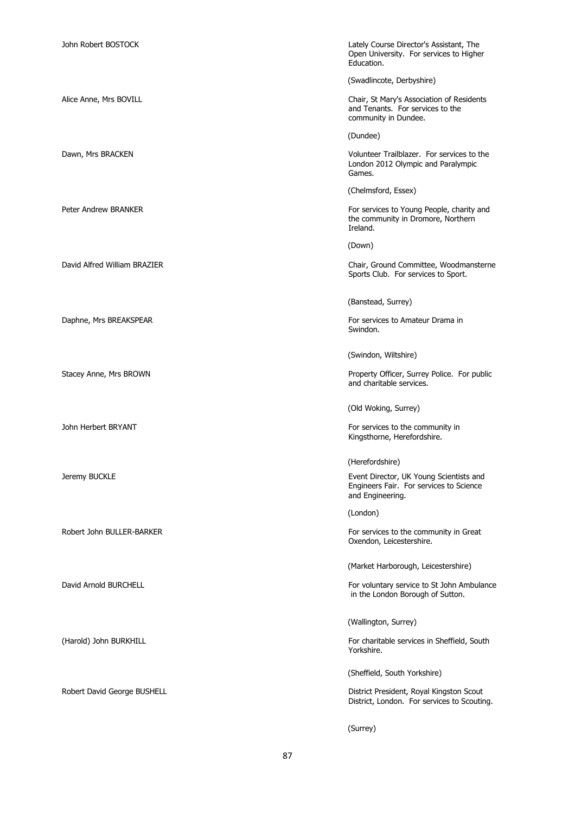| John Robert BOSTOCK          | Lately Course Director's Assistant, The<br>Open University. For services to Higher<br>Education.       |
|------------------------------|--------------------------------------------------------------------------------------------------------|
|                              | (Swadlincote, Derbyshire)                                                                              |
| Alice Anne, Mrs BOVILL       | Chair, St Mary's Association of Residents<br>and Tenants. For services to the<br>community in Dundee.  |
|                              | (Dundee)                                                                                               |
| Dawn, Mrs BRACKEN            | Volunteer Trailblazer. For services to the<br>London 2012 Olympic and Paralympic<br>Games.             |
|                              | (Chelmsford, Essex)                                                                                    |
| Peter Andrew BRANKER         | For services to Young People, charity and<br>the community in Dromore, Northern<br>Ireland.            |
|                              | (Down)                                                                                                 |
| David Alfred William BRAZIER | Chair, Ground Committee, Woodmansterne<br>Sports Club. For services to Sport.                          |
|                              | (Banstead, Surrey)                                                                                     |
| Daphne, Mrs BREAKSPEAR       | For services to Amateur Drama in<br>Swindon.                                                           |
|                              | (Swindon, Wiltshire)                                                                                   |
| Stacey Anne, Mrs BROWN       | Property Officer, Surrey Police. For public<br>and charitable services.                                |
|                              | (Old Woking, Surrey)                                                                                   |
| John Herbert BRYANT          | For services to the community in<br>Kingsthorne, Herefordshire.                                        |
|                              | (Herefordshire)                                                                                        |
| Jeremy BUCKLE                | Event Director, UK Young Scientists and<br>Engineers Fair. For services to Science<br>and Engineering. |
|                              | (London)                                                                                               |
| Robert John BULLER-BARKER    | For services to the community in Great<br>Oxendon, Leicestershire.                                     |
|                              | (Market Harborough, Leicestershire)                                                                    |
| David Arnold BURCHELL        | For voluntary service to St John Ambulance<br>in the London Borough of Sutton.                         |
|                              | (Wallington, Surrey)                                                                                   |
| (Harold) John BURKHILL       | For charitable services in Sheffield, South<br>Yorkshire.                                              |
|                              | (Sheffield, South Yorkshire)                                                                           |
| Robert David George BUSHELL  | District President, Royal Kingston Scout<br>District, London. For services to Scouting.                |
|                              | (Surrey)                                                                                               |

87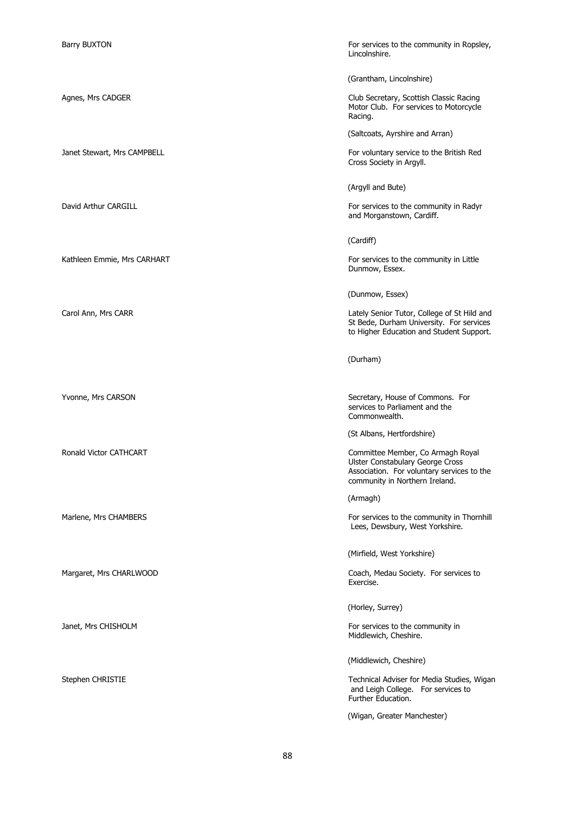Barry BUXTON For services to the community in Ropsley, Lincolnshire.

(Grantham, Lincolnshire)

Agnes, Mrs CADGER Club Secretary, Scottish Classic Racing Motor Club. For services to Motorcycle Racing.

(Saltcoats, Ayrshire and Arran)

Janet Stewart, Mrs CAMPBELL For voluntary service to the British Red Cross Society in Argyll.

(Argyll and Bute)

David Arthur CARGILL **For services to the community in Radyr** For services to the community in Radyr and Morganstown, Cardiff.

(Cardiff)

Kathleen Emmie, Mrs CARHART For services to the community in Little Dunmow, Essex.

(Dunmow, Essex)

Carol Ann, Mrs CARR CARR Carol Ann, Mrs CARR Carol Ann, Mrs CARR Carol Ann, Mrs CARR Carol Ann and Carol Ann and St Bede, Durham University. For services to Higher Education and Student Support.

(Durham)

Yvonne, Mrs CARSON Secretary, House of Commons. For services to Parliament and the Commonwealth.

(St Albans, Hertfordshire)

Ronald Victor CATHCART **COMMITTEE COMMITTEE MEMBER** Committee Member, Co Armagh Royal Ulster Constabulary George Cross Association. For voluntary services to the community in Northern Ireland.

(Armagh)

Marlene, Mrs CHAMBERS For services to the community in Thornhill Lees, Dewsbury, West Yorkshire.

(Mirfield, West Yorkshire)

Margaret, Mrs CHARLWOOD **Coach, Medau Society**. For services to Exercise.

(Horley, Surrey)

Janet, Mrs CHISHOLM **For services** to the community in Middlewich, Cheshire.

(Middlewich, Cheshire)

Stephen CHRISTIE Technical Adviser for Media Studies, Wigan and Leigh College. For services to Further Education.

(Wigan, Greater Manchester)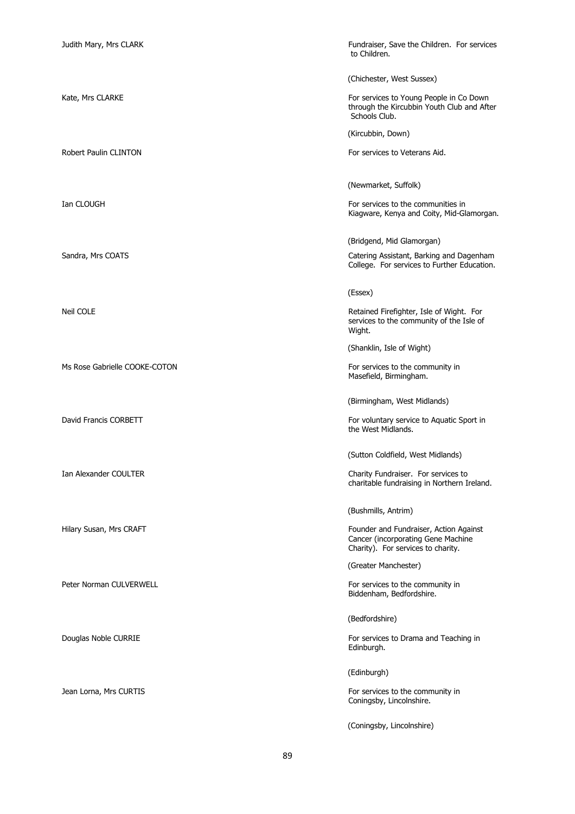Ms Rose Gabrielle COOKE-COTON For services to the community in

Judith Mary, Mrs CLARK Fundraiser, Save the Children. For services to Children.

(Chichester, West Sussex)

Kate, Mrs CLARKE For services to Young People in Co Down through the Kircubbin Youth Club and After Schools Club.

(Kircubbin, Down)

Robert Paulin CLINTON For services to Veterans Aid.

(Newmarket, Suffolk)

Ian CLOUGH For services to the communities in Kiagware, Kenya and Coity, Mid-Glamorgan.

(Bridgend, Mid Glamorgan)

Sandra, Mrs COATS **COATS** CORTS **CALCULATES** COATS **CALCULATES** Catering Assistant, Barking and Dagenham College. For services to Further Education.

(Essex)

Neil COLE Retained Firefighter, Isle of Wight. For services to the community of the Isle of Wight.

(Shanklin, Isle of Wight)

Masefield, Birmingham.

(Birmingham, West Midlands)

David Francis CORBETT **For voluntary service to Aquatic Sport in** the West Midlands.

(Sutton Coldfield, West Midlands)

Ian Alexander COULTER CHARGE COULTER Charity Fundraiser. For services to charitable fundraising in Northern Ireland.

(Bushmills, Antrim)

Hilary Susan, Mrs CRAFT Founder and Fundraiser, Action Against Cancer (incorporating Gene Machine Charity). For services to charity.

(Greater Manchester)

Peter Norman CULVERWELL **For services** to the community in Biddenham, Bedfordshire.

(Bedfordshire)

Douglas Noble CURRIE **For services** to Drama and Teaching in Edinburgh.

(Edinburgh)

Jean Lorna, Mrs CURTIS **For services to the community in** For services to the community in Coningsby, Lincolnshire.

(Coningsby, Lincolnshire)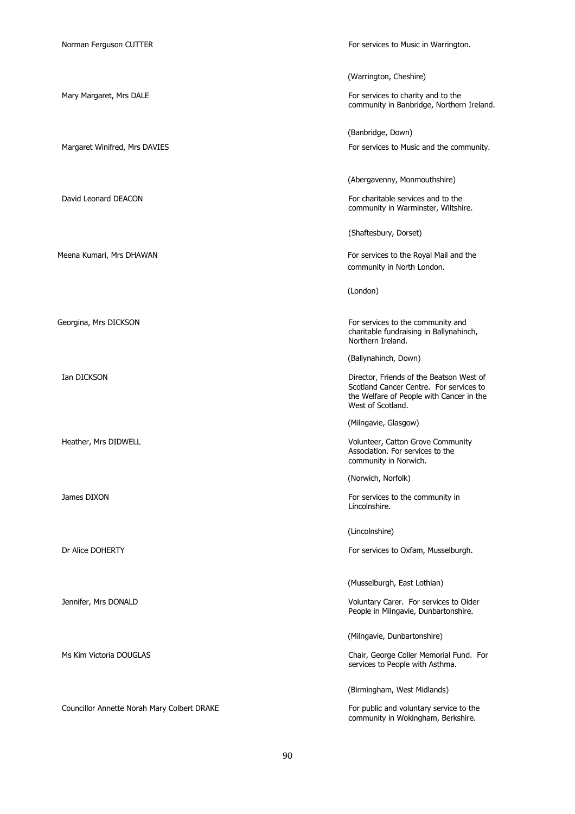Norman Ferguson CUTTER **For services** to Music in Warrington.

(Warrington, Cheshire) Mary Margaret, Mrs DALE **For services to charity and to the** community in Banbridge, Northern Ireland. (Banbridge, Down) Margaret Winifred, Mrs DAVIES For services to Music and the community. (Abergavenny, Monmouthshire) David Leonard DEACON For charitable services and to the community in Warminster, Wiltshire. (Shaftesbury, Dorset) Meena Kumari, Mrs DHAWAN For services to the Royal Mail and the community in North London. (London) Georgina, Mrs DICKSON For services to the community and charitable fundraising in Ballynahinch, Northern Ireland. (Ballynahinch, Down) Ian DICKSON **Director, Friends of the Beatson West of** Scotland Cancer Centre. For services to the Welfare of People with Cancer in the West of Scotland. (Milngavie, Glasgow) Heather, Mrs DIDWELL **All and Structure Community** Volunteer, Catton Grove Community Association. For services to the community in Norwich. (Norwich, Norfolk) James DIXON For services to the community in Lincolnshire. (Lincolnshire) Dr Alice DOHERTY **For services to Oxfam, Musselburgh.** For services to Oxfam, Musselburgh. (Musselburgh, East Lothian) Jennifer, Mrs DONALD Voluntary Carer. For services to Older People in Milngavie, Dunbartonshire. (Milngavie, Dunbartonshire) Ms Kim Victoria DOUGLAS Chair, George Coller Memorial Fund. For services to People with Asthma. (Birmingham, West Midlands) Councillor Annette Norah Mary Colbert DRAKE For public and voluntary service to the community in Wokingham, Berkshire.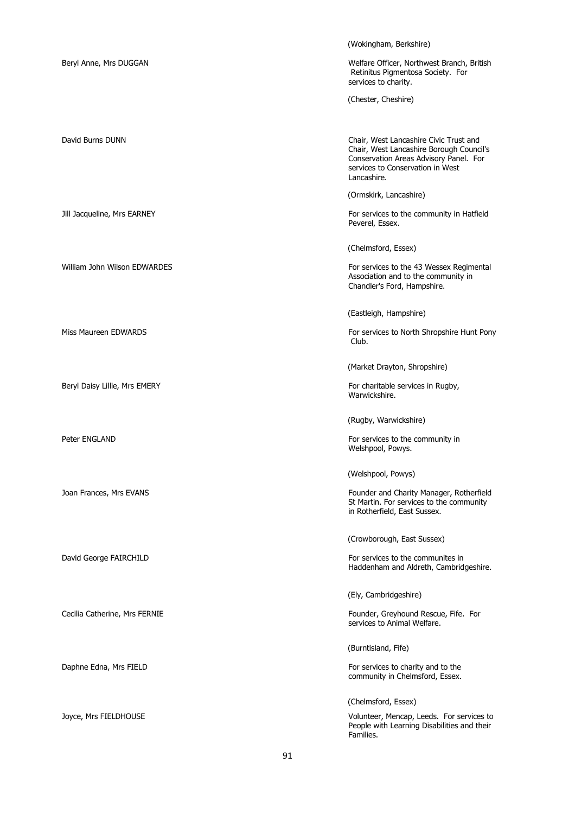|                               | (Wokingham, Berkshire)                                                                                                                                                          |
|-------------------------------|---------------------------------------------------------------------------------------------------------------------------------------------------------------------------------|
| Beryl Anne, Mrs DUGGAN        | Welfare Officer, Northwest Branch, British<br>Retinitus Pigmentosa Society. For<br>services to charity.                                                                         |
|                               | (Chester, Cheshire)                                                                                                                                                             |
|                               |                                                                                                                                                                                 |
| David Burns DUNN              | Chair, West Lancashire Civic Trust and<br>Chair, West Lancashire Borough Council's<br>Conservation Areas Advisory Panel. For<br>services to Conservation in West<br>Lancashire. |
|                               | (Ormskirk, Lancashire)                                                                                                                                                          |
| Jill Jacqueline, Mrs EARNEY   | For services to the community in Hatfield<br>Peverel, Essex.                                                                                                                    |
|                               | (Chelmsford, Essex)                                                                                                                                                             |
| William John Wilson EDWARDES  | For services to the 43 Wessex Regimental<br>Association and to the community in<br>Chandler's Ford, Hampshire.                                                                  |
|                               | (Eastleigh, Hampshire)                                                                                                                                                          |
| Miss Maureen EDWARDS          | For services to North Shropshire Hunt Pony<br>Club.                                                                                                                             |
|                               | (Market Drayton, Shropshire)                                                                                                                                                    |
| Beryl Daisy Lillie, Mrs EMERY | For charitable services in Rugby,<br>Warwickshire.                                                                                                                              |
|                               | (Rugby, Warwickshire)                                                                                                                                                           |
| Peter ENGLAND                 | For services to the community in<br>Welshpool, Powys.                                                                                                                           |
|                               | (Welshpool, Powys)                                                                                                                                                              |
| Joan Frances, Mrs EVANS       | Founder and Charity Manager, Rotherfield<br>St Martin. For services to the community<br>in Rotherfield, East Sussex.                                                            |
|                               | (Crowborough, East Sussex)                                                                                                                                                      |
| David George FAIRCHILD        | For services to the communites in<br>Haddenham and Aldreth, Cambridgeshire.                                                                                                     |
|                               | (Ely, Cambridgeshire)                                                                                                                                                           |
| Cecilia Catherine, Mrs FERNIE | Founder, Greyhound Rescue, Fife. For<br>services to Animal Welfare.                                                                                                             |
|                               | (Burntisland, Fife)                                                                                                                                                             |
| Daphne Edna, Mrs FIELD        | For services to charity and to the<br>community in Chelmsford, Essex.                                                                                                           |
|                               | (Chelmsford, Essex)                                                                                                                                                             |
| Joyce, Mrs FIELDHOUSE         | Volunteer, Mencap, Leeds. For services to<br>People with Learning Disabilities and their<br>Families.                                                                           |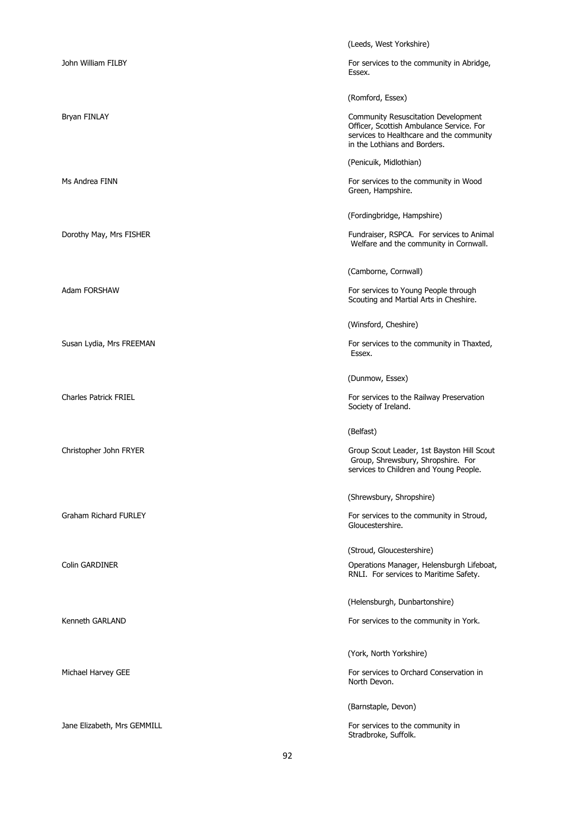|                              | (Leeds, West Yorkshire)                                                                                                                                     |
|------------------------------|-------------------------------------------------------------------------------------------------------------------------------------------------------------|
| John William FILBY           | For services to the community in Abridge,<br>Essex.                                                                                                         |
|                              | (Romford, Essex)                                                                                                                                            |
| Bryan FINLAY                 | Community Resuscitation Development<br>Officer, Scottish Ambulance Service. For<br>services to Healthcare and the community<br>in the Lothians and Borders. |
|                              | (Penicuik, Midlothian)                                                                                                                                      |
| Ms Andrea FINN               | For services to the community in Wood<br>Green, Hampshire.                                                                                                  |
|                              | (Fordingbridge, Hampshire)                                                                                                                                  |
| Dorothy May, Mrs FISHER      | Fundraiser, RSPCA. For services to Animal<br>Welfare and the community in Cornwall.                                                                         |
|                              | (Camborne, Cornwall)                                                                                                                                        |
| Adam FORSHAW                 | For services to Young People through<br>Scouting and Martial Arts in Cheshire.                                                                              |
|                              | (Winsford, Cheshire)                                                                                                                                        |
| Susan Lydia, Mrs FREEMAN     | For services to the community in Thaxted,<br>Essex.                                                                                                         |
|                              | (Dunmow, Essex)                                                                                                                                             |
| <b>Charles Patrick FRIEL</b> | For services to the Railway Preservation<br>Society of Ireland.                                                                                             |
|                              | (Belfast)                                                                                                                                                   |
| Christopher John FRYER       | Group Scout Leader, 1st Bayston Hill Scout<br>Group, Shrewsbury, Shropshire. For<br>services to Children and Young People.                                  |
|                              | (Shrewsbury, Shropshire)                                                                                                                                    |
| <b>Graham Richard FURLEY</b> | For services to the community in Stroud,<br>Gloucestershire.                                                                                                |
|                              | (Stroud, Gloucestershire)                                                                                                                                   |
| <b>Colin GARDINER</b>        | Operations Manager, Helensburgh Lifeboat,<br>RNLI. For services to Maritime Safety.                                                                         |
|                              | (Helensburgh, Dunbartonshire)                                                                                                                               |
| Kenneth GARLAND              | For services to the community in York.                                                                                                                      |
|                              | (York, North Yorkshire)                                                                                                                                     |
| Michael Harvey GEE           | For services to Orchard Conservation in<br>North Devon.                                                                                                     |
|                              | (Barnstaple, Devon)                                                                                                                                         |
| Jane Elizabeth, Mrs GEMMILL  | For services to the community in<br>Stradbroke, Suffolk.                                                                                                    |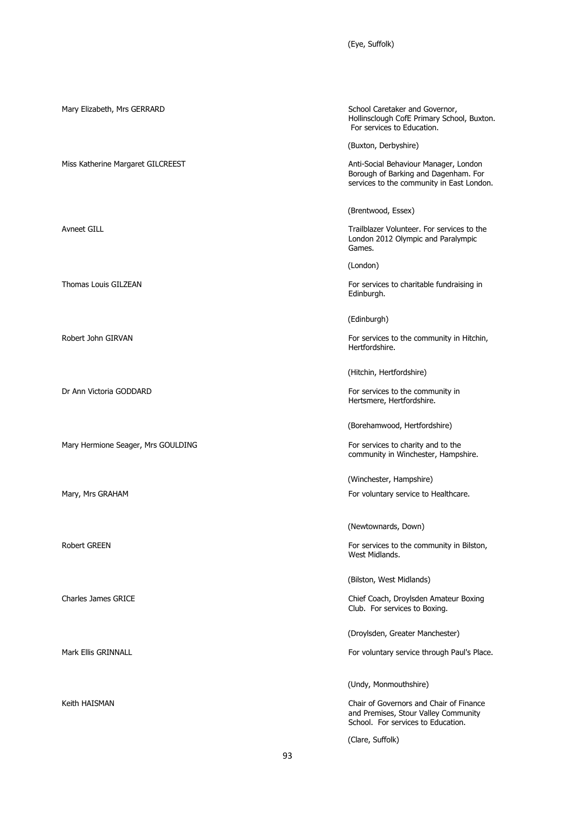(Eye, Suffolk)

| Mary Elizabeth, Mrs GERRARD        | School Caretaker and Governor,<br>Hollinsclough CofE Primary School, Buxton.<br>For services to Education.                 |
|------------------------------------|----------------------------------------------------------------------------------------------------------------------------|
|                                    | (Buxton, Derbyshire)                                                                                                       |
| Miss Katherine Margaret GILCREEST  | Anti-Social Behaviour Manager, London<br>Borough of Barking and Dagenham. For<br>services to the community in East London. |
|                                    | (Brentwood, Essex)                                                                                                         |
| <b>Avneet GILL</b>                 | Trailblazer Volunteer. For services to the<br>London 2012 Olympic and Paralympic<br>Games.                                 |
|                                    | (London)                                                                                                                   |
| Thomas Louis GILZEAN               | For services to charitable fundraising in<br>Edinburgh.                                                                    |
|                                    | (Edinburgh)                                                                                                                |
| Robert John GIRVAN                 | For services to the community in Hitchin,<br>Hertfordshire.                                                                |
|                                    | (Hitchin, Hertfordshire)                                                                                                   |
| Dr Ann Victoria GODDARD            | For services to the community in<br>Hertsmere, Hertfordshire.                                                              |
|                                    | (Borehamwood, Hertfordshire)                                                                                               |
| Mary Hermione Seager, Mrs GOULDING | For services to charity and to the<br>community in Winchester, Hampshire.                                                  |
|                                    | (Winchester, Hampshire)                                                                                                    |
| Mary, Mrs GRAHAM                   | For voluntary service to Healthcare.                                                                                       |
|                                    | (Newtownards, Down)                                                                                                        |
| Robert GREEN                       | For services to the community in Bilston,<br>West Midlands.                                                                |
|                                    | (Bilston, West Midlands)                                                                                                   |
| <b>Charles James GRICE</b>         | Chief Coach, Droylsden Amateur Boxing<br>Club. For services to Boxing.                                                     |
|                                    | (Droylsden, Greater Manchester)                                                                                            |
| Mark Ellis GRINNALL                | For voluntary service through Paul's Place.                                                                                |
|                                    | (Undy, Monmouthshire)                                                                                                      |
| Keith HAISMAN                      | Chair of Governors and Chair of Finance<br>and Premises, Stour Valley Community<br>School. For services to Education.      |
|                                    | (Clare, Suffolk)                                                                                                           |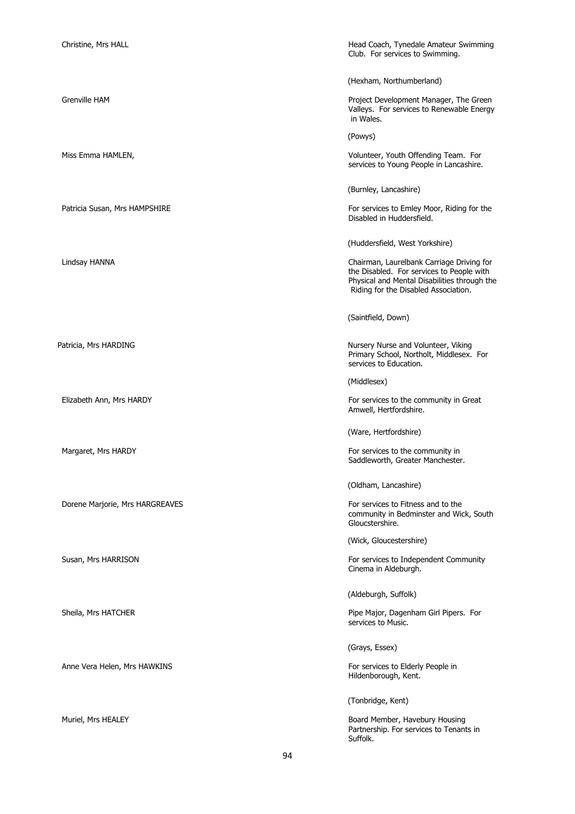| Christine, Mrs HALL             | Head Coach, Tynedale Amateur Swimming<br>Club. For services to Swimming.                                                                                                       |
|---------------------------------|--------------------------------------------------------------------------------------------------------------------------------------------------------------------------------|
|                                 | (Hexham, Northumberland)                                                                                                                                                       |
| <b>Grenville HAM</b>            | Project Development Manager, The Green<br>Valleys. For services to Renewable Energy<br>in Wales.                                                                               |
|                                 | (Powys)                                                                                                                                                                        |
| Miss Emma HAMLEN,               | Volunteer, Youth Offending Team. For<br>services to Young People in Lancashire.                                                                                                |
|                                 | (Burnley, Lancashire)                                                                                                                                                          |
| Patricia Susan, Mrs HAMPSHIRE   | For services to Emley Moor, Riding for the<br>Disabled in Huddersfield.                                                                                                        |
|                                 | (Huddersfield, West Yorkshire)                                                                                                                                                 |
| Lindsay HANNA                   | Chairman, Laurelbank Carriage Driving for<br>the Disabled. For services to People with<br>Physical and Mental Disabilities through the<br>Riding for the Disabled Association. |
|                                 | (Saintfield, Down)                                                                                                                                                             |
| Patricia, Mrs HARDING           | Nursery Nurse and Volunteer, Viking<br>Primary School, Northolt, Middlesex. For<br>services to Education.                                                                      |
|                                 | (Middlesex)                                                                                                                                                                    |
| Elizabeth Ann, Mrs HARDY        | For services to the community in Great<br>Amwell, Hertfordshire.                                                                                                               |
|                                 | (Ware, Hertfordshire)                                                                                                                                                          |
| Margaret, Mrs HARDY             | For services to the community in<br>Saddleworth, Greater Manchester.                                                                                                           |
|                                 | (Oldham, Lancashire)                                                                                                                                                           |
| Dorene Marjorie, Mrs HARGREAVES | For services to Fitness and to the<br>community in Bedminster and Wick, South<br>Gloucstershire.                                                                               |
|                                 | (Wick, Gloucestershire)                                                                                                                                                        |
| Susan, Mrs HARRISON             | For services to Independent Community<br>Cinema in Aldeburgh.                                                                                                                  |
|                                 | (Aldeburgh, Suffolk)                                                                                                                                                           |
| Sheila, Mrs HATCHER             | Pipe Major, Dagenham Girl Pipers. For<br>services to Music.                                                                                                                    |
|                                 | (Grays, Essex)                                                                                                                                                                 |
| Anne Vera Helen, Mrs HAWKINS    | For services to Elderly People in<br>Hildenborough, Kent.                                                                                                                      |
|                                 | (Tonbridge, Kent)                                                                                                                                                              |
| Muriel, Mrs HEALEY              | Board Member, Havebury Housing<br>Partnership. For services to Tenants in                                                                                                      |

Suffolk.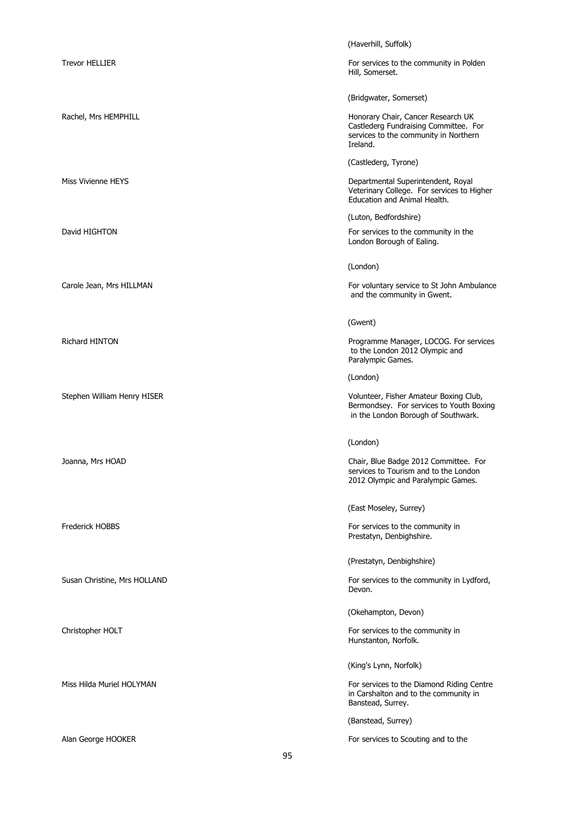|                              | (Haverhill, Suffolk)                                                                                                             |
|------------------------------|----------------------------------------------------------------------------------------------------------------------------------|
| <b>Trevor HELLIER</b>        | For services to the community in Polden<br>Hill, Somerset.                                                                       |
|                              | (Bridgwater, Somerset)                                                                                                           |
| Rachel, Mrs HEMPHILL         | Honorary Chair, Cancer Research UK<br>Castlederg Fundraising Committee. For<br>services to the community in Northern<br>Ireland. |
|                              | (Castlederg, Tyrone)                                                                                                             |
| Miss Vivienne HEYS           | Departmental Superintendent, Royal<br>Veterinary College. For services to Higher<br>Education and Animal Health.                 |
|                              | (Luton, Bedfordshire)                                                                                                            |
| David HIGHTON                | For services to the community in the<br>London Borough of Ealing.                                                                |
|                              | (London)                                                                                                                         |
| Carole Jean, Mrs HILLMAN     | For voluntary service to St John Ambulance<br>and the community in Gwent.                                                        |
|                              | (Gwent)                                                                                                                          |
| Richard HINTON               | Programme Manager, LOCOG. For services<br>to the London 2012 Olympic and<br>Paralympic Games.                                    |
|                              | (London)                                                                                                                         |
| Stephen William Henry HISER  | Volunteer, Fisher Amateur Boxing Club,<br>Bermondsey. For services to Youth Boxing<br>in the London Borough of Southwark.        |
|                              | (London)                                                                                                                         |
| Joanna, Mrs HOAD             | Chair, Blue Badge 2012 Committee. For<br>services to Tourism and to the London<br>2012 Olympic and Paralympic Games.             |
|                              | (East Moseley, Surrey)                                                                                                           |
| <b>Frederick HOBBS</b>       | For services to the community in<br>Prestatyn, Denbighshire.                                                                     |
|                              | (Prestatyn, Denbighshire)                                                                                                        |
| Susan Christine, Mrs HOLLAND | For services to the community in Lydford,<br>Devon.                                                                              |
|                              | (Okehampton, Devon)                                                                                                              |
| Christopher HOLT             | For services to the community in<br>Hunstanton, Norfolk.                                                                         |
|                              | (King's Lynn, Norfolk)                                                                                                           |
| Miss Hilda Muriel HOLYMAN    | For services to the Diamond Riding Centre<br>in Carshalton and to the community in<br>Banstead, Surrey.                          |
|                              | (Banstead, Surrey)                                                                                                               |
| Alan George HOOKER           | For services to Scouting and to the                                                                                              |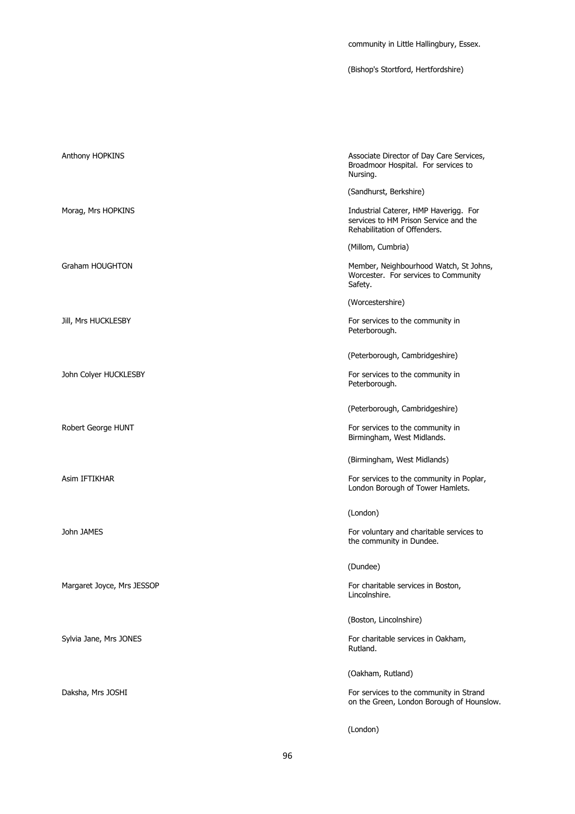community in Little Hallingbury, Essex.

(Bishop's Stortford, Hertfordshire)

| Anthony HOPKINS            | Associate Director of Day Care Services,<br>Broadmoor Hospital. For services to<br>Nursing.                    |
|----------------------------|----------------------------------------------------------------------------------------------------------------|
|                            | (Sandhurst, Berkshire)                                                                                         |
| Morag, Mrs HOPKINS         | Industrial Caterer, HMP Haverigg. For<br>services to HM Prison Service and the<br>Rehabilitation of Offenders. |
|                            | (Millom, Cumbria)                                                                                              |
| <b>Graham HOUGHTON</b>     | Member, Neighbourhood Watch, St Johns,<br>Worcester. For services to Community<br>Safety.                      |
|                            | (Worcestershire)                                                                                               |
| Jill, Mrs HUCKLESBY        | For services to the community in<br>Peterborough.                                                              |
|                            | (Peterborough, Cambridgeshire)                                                                                 |
| John Colyer HUCKLESBY      | For services to the community in<br>Peterborough.                                                              |
|                            | (Peterborough, Cambridgeshire)                                                                                 |
| Robert George HUNT         | For services to the community in<br>Birmingham, West Midlands.                                                 |
|                            | (Birmingham, West Midlands)                                                                                    |
| Asim IFTIKHAR              | For services to the community in Poplar,<br>London Borough of Tower Hamlets.                                   |
|                            | (London)                                                                                                       |
| John JAMES                 | For voluntary and charitable services to<br>the community in Dundee.                                           |
|                            | (Dundee)                                                                                                       |
| Margaret Joyce, Mrs JESSOP | For charitable services in Boston,<br>Lincolnshire.                                                            |
|                            | (Boston, Lincolnshire)                                                                                         |
| Sylvia Jane, Mrs JONES     | For charitable services in Oakham,<br>Rutland.                                                                 |
|                            | (Oakham, Rutland)                                                                                              |
| Daksha, Mrs JOSHI          | For services to the community in Strand<br>on the Green, London Borough of Hounslow.                           |
|                            | (London)                                                                                                       |

96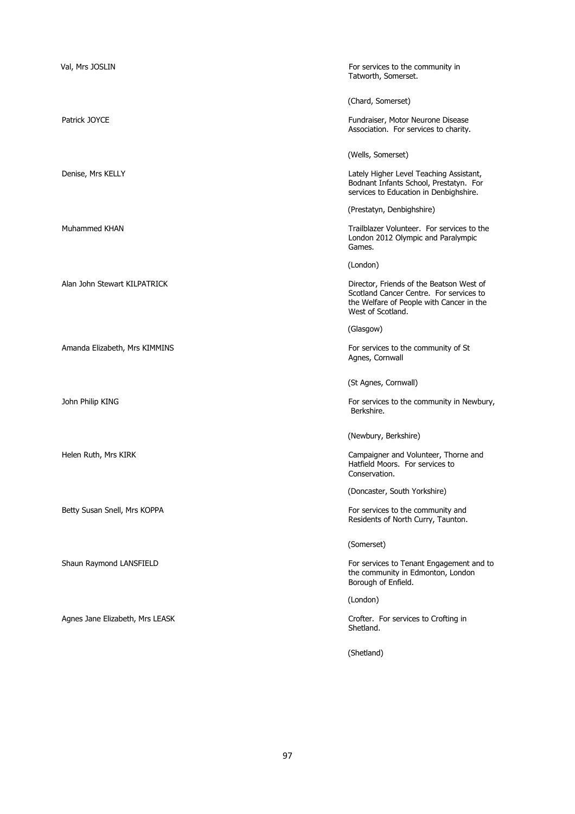| Val, Mrs JOSLIN                 | For services to the community in<br>Tatworth, Somerset.                                                                                              |
|---------------------------------|------------------------------------------------------------------------------------------------------------------------------------------------------|
|                                 | (Chard, Somerset)                                                                                                                                    |
| Patrick JOYCE                   | Fundraiser, Motor Neurone Disease<br>Association. For services to charity.                                                                           |
|                                 | (Wells, Somerset)                                                                                                                                    |
| Denise, Mrs KELLY               | Lately Higher Level Teaching Assistant,<br>Bodnant Infants School, Prestatyn. For<br>services to Education in Denbighshire.                          |
|                                 | (Prestatyn, Denbighshire)                                                                                                                            |
| Muhammed KHAN                   | Trailblazer Volunteer. For services to the<br>London 2012 Olympic and Paralympic<br>Games.                                                           |
|                                 | (London)                                                                                                                                             |
| Alan John Stewart KILPATRICK    | Director, Friends of the Beatson West of<br>Scotland Cancer Centre. For services to<br>the Welfare of People with Cancer in the<br>West of Scotland. |
|                                 | (Glasgow)                                                                                                                                            |
| Amanda Elizabeth, Mrs KIMMINS   | For services to the community of St<br>Agnes, Cornwall                                                                                               |
|                                 | (St Agnes, Cornwall)                                                                                                                                 |
| John Philip KING                | For services to the community in Newbury,<br>Berkshire.                                                                                              |
|                                 | (Newbury, Berkshire)                                                                                                                                 |
| Helen Ruth, Mrs KIRK            | Campaigner and Volunteer, Thorne and<br>Hatfield Moors. For services to<br>Conservation.                                                             |
|                                 | (Doncaster, South Yorkshire)                                                                                                                         |
| Betty Susan Snell, Mrs KOPPA    | For services to the community and<br>Residents of North Curry, Taunton.                                                                              |
|                                 | (Somerset)                                                                                                                                           |
| Shaun Raymond LANSFIELD         | For services to Tenant Engagement and to<br>the community in Edmonton, London<br>Borough of Enfield.                                                 |
|                                 | (London)                                                                                                                                             |
| Agnes Jane Elizabeth, Mrs LEASK | Crofter. For services to Crofting in<br>Shetland.                                                                                                    |
|                                 | (Shetland)                                                                                                                                           |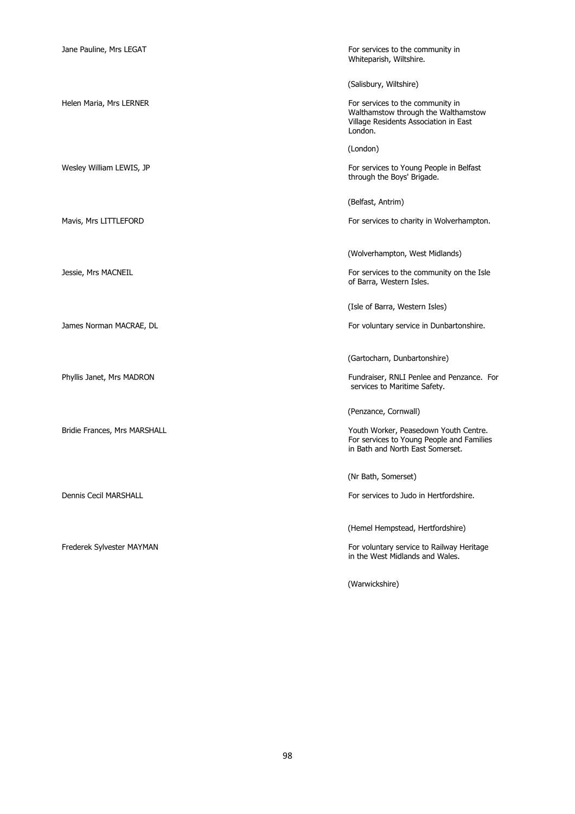Whiteparish, Wiltshire.

(Salisbury, Wiltshire)

Helen Maria, Mrs LERNER For services to the community in Walthamstow through the Walthamstow Village Residents Association in East London.

(London)

Wesley William LEWIS, JP **For services** to Young People in Belfast through the Boys' Brigade.

(Belfast, Antrim)

Mavis, Mrs LITTLEFORD For services to charity in Wolverhampton.

(Wolverhampton, West Midlands)

Jessie, Mrs MACNEIL For services to the community on the Isle of Barra, Western Isles.

(Isle of Barra, Western Isles)

James Norman MACRAE, DL **For voluntary service in Dunbartonshire.** 

(Gartocharn, Dunbartonshire)

Phyllis Janet, Mrs MADRON Fundraiser, RNLI Penlee and Penzance. For services to Maritime Safety.

(Penzance, Cornwall)

Bridie Frances, Mrs MARSHALL **Youth Worker, Peasedown Youth Centre.** For services to Young People and Families in Bath and North East Somerset.

(Nr Bath, Somerset)

Dennis Cecil MARSHALL For services to Judo in Hertfordshire.

(Hemel Hempstead, Hertfordshire)

Frederek Sylvester MAYMAN For voluntary service to Railway Heritage of Antiin the West Midlands and Wales.

(Warwickshire)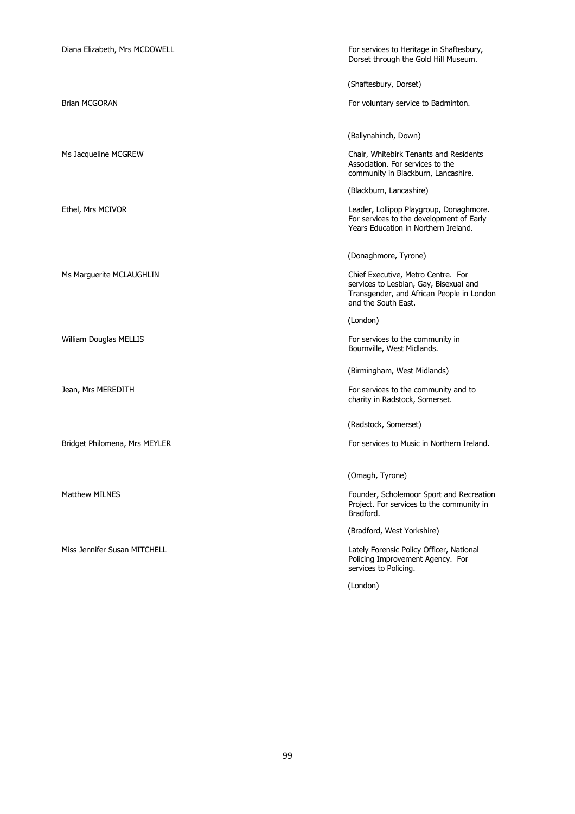| Diana Elizabeth, Mrs MCDOWELL | For services to Heritage in Shaftesbury,<br>Dorset through the Gold Hill Museum.                                                                 |
|-------------------------------|--------------------------------------------------------------------------------------------------------------------------------------------------|
|                               | (Shaftesbury, Dorset)                                                                                                                            |
| <b>Brian MCGORAN</b>          | For voluntary service to Badminton.                                                                                                              |
|                               | (Ballynahinch, Down)                                                                                                                             |
| Ms Jacqueline MCGREW          | Chair, Whitebirk Tenants and Residents<br>Association. For services to the<br>community in Blackburn, Lancashire.                                |
|                               | (Blackburn, Lancashire)                                                                                                                          |
| Ethel, Mrs MCIVOR             | Leader, Lollipop Playgroup, Donaghmore.<br>For services to the development of Early<br>Years Education in Northern Ireland.                      |
|                               | (Donaghmore, Tyrone)                                                                                                                             |
| Ms Marguerite MCLAUGHLIN      | Chief Executive, Metro Centre. For<br>services to Lesbian, Gay, Bisexual and<br>Transgender, and African People in London<br>and the South East. |
|                               | (London)                                                                                                                                         |
| William Douglas MELLIS        | For services to the community in<br>Bournville, West Midlands.                                                                                   |
|                               | (Birmingham, West Midlands)                                                                                                                      |
| Jean, Mrs MEREDITH            | For services to the community and to<br>charity in Radstock, Somerset.                                                                           |
|                               | (Radstock, Somerset)                                                                                                                             |
| Bridget Philomena, Mrs MEYLER | For services to Music in Northern Ireland.                                                                                                       |
|                               | (Omagh, Tyrone)                                                                                                                                  |
| <b>Matthew MILNES</b>         | Founder, Scholemoor Sport and Recreation<br>Project. For services to the community in<br>Bradford.                                               |
|                               | (Bradford, West Yorkshire)                                                                                                                       |
| Miss Jennifer Susan MITCHELL  | Lately Forensic Policy Officer, National<br>Policing Improvement Agency. For<br>services to Policing.                                            |
|                               | (London)                                                                                                                                         |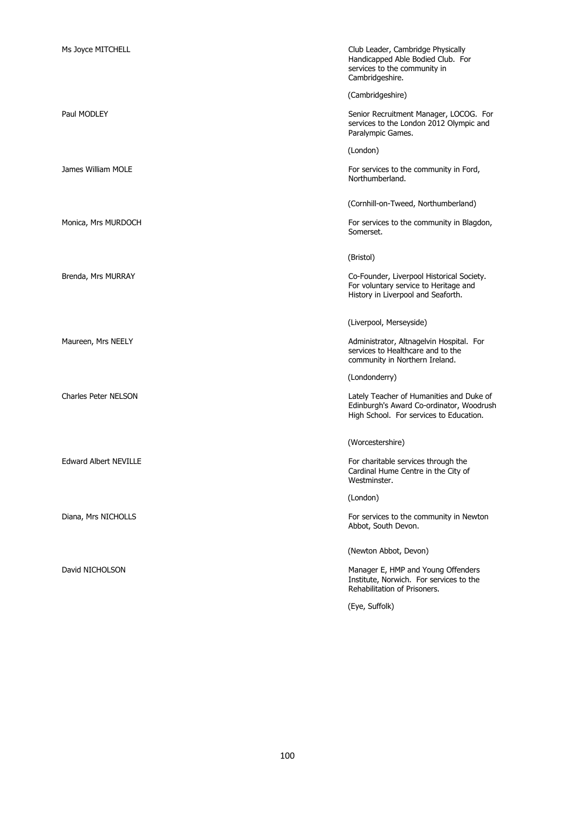| Ms Joyce MITCHELL            | Club Leader, Cambridge Physically<br>Handicapped Able Bodied Club. For<br>services to the community in<br>Cambridgeshire.       |
|------------------------------|---------------------------------------------------------------------------------------------------------------------------------|
|                              | (Cambridgeshire)                                                                                                                |
| Paul MODLEY                  | Senior Recruitment Manager, LOCOG. For<br>services to the London 2012 Olympic and<br>Paralympic Games.                          |
|                              | (London)                                                                                                                        |
| James William MOLE           | For services to the community in Ford,<br>Northumberland.                                                                       |
|                              | (Cornhill-on-Tweed, Northumberland)                                                                                             |
| Monica, Mrs MURDOCH          | For services to the community in Blagdon,<br>Somerset.                                                                          |
|                              | (Bristol)                                                                                                                       |
| Brenda, Mrs MURRAY           | Co-Founder, Liverpool Historical Society.<br>For voluntary service to Heritage and<br>History in Liverpool and Seaforth.        |
|                              | (Liverpool, Merseyside)                                                                                                         |
| Maureen, Mrs NEELY           | Administrator, Altnagelvin Hospital. For<br>services to Healthcare and to the<br>community in Northern Ireland.                 |
|                              | (Londonderry)                                                                                                                   |
| <b>Charles Peter NELSON</b>  | Lately Teacher of Humanities and Duke of<br>Edinburgh's Award Co-ordinator, Woodrush<br>High School. For services to Education. |
|                              | (Worcestershire)                                                                                                                |
| <b>Edward Albert NEVILLE</b> | For charitable services through the<br>Cardinal Hume Centre in the City of<br>Westminster.                                      |
|                              | (London)                                                                                                                        |
| Diana, Mrs NICHOLLS          | For services to the community in Newton<br>Abbot, South Devon.                                                                  |
|                              | (Newton Abbot, Devon)                                                                                                           |
| David NICHOLSON              | Manager E, HMP and Young Offenders<br>Institute, Norwich. For services to the<br>Rehabilitation of Prisoners.                   |
|                              | (Eye, Suffolk)                                                                                                                  |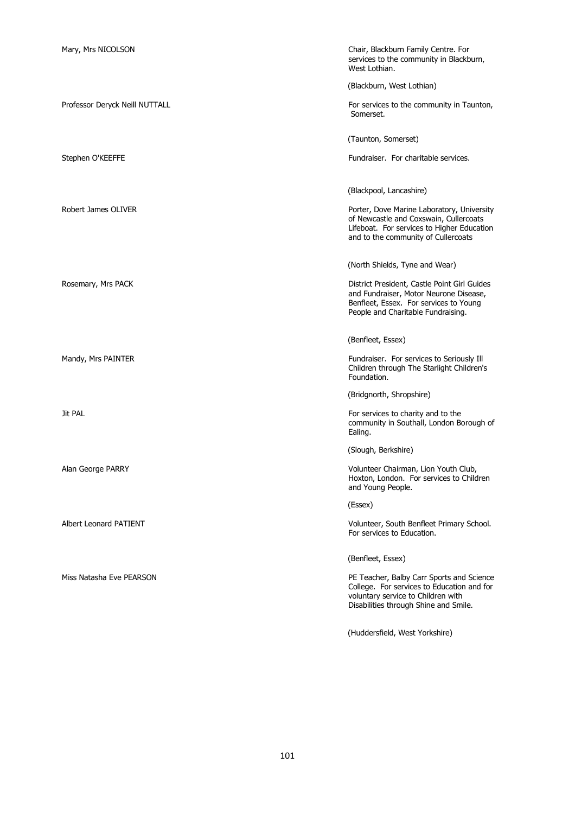| Mary, Mrs NICOLSON             | Chair, Blackburn Family Centre. For<br>services to the community in Blackburn,<br>West Lothian.                                                                           |
|--------------------------------|---------------------------------------------------------------------------------------------------------------------------------------------------------------------------|
|                                | (Blackburn, West Lothian)                                                                                                                                                 |
| Professor Deryck Neill NUTTALL | For services to the community in Taunton,<br>Somerset.                                                                                                                    |
|                                | (Taunton, Somerset)                                                                                                                                                       |
| Stephen O'KEEFFE               | Fundraiser. For charitable services.                                                                                                                                      |
|                                | (Blackpool, Lancashire)                                                                                                                                                   |
| <b>Robert James OLIVER</b>     | Porter, Dove Marine Laboratory, University<br>of Newcastle and Coxswain, Cullercoats<br>Lifeboat. For services to Higher Education<br>and to the community of Cullercoats |
|                                | (North Shields, Tyne and Wear)                                                                                                                                            |
| Rosemary, Mrs PACK             | District President, Castle Point Girl Guides<br>and Fundraiser, Motor Neurone Disease,<br>Benfleet, Essex. For services to Young<br>People and Charitable Fundraising.    |
|                                | (Benfleet, Essex)                                                                                                                                                         |
| Mandy, Mrs PAINTER             | Fundraiser. For services to Seriously Ill<br>Children through The Starlight Children's<br>Foundation.                                                                     |
|                                | (Bridgnorth, Shropshire)                                                                                                                                                  |
| Jit PAL                        | For services to charity and to the<br>community in Southall, London Borough of<br>Ealing.                                                                                 |
|                                | (Slough, Berkshire)                                                                                                                                                       |
| Alan George PARRY              | Volunteer Chairman, Lion Youth Club,<br>Hoxton, London. For services to Children<br>and Young People.                                                                     |
|                                | (Essex)                                                                                                                                                                   |
| Albert Leonard PATIENT         | Volunteer, South Benfleet Primary School.<br>For services to Education.                                                                                                   |
|                                | (Benfleet, Essex)                                                                                                                                                         |
| Miss Natasha Eve PEARSON       | PE Teacher, Balby Carr Sports and Science<br>College. For services to Education and for<br>voluntary service to Children with<br>Disabilities through Shine and Smile.    |
|                                | (Huddersfield, West Yorkshire)                                                                                                                                            |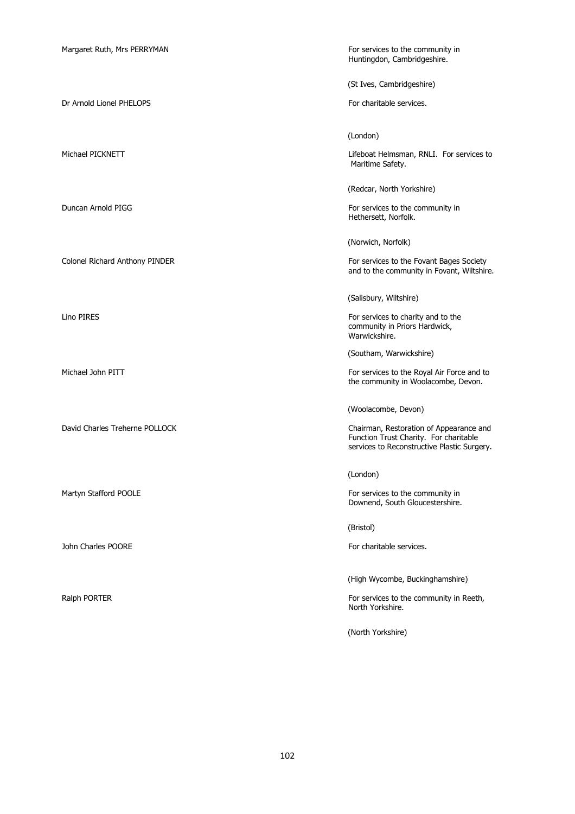Dr Arnold Lionel PHELOPS For charitable services.

John Charles POORE For charitable services.

Huntingdon, Cambridgeshire.

(St Ives, Cambridgeshire)

(London)

Michael PICKNETT **Lifeboat Helmsman, RNLI.** For services to Maritime Safety.

(Redcar, North Yorkshire)

Duncan Arnold PIGG For services to the community in Hethersett, Norfolk.

(Norwich, Norfolk)

Colonel Richard Anthony PINDER For services to the Fovant Bages Society and to the community in Fovant, Wiltshire.

(Salisbury, Wiltshire)

Lino PIRES **For services** to charity and to the community in Priors Hardwick, Warwickshire.

(Southam, Warwickshire)

Michael John PITT For services to the Royal Air Force and to the community in Woolacombe, Devon.

(Woolacombe, Devon)

David Charles Treherne POLLOCK Chairman, Restoration of Appearance and Function Trust Charity. For charitable services to Reconstructive Plastic Surgery.

(London)

Martyn Stafford POOLE **For services** to the community in Downend, South Gloucestershire.

(Bristol)

(High Wycombe, Buckinghamshire)

Ralph PORTER For services to the community in Reeth, North Yorkshire.

(North Yorkshire)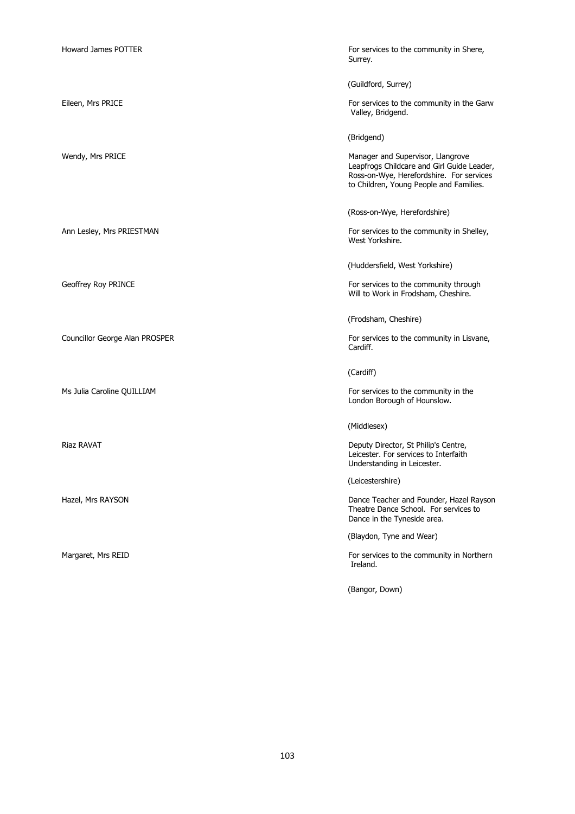Howard James POTTER For services to the community in Shere, Surrey. (Guildford, Surrey) Eileen, Mrs PRICE **For services** to the community in the Garw Valley, Bridgend. (Bridgend) Wendy, Mrs PRICE **Manager and Supervisor, Llangrove** Manager and Supervisor, Llangrove Leapfrogs Childcare and Girl Guide Leader, Ross-on-Wye, Herefordshire. For services to Children, Young People and Families. (Ross-on-Wye, Herefordshire) Ann Lesley, Mrs PRIESTMAN For services to the community in Shelley, West Yorkshire. (Huddersfield, West Yorkshire) Geoffrey Roy PRINCE **For services** to the community through Will to Work in Frodsham, Cheshire. (Frodsham, Cheshire) Councillor George Alan PROSPER For services to the community in Lisvane, Cardiff. (Cardiff) Ms Julia Caroline QUILLIAM **For services** to the community in the London Borough of Hounslow. (Middlesex) Riaz RAVAT **Deputy Director, St Philip's Centre,** Leicester. For services to Interfaith Understanding in Leicester. (Leicestershire) Hazel, Mrs RAYSON **Dance Teacher and Founder, Hazel Rayson** Dance Teacher and Founder, Hazel Rayson Theatre Dance School. For services to Dance in the Tyneside area. (Blaydon, Tyne and Wear) Margaret, Mrs REID **For services to the community in Northern** Ireland. (Bangor, Down)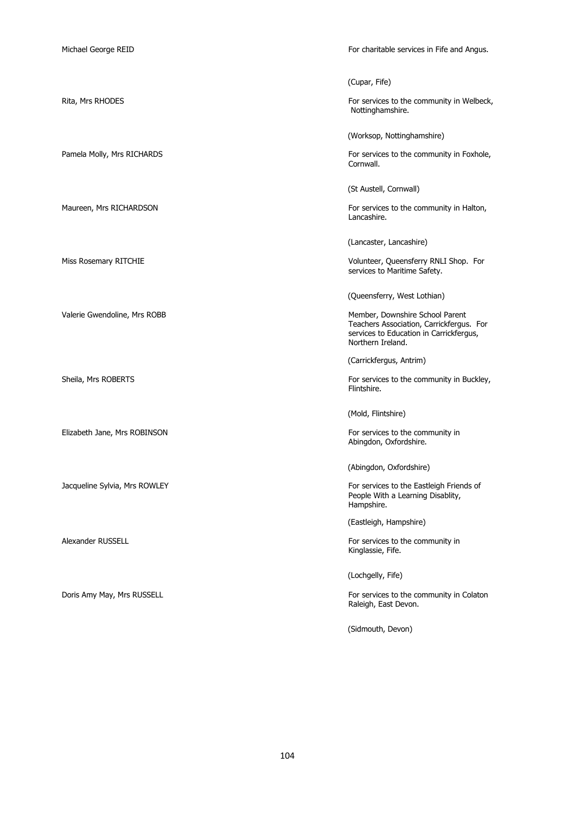Michael George REID For charitable services in Fife and Angus. (Cupar, Fife) Rita, Mrs RHODES For services to the community in Welbeck, Nottinghamshire. (Worksop, Nottinghamshire) Pamela Molly, Mrs RICHARDS For services to the community in Foxhole, Cornwall. (St Austell, Cornwall) Maureen, Mrs RICHARDSON For services to the community in Halton, Lancashire. (Lancaster, Lancashire) Miss Rosemary RITCHIE Volunteer, Queensferry RNLI Shop. For services to Maritime Safety. (Queensferry, West Lothian) Valerie Gwendoline, Mrs ROBB Member, Downshire School Parent Teachers Association, Carrickfergus. For services to Education in Carrickfergus, Northern Ireland. (Carrickfergus, Antrim) Sheila, Mrs ROBERTS For services to the community in Buckley, Flintshire. (Mold, Flintshire) Elizabeth Jane, Mrs ROBINSON For services to the community in Abingdon, Oxfordshire. (Abingdon, Oxfordshire) Jacqueline Sylvia, Mrs ROWLEY For services to the Eastleigh Friends of People With a Learning Disablity, Hampshire. (Eastleigh, Hampshire) Alexander RUSSELL **For services to the community in** For services to the community in Kinglassie, Fife. (Lochgelly, Fife) Doris Amy May, Mrs RUSSELL **For services to the community in Colaton** Raleigh, East Devon. (Sidmouth, Devon)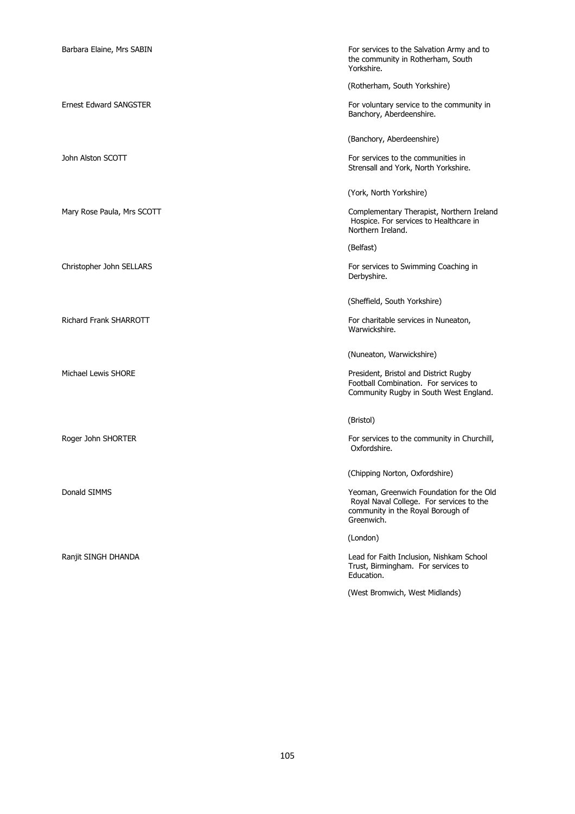Barbara Elaine. Mrs SABIN For services to the Salvation Army and to the community in Rotherham, South Yorkshire.

(Rotherham, South Yorkshire)

Ernest Edward SANGSTER For voluntary service to the community in Banchory, Aberdeenshire.

(Banchory, Aberdeenshire)

John Alston SCOTT **For services** to the communities in Strensall and York, North Yorkshire.

(York, North Yorkshire)

Mary Rose Paula, Mrs SCOTT **Complementary Therapist, Northern Ireland** Hospice. For services to Healthcare in Northern Ireland.

(Belfast)

Christopher John SELLARS **For services to Swimming Coaching in** Derbyshire.

(Sheffield, South Yorkshire)

Richard Frank SHARROTT **For charitable services in Nuneaton,** For charitable services in Nuneaton, Warwickshire.

(Nuneaton, Warwickshire)

Michael Lewis SHORE **President, Bristol and District Rugby** Football Combination. For services to Community Rugby in South West England.

(Bristol)

Roger John SHORTER For services to the community in Churchill, Oxfordshire.

(Chipping Norton, Oxfordshire)

Donald SIMMS Yeoman, Greenwich Foundation for the Old Royal Naval College. For services to the community in the Royal Borough of Greenwich.

(London)

Ranjit SINGH DHANDA Lead for Faith Inclusion, Nishkam School Trust, Birmingham. For services to Education.

(West Bromwich, West Midlands)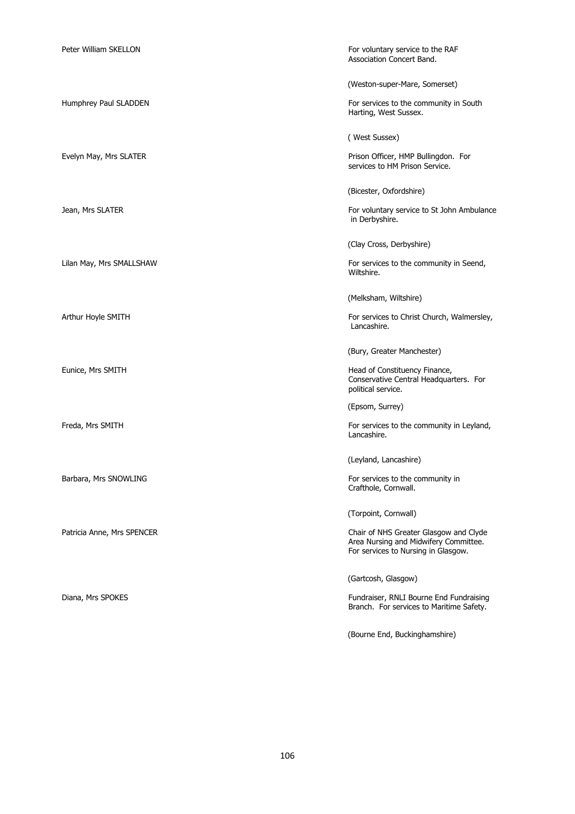| Peter William SKELLON      | For voluntary service to the RAF<br>Association Concert Band.                                                          |
|----------------------------|------------------------------------------------------------------------------------------------------------------------|
|                            | (Weston-super-Mare, Somerset)                                                                                          |
| Humphrey Paul SLADDEN      | For services to the community in South<br>Harting, West Sussex.                                                        |
|                            | (West Sussex)                                                                                                          |
| Evelyn May, Mrs SLATER     | Prison Officer, HMP Bullingdon. For<br>services to HM Prison Service.                                                  |
|                            | (Bicester, Oxfordshire)                                                                                                |
| Jean, Mrs SLATER           | For voluntary service to St John Ambulance<br>in Derbyshire.                                                           |
|                            | (Clay Cross, Derbyshire)                                                                                               |
| Lilan May, Mrs SMALLSHAW   | For services to the community in Seend,<br>Wiltshire.                                                                  |
|                            | (Melksham, Wiltshire)                                                                                                  |
| Arthur Hoyle SMITH         | For services to Christ Church, Walmersley,<br>Lancashire.                                                              |
|                            | (Bury, Greater Manchester)                                                                                             |
| Eunice, Mrs SMITH          | Head of Constituency Finance,<br>Conservative Central Headquarters. For<br>political service.                          |
|                            | (Epsom, Surrey)                                                                                                        |
| Freda, Mrs SMITH           | For services to the community in Leyland,<br>Lancashire.                                                               |
|                            | (Leyland, Lancashire)                                                                                                  |
| Barbara, Mrs SNOWLING      | For services to the community in<br>Crafthole, Cornwall.                                                               |
|                            | (Torpoint, Cornwall)                                                                                                   |
| Patricia Anne, Mrs SPENCER | Chair of NHS Greater Glasgow and Clyde<br>Area Nursing and Midwifery Committee.<br>For services to Nursing in Glasgow. |
|                            | (Gartcosh, Glasgow)                                                                                                    |
| Diana, Mrs SPOKES          | Fundraiser, RNLI Bourne End Fundraising<br>Branch. For services to Maritime Safety.                                    |
|                            | (Bourne End, Buckinghamshire)                                                                                          |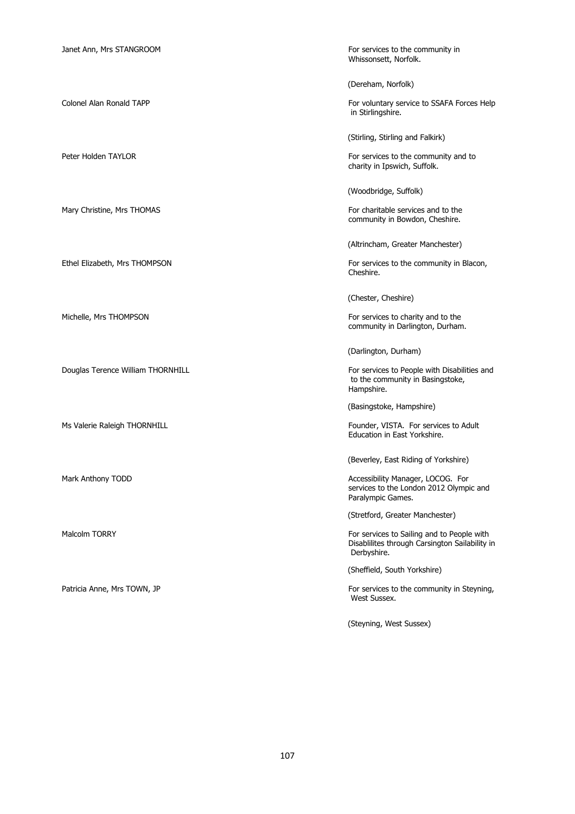Douglas Terence William THORNHILL **For services to People with Disabilities and** 

Whissonsett, Norfolk.

(Dereham, Norfolk)

Colonel Alan Ronald TAPP **For voluntary service to SSAFA Forces Help** in Stirlingshire.

(Stirling, Stirling and Falkirk)

Peter Holden TAYLOR **For services** to the community and to charity in Ipswich, Suffolk.

(Woodbridge, Suffolk)

Mary Christine, Mrs THOMAS **For charitable services and to the** For charitable services and to the community in Bowdon, Cheshire.

(Altrincham, Greater Manchester)

Ethel Elizabeth, Mrs THOMPSON For services to the community in Blacon, Cheshire.

(Chester, Cheshire)

Michelle, Mrs THOMPSON For services to charity and to the community in Darlington, Durham.

(Darlington, Durham)

to the community in Basingstoke, Hampshire.

(Basingstoke, Hampshire)

Ms Valerie Raleigh THORNHILL **Founder and Sounder Act 2018** Founder, VISTA. For services to Adult Education in East Yorkshire.

(Beverley, East Riding of Yorkshire)

Mark Anthony TODD **Accessibility Manager, LOCOG.** For services to the London 2012 Olympic and Paralympic Games.

(Stretford, Greater Manchester)

Malcolm TORRY For services to Sailing and to People with Disablilites through Carsington Sailability in Derbyshire.

(Sheffield, South Yorkshire)

Patricia Anne, Mrs TOWN, JP **For services to the community in Steyning**, West Sussex.

(Steyning, West Sussex)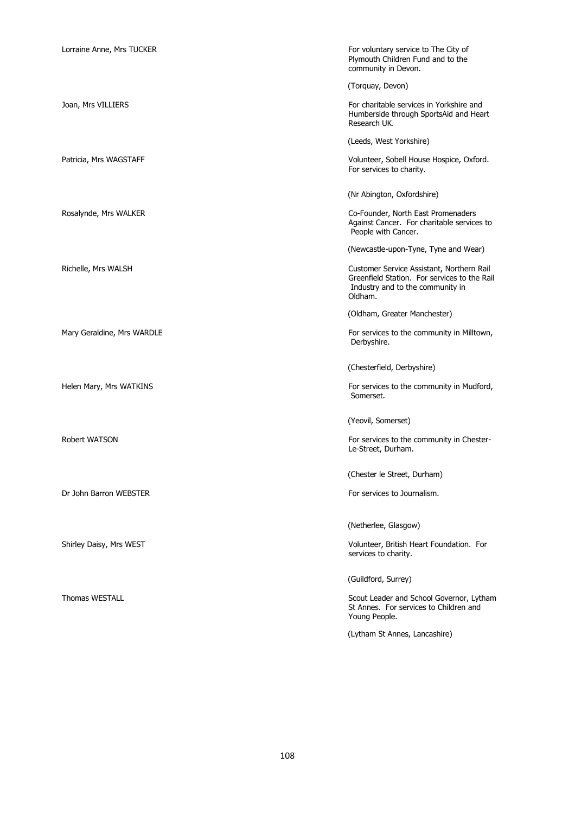| Lorraine Anne, Mrs TUCKER  | For voluntary service to The City of<br>Plymouth Children Fund and to the<br>community in Devon.                                         |
|----------------------------|------------------------------------------------------------------------------------------------------------------------------------------|
|                            | (Torquay, Devon)                                                                                                                         |
| Joan, Mrs VILLIERS         | For charitable services in Yorkshire and<br>Humberside through SportsAid and Heart<br>Research UK.                                       |
|                            | (Leeds, West Yorkshire)                                                                                                                  |
| Patricia, Mrs WAGSTAFF     | Volunteer, Sobell House Hospice, Oxford.<br>For services to charity.                                                                     |
|                            | (Nr Abington, Oxfordshire)                                                                                                               |
| Rosalynde, Mrs WALKER      | Co-Founder, North East Promenaders<br>Against Cancer. For charitable services to<br>People with Cancer.                                  |
|                            | (Newcastle-upon-Tyne, Tyne and Wear)                                                                                                     |
| Richelle, Mrs WALSH        | Customer Service Assistant, Northern Rail<br>Greenfield Station. For services to the Rail<br>Industry and to the community in<br>Oldham. |
|                            | (Oldham, Greater Manchester)                                                                                                             |
| Mary Geraldine, Mrs WARDLE | For services to the community in Milltown,<br>Derbyshire.                                                                                |
|                            | (Chesterfield, Derbyshire)                                                                                                               |
| Helen Mary, Mrs WATKINS    | For services to the community in Mudford,<br>Somerset.                                                                                   |
|                            | (Yeovil, Somerset)                                                                                                                       |
| Robert WATSON              | For services to the community in Chester-<br>Le-Street, Durham.                                                                          |
|                            | (Chester le Street, Durham)                                                                                                              |
| Dr John Barron WEBSTER     | For services to Journalism.                                                                                                              |
|                            | (Netherlee, Glasgow)                                                                                                                     |
| Shirley Daisy, Mrs WEST    | Volunteer, British Heart Foundation. For<br>services to charity.                                                                         |
|                            | (Guildford, Surrey)                                                                                                                      |
| <b>Thomas WESTALL</b>      | Scout Leader and School Governor, Lytham<br>St Annes. For services to Children and<br>Young People.                                      |
|                            | (Lytham St Annes, Lancashire)                                                                                                            |